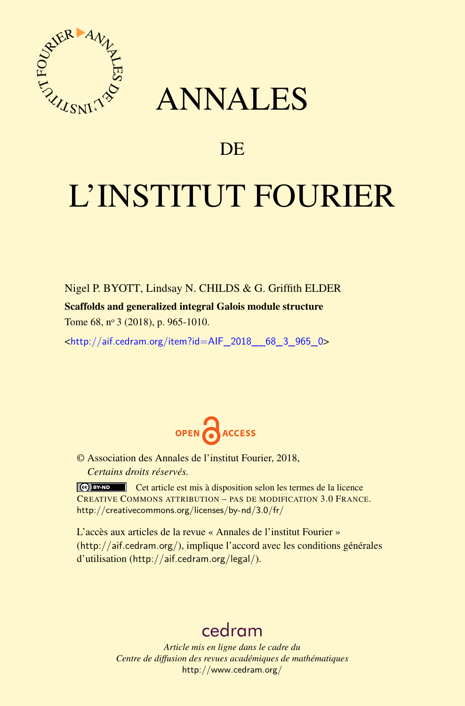

## ANNALES

### **DE**

# L'INSTITUT FOURIER

Nigel P. BYOTT, Lindsay N. CHILDS & G. Griffith ELDER Scaffolds and generalized integral Galois module structure Tome 68, n<sup>o</sup> 3 (2018), p. 965-1010.

<[http://aif.cedram.org/item?id=AIF\\_2018\\_\\_68\\_3\\_965\\_0](http://aif.cedram.org/item?id=AIF_2018__68_3_965_0)>



© Association des Annales de l'institut Fourier, 2018, *Certains droits réservés.*

Cet article est mis à disposition selon les termes de la licence CREATIVE COMMONS ATTRIBUTION – PAS DE MODIFICATION 3.0 FRANCE. <http://creativecommons.org/licenses/by-nd/3.0/fr/>

L'accès aux articles de la revue « Annales de l'institut Fourier » (<http://aif.cedram.org/>), implique l'accord avec les conditions générales d'utilisation (<http://aif.cedram.org/legal/>).

## [cedram](http://www.cedram.org/)

*Article mis en ligne dans le cadre du Centre de diffusion des revues académiques de mathématiques* <http://www.cedram.org/>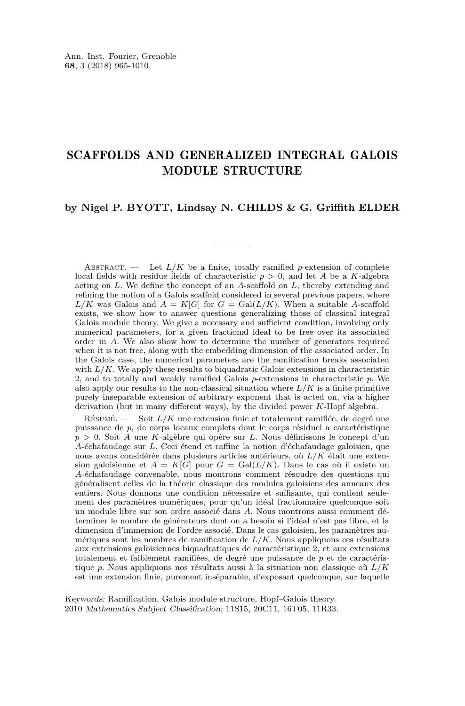#### SCAFFOLDS AND GENERALIZED INTEGRAL GALOIS MODULE STRUCTURE

#### **by Nigel P. BYOTT, Lindsay N. CHILDS & G. Griffith ELDER**

ABSTRACT.  $\qquad$  Let  $L/K$  be a finite, totally ramified *p*-extension of complete local fields with residue fields of characteristic *p >* 0, and let *A* be a *K*-algebra acting on *L*. We define the concept of an *A*-scaffold on *L*, thereby extending and refining the notion of a Galois scaffold considered in several previous papers, where  $L/K$  was Galois and  $A = K[G]$  for  $G = \text{Gal}(L/K)$ . When a suitable *A*-scaffold exists, we show how to answer questions generalizing those of classical integral Galois module theory. We give a necessary and sufficient condition, involving only numerical parameters, for a given fractional ideal to be free over its associated order in *A*. We also show how to determine the number of generators required when it is not free, along with the embedding dimension of the associated order. In the Galois case, the numerical parameters are the ramification breaks associated with  $L/K$ . We apply these results to biquadratic Galois extensions in characteristic 2, and to totally and weakly ramified Galois *p*-extensions in characteristic *p*. We also apply our results to the non-classical situation where  $L/K$  is a finite primitive purely inseparable extension of arbitrary exponent that is acted on, via a higher derivation (but in many different ways), by the divided power *K*-Hopf algebra.

Résumé. — Soit *L/K* une extension finie et totalement ramifiée, de degré une puissance de *p*, de corps locaux complets dont le corps résiduel a caractéristique *p >* 0. Soit *A* une *K*-algèbre qui opère sur *L*. Nous définissons le concept d'un *A*-échafaudage sur *L*. Ceci étend et raffine la notion d'échafaudage galoisien, que nous avons considérée dans plusieurs articles antérieurs, où *L/K* était une extension galoisienne et  $A = K[G]$  pour  $G = \text{Gal}(L/K)$ . Dans le cas où il existe un *A*-échafaudage convenable, nous montrons comment résoudre des questions qui généralisent celles de la théorie classique des modules galoisiens des anneaux des entiers. Nous donnons une condition nécessaire et suffisante, qui contient seulement des paramètres numériques, pour qu'un idéal fractionnaire quelconque soit un module libre sur son ordre associé dans *A*. Nous montrons aussi comment déterminer le nombre de générateurs dont on a besoin si l'idéal n'est pas libre, et la dimension d'immersion de l'ordre associé. Dans le cas galoisien, les paramètres numériques sont les nombres de ramification de *L/K*. Nous appliquons ces résultats aux extensions galoisiennes biquadratiques de caractéristique 2, et aux extensions totalement et faiblement ramifiées, de degré une puissance de *p* et de caractéristique *p*. Nous appliquons nos résultats aussi à la situation non classique où *L/K* est une extension finie, purement inséparable, d'exposant quelconque, sur laquelle

Keywords: Ramification, Galois module structure, Hopf–Galois theory. 2010 Mathematics Subject Classification: 11S15, 20C11, 16T05, 11R33.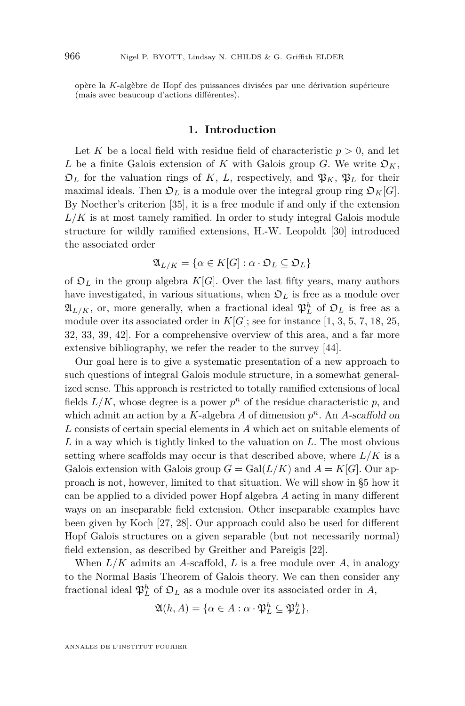opère la *K*-algèbre de Hopf des puissances divisées par une dérivation supérieure (mais avec beaucoup d'actions différentes).

#### **1. Introduction**

<span id="page-2-0"></span>Let K be a local field with residue field of characteristic  $p > 0$ , and let *L* be a finite Galois extension of *K* with Galois group *G*. We write  $\mathfrak{O}_K$ ,  $\mathfrak{D}_L$  for the valuation rings of *K*, *L*, respectively, and  $\mathfrak{P}_K$ ,  $\mathfrak{P}_L$  for their maximal ideals. Then  $\mathfrak{O}_L$  is a module over the integral group ring  $\mathfrak{O}_K[G]$ . By Noether's criterion [\[35\]](#page-45-0), it is a free module if and only if the extension  $L/K$  is at most tamely ramified. In order to study integral Galois module structure for wildly ramified extensions, H.-W. Leopoldt [\[30\]](#page-45-1) introduced the associated order

$$
\mathfrak{A}_{L/K} = \{ \alpha \in K[G] : \alpha \cdot \mathfrak{O}_L \subseteq \mathfrak{O}_L \}
$$

of  $\mathfrak{O}_L$  in the group algebra  $K[G]$ . Over the last fifty years, many authors have investigated, in various situations, when  $\mathfrak{O}_L$  is free as a module over  $\mathfrak{A}_{L/K}$ , or, more generally, when a fractional ideal  $\mathfrak{P}_L^h$  of  $\mathfrak{O}_L$  is free as a module over its associated order in  $K[G]$ ; see for instance [\[1,](#page-44-0) [3,](#page-44-1) [5,](#page-44-2) [7,](#page-44-3) [18,](#page-45-2) [25,](#page-45-3) [32,](#page-45-4) [33,](#page-45-5) [39,](#page-46-0) [42\]](#page-46-1). For a comprehensive overview of this area, and a far more extensive bibliography, we refer the reader to the survey [\[44\]](#page-46-2).

Our goal here is to give a systematic presentation of a new approach to such questions of integral Galois module structure, in a somewhat generalized sense. This approach is restricted to totally ramified extensions of local fields  $L/K$ , whose degree is a power  $p^n$  of the residue characteristic  $p$ , and which admit an action by a *K*-algebra *A* of dimension  $p^n$ . An *A*-scaffold on *L* consists of certain special elements in *A* which act on suitable elements of *L* in a way which is tightly linked to the valuation on *L*. The most obvious setting where scaffolds may occur is that described above, where *L/K* is a Galois extension with Galois group  $G = \text{Gal}(L/K)$  and  $A = K[G]$ . Our approach is not, however, limited to that situation. We will show in [§5](#page-32-0) how it can be applied to a divided power Hopf algebra *A* acting in many different ways on an inseparable field extension. Other inseparable examples have been given by Koch [\[27,](#page-45-6) [28\]](#page-45-7). Our approach could also be used for different Hopf Galois structures on a given separable (but not necessarily normal) field extension, as described by Greither and Pareigis [\[22\]](#page-45-8).

When *L/K* admits an *A*-scaffold, *L* is a free module over *A*, in analogy to the Normal Basis Theorem of Galois theory. We can then consider any fractional ideal  $\mathfrak{P}_L^h$  of  $\mathfrak{O}_L$  as a module over its associated order in *A*,

$$
\mathfrak{A}(h,A) = \{ \alpha \in A : \alpha \cdot \mathfrak{P}_L^h \subseteq \mathfrak{P}_L^h \},
$$

ANNALES DE L'INSTITUT FOURIER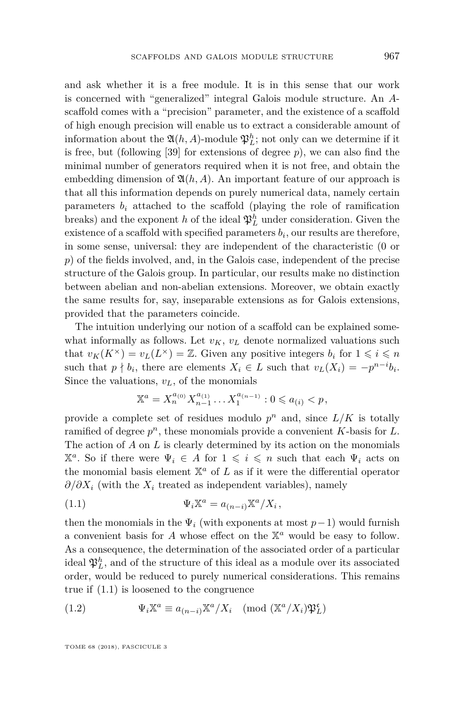and ask whether it is a free module. It is in this sense that our work is concerned with "generalized" integral Galois module structure. An *A*scaffold comes with a "precision" parameter, and the existence of a scaffold of high enough precision will enable us to extract a considerable amount of information about the  $\mathfrak{A}(h, A)$ -module  $\mathfrak{P}_L^h$ ; not only can we determine if it is free, but (following [\[39\]](#page-46-0) for extensions of degree *p*), we can also find the minimal number of generators required when it is not free, and obtain the embedding dimension of  $\mathfrak{A}(h, A)$ . An important feature of our approach is that all this information depends on purely numerical data, namely certain parameters  $b_i$  attached to the scaffold (playing the role of ramification breaks) and the exponent *h* of the ideal  $\mathfrak{P}_L^h$  under consideration. Given the existence of a scaffold with specified parameters  $b_i$ , our results are therefore, in some sense, universal: they are independent of the characteristic (0 or *p*) of the fields involved, and, in the Galois case, independent of the precise structure of the Galois group. In particular, our results make no distinction between abelian and non-abelian extensions. Moreover, we obtain exactly the same results for, say, inseparable extensions as for Galois extensions, provided that the parameters coincide.

The intuition underlying our notion of a scaffold can be explained somewhat informally as follows. Let  $v_K$ ,  $v_L$  denote normalized valuations such that  $v_K(K^{\times}) = v_L(L^{\times}) = \mathbb{Z}$ . Given any positive integers  $b_i$  for  $1 \leq i \leq n$ such that  $p \nmid b_i$ , there are elements  $X_i \in L$  such that  $v_L(X_i) = -p^{n-i}b_i$ . Since the valuations,  $v_L$ , of the monomials

<span id="page-3-0"></span>
$$
\mathbb{X}^{a} = X_{n}^{a_{(0)}} X_{n-1}^{a_{(1)}} \dots X_{1}^{a_{(n-1)}} : 0 \leqslant a_{(i)} < p,
$$

provide a complete set of residues modulo  $p^n$  and, since  $L/K$  is totally ramified of degree *p <sup>n</sup>*, these monomials provide a convenient *K*-basis for *L*. The action of *A* on *L* is clearly determined by its action on the monomials  $\mathbb{X}^a$ . So if there were  $\Psi_i \in A$  for  $1 \leqslant i \leqslant n$  such that each  $\Psi_i$  acts on the monomial basis element  $X^a$  of  $L$  as if it were the differential operator  $\partial/\partial X_i$  (with the  $X_i$  treated as independent variables), namely

(1.1) 
$$
\Psi_i \mathbb{X}^a = a_{(n-i)} \mathbb{X}^a / X_i,
$$

then the monomials in the  $\Psi_i$  (with exponents at most  $p-1$ ) would furnish a convenient basis for *A* whose effect on the X *<sup>a</sup>* would be easy to follow. As a consequence, the determination of the associated order of a particular ideal  $\mathfrak{P}_L^h$ , and of the structure of this ideal as a module over its associated order, would be reduced to purely numerical considerations. This remains true if [\(1.1\)](#page-3-0) is loosened to the congruence

(1.2) 
$$
\Psi_i \mathbb{X}^a \equiv a_{(n-i)} \mathbb{X}^a / X_i \pmod{(\mathbb{X}^a / X_i) \mathfrak{P}_L^c}
$$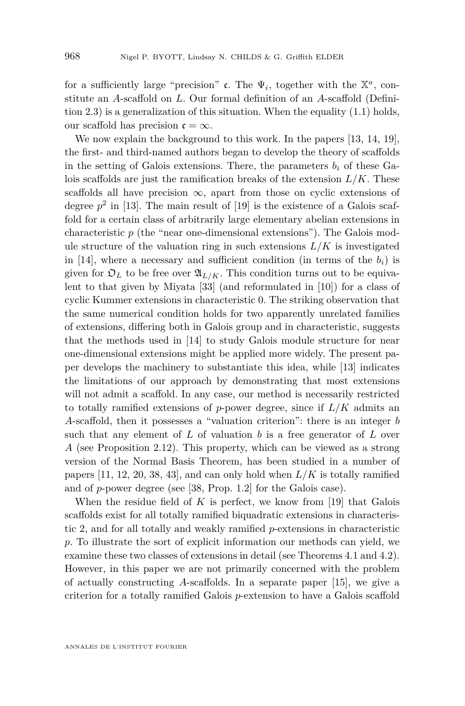for a sufficiently large "precision" c. The  $\Psi_i$ , together with the  $\mathbb{X}^a$ , constitute an *A*-scaffold on *L*. Our formal definition of an *A*-scaffold (Definition [2.3\)](#page-7-0) is a generalization of this situation. When the equality [\(1.1\)](#page-3-0) holds, our scaffold has precision  $\mathfrak{c} = \infty$ .

We now explain the background to this work. In the papers [\[13,](#page-45-9) [14,](#page-45-10) [19\]](#page-45-11), the first- and third-named authors began to develop the theory of scaffolds in the setting of Galois extensions. There, the parameters  $b_i$  of these Galois scaffolds are just the ramification breaks of the extension  $L/K$ . These scaffolds all have precision  $\infty$ , apart from those on cyclic extensions of degree  $p^2$  in [\[13\]](#page-45-9). The main result of [\[19\]](#page-45-11) is the existence of a Galois scaffold for a certain class of arbitrarily large elementary abelian extensions in characteristic *p* (the "near one-dimensional extensions"). The Galois module structure of the valuation ring in such extensions  $L/K$  is investigated in [\[14\]](#page-45-10), where a necessary and sufficient condition (in terms of the  $b_i$ ) is given for  $\mathfrak{O}_L$  to be free over  $\mathfrak{A}_{L/K}$ . This condition turns out to be equivalent to that given by Miyata [\[33\]](#page-45-5) (and reformulated in [\[10\]](#page-44-4)) for a class of cyclic Kummer extensions in characteristic 0. The striking observation that the same numerical condition holds for two apparently unrelated families of extensions, differing both in Galois group and in characteristic, suggests that the methods used in [\[14\]](#page-45-10) to study Galois module structure for near one-dimensional extensions might be applied more widely. The present paper develops the machinery to substantiate this idea, while [\[13\]](#page-45-9) indicates the limitations of our approach by demonstrating that most extensions will not admit a scaffold. In any case, our method is necessarily restricted to totally ramified extensions of  $p$ -power degree, since if  $L/K$  admits an *A*-scaffold, then it possesses a "valuation criterion": there is an integer *b* such that any element of *L* of valuation *b* is a free generator of *L* over *A* (see Proposition [2.12\)](#page-11-0). This property, which can be viewed as a strong version of the Normal Basis Theorem, has been studied in a number of papers  $[11, 12, 20, 38, 43]$  $[11, 12, 20, 38, 43]$  $[11, 12, 20, 38, 43]$  $[11, 12, 20, 38, 43]$  $[11, 12, 20, 38, 43]$  $[11, 12, 20, 38, 43]$  $[11, 12, 20, 38, 43]$  $[11, 12, 20, 38, 43]$  $[11, 12, 20, 38, 43]$ , and can only hold when  $L/K$  is totally ramified and of *p*-power degree (see [\[38,](#page-46-3) Prop. 1.2] for the Galois case).

When the residue field of *K* is perfect, we know from [\[19\]](#page-45-11) that Galois scaffolds exist for all totally ramified biquadratic extensions in characteristic 2, and for all totally and weakly ramified *p*-extensions in characteristic *p*. To illustrate the sort of explicit information our methods can yield, we examine these two classes of extensions in detail (see Theorems [4.1](#page-23-0) and [4.2\)](#page-26-0). However, in this paper we are not primarily concerned with the problem of actually constructing *A*-scaffolds. In a separate paper [\[15\]](#page-45-13), we give a criterion for a totally ramified Galois *p*-extension to have a Galois scaffold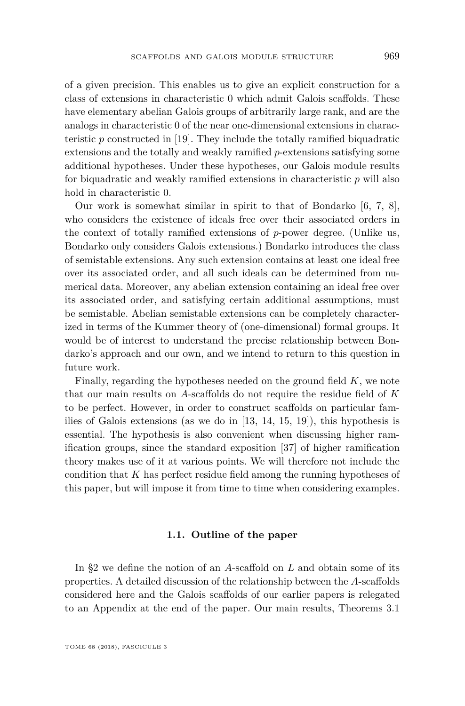of a given precision. This enables us to give an explicit construction for a class of extensions in characteristic 0 which admit Galois scaffolds. These have elementary abelian Galois groups of arbitrarily large rank, and are the analogs in characteristic 0 of the near one-dimensional extensions in characteristic *p* constructed in [\[19\]](#page-45-11). They include the totally ramified biquadratic extensions and the totally and weakly ramified *p*-extensions satisfying some additional hypotheses. Under these hypotheses, our Galois module results for biquadratic and weakly ramified extensions in characteristic *p* will also hold in characteristic 0.

Our work is somewhat similar in spirit to that of Bondarko [\[6,](#page-44-7) [7,](#page-44-3) [8\]](#page-44-8), who considers the existence of ideals free over their associated orders in the context of totally ramified extensions of *p*-power degree. (Unlike us, Bondarko only considers Galois extensions.) Bondarko introduces the class of semistable extensions. Any such extension contains at least one ideal free over its associated order, and all such ideals can be determined from numerical data. Moreover, any abelian extension containing an ideal free over its associated order, and satisfying certain additional assumptions, must be semistable. Abelian semistable extensions can be completely characterized in terms of the Kummer theory of (one-dimensional) formal groups. It would be of interest to understand the precise relationship between Bondarko's approach and our own, and we intend to return to this question in future work.

Finally, regarding the hypotheses needed on the ground field *K*, we note that our main results on *A*-scaffolds do not require the residue field of *K* to be perfect. However, in order to construct scaffolds on particular families of Galois extensions (as we do in [\[13,](#page-45-9) [14,](#page-45-10) [15,](#page-45-13) [19\]](#page-45-11)), this hypothesis is essential. The hypothesis is also convenient when discussing higher ramification groups, since the standard exposition [\[37\]](#page-46-5) of higher ramification theory makes use of it at various points. We will therefore not include the condition that *K* has perfect residue field among the running hypotheses of this paper, but will impose it from time to time when considering examples.

#### **1.1. Outline of the paper**

In [§2](#page-6-0) we define the notion of an *A*-scaffold on *L* and obtain some of its properties. A detailed discussion of the relationship between the *A*-scaffolds considered here and the Galois scaffolds of our earlier papers is relegated to an Appendix at the end of the paper. Our main results, Theorems [3.1](#page-13-0)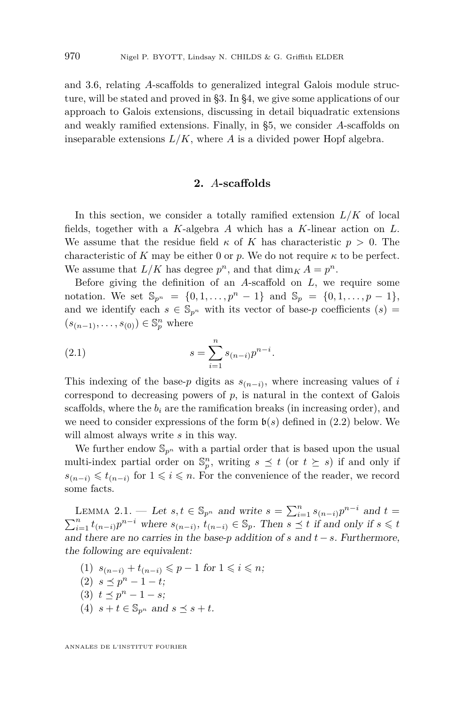and [3.6,](#page-15-0) relating *A*-scaffolds to generalized integral Galois module structure, will be stated and proved in [§3.](#page-12-0) In [§4,](#page-22-0) we give some applications of our approach to Galois extensions, discussing in detail biquadratic extensions and weakly ramified extensions. Finally, in [§5,](#page-32-0) we consider *A*-scaffolds on inseparable extensions  $L/K$ , where A is a divided power Hopf algebra.

#### **2.** *A***-scaffolds**

<span id="page-6-0"></span>In this section, we consider a totally ramified extension  $L/K$  of local fields, together with a *K*-algebra *A* which has a *K*-linear action on *L*. We assume that the residue field  $\kappa$  of K has characteristic  $p > 0$ . The characteristic of *K* may be either 0 or *p*. We do not require  $\kappa$  to be perfect. We assume that  $L/K$  has degree  $p^n$ , and that  $\dim_K A = p^n$ .

Before giving the definition of an *A*-scaffold on *L*, we require some notation. We set  $\mathbb{S}_{p^n} = \{0, 1, \ldots, p^n - 1\}$  and  $\mathbb{S}_p = \{0, 1, \ldots, p - 1\}$ , and we identify each  $s \in \mathbb{S}_{p^n}$  with its vector of base-p coefficients  $(s)$  =  $(s_{(n-1)},\ldots,s_{(0)})\in\mathbb{S}_{p}^{n}$  where

<span id="page-6-4"></span>(2.1) 
$$
s = \sum_{i=1}^{n} s_{(n-i)} p^{n-i}.
$$

This indexing of the base- $p$  digits as  $s_{(n-i)}$ , where increasing values of  $i$ correspond to decreasing powers of  $p$ , is natural in the context of Galois scaffolds, where the  $b_i$  are the ramification breaks (in increasing order), and we need to consider expressions of the form  $\mathfrak{b}(s)$  defined in [\(2.2\)](#page-7-1) below. We will almost always write *s* in this way.

We further endow  $\mathbb{S}_{p^n}$  with a partial order that is based upon the usual multi-index partial order on  $\mathbb{S}_p^n$ , writing  $s \preceq t$  (or  $t \succeq s$ ) if and only if  $s_{(n-i)}$  ≤  $t_{(n-i)}$  for  $1 \leq i \leq n$ . For the convenience of the reader, we record some facts.

<span id="page-6-3"></span>LEMMA 2.1. — Let  $s, t \in \mathbb{S}_{p^n}$  and write  $s = \sum_{i=1}^n s_{(n-i)} p^{n-i}$  and  $t =$  $\sum_{i=1}^{n} t_{(n-i)} p^{n-i}$  where  $s_{(n-i)}$ ,  $t_{(n-i)} \in \mathbb{S}_p$ . Then  $s \preceq t$  if and only if  $s \leq t$ and there are no carries in the base-*p* addition of *s* and *t* − *s*. Furthermore, the following are equivalent:

- <span id="page-6-1"></span>(1)  $s_{(n-i)} + t_{(n-i)} \leq p-1$  for  $1 \leq i \leq n$ ;
- $(2)$   $s \leq p^{n} 1 t;$
- (3)  $t \leq p^n 1 s;$
- <span id="page-6-2"></span>(4)  $s + t \in \mathbb{S}_{p^n}$  and  $s \preceq s + t$ .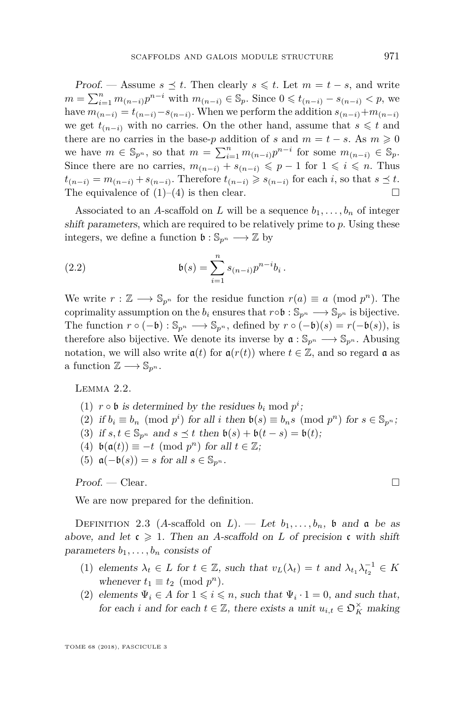Proof. — Assume  $s \leq t$ . Then clearly  $s \leq t$ . Let  $m = t - s$ , and write *m* =  $\sum_{i=1}^{n} m_{(n-i)} p^{n-i}$  with  $m_{(n-i)} \in \mathbb{S}_p$ . Since  $0 \leq t_{(n-i)} - s_{(n-i)} < p$ , we have  $m_{(n-i)} = t_{(n-i)} - s_{(n-i)}$ . When we perform the addition  $s_{(n-i)} + m_{(n-i)}$ we get  $t_{(n-i)}$  with no carries. On the other hand, assume that  $s \leq t$  and there are no carries in the base-*p* addition of *s* and  $m = t - s$ . As  $m \geq 0$ we have  $m \in \mathbb{S}_{p^n}$ , so that  $m = \sum_{i=1}^n m_{(n-i)} p^{n-i}$  for some  $m_{(n-i)} \in \mathbb{S}_p$ . Since there are no carries,  $m_{(n-i)} + s_{(n-i)} \leqslant p-1$  for  $1 \leqslant i \leqslant n$ . Thus  $t_{(n-i)} = m_{(n-i)} + s_{(n-i)}$ . Therefore  $t_{(n-i)} \geqslant s_{(n-i)}$  for each *i*, so that  $s \leq t$ . The equivalence of  $(1)$ – $(4)$  is then clear.

Associated to an *A*-scaffold on *L* will be a sequence  $b_1, \ldots, b_n$  of integer shift parameters, which are required to be relatively prime to *p*. Using these integers, we define a function  $\mathfrak{b}: \mathbb{S}_{p^n} \longrightarrow \mathbb{Z}$  by

<span id="page-7-1"></span>(2.2) 
$$
\mathfrak{b}(s) = \sum_{i=1}^{n} s_{(n-i)} p^{n-i} b_i.
$$

We write  $r : \mathbb{Z} \longrightarrow \mathbb{S}_{p^n}$  for the residue function  $r(a) \equiv a \pmod{p^n}$ . The coprimality assumption on the  $b_i$  ensures that  $r \circ \mathfrak{b} : \mathbb{S}_{p^n} \longrightarrow \mathbb{S}_{p^n}$  is bijective. The function  $r \circ (-\mathfrak{b}) : \mathbb{S}_{p^n} \longrightarrow \mathbb{S}_{p^n}$ , defined by  $r \circ (-\mathfrak{b})(s) = r(-\mathfrak{b}(s))$ , is therefore also bijective. We denote its inverse by  $\mathfrak{a} : \mathbb{S}_{p^n} \longrightarrow \mathbb{S}_{p^n}$ . Abusing notation, we will also write  $a(t)$  for  $a(r(t))$  where  $t \in \mathbb{Z}$ , and so regard a as a function  $\mathbb{Z} \longrightarrow \mathbb{S}_{p^n}$ .

<span id="page-7-4"></span>Lemma 2.2.

(1)  $r \circ \mathfrak{b}$  is determined by the residues  $b_i \mod p^i$ ;

(2) if  $b_i \equiv b_n \pmod{p^i}$  for all *i* then  $b(s) \equiv b_n s \pmod{p^n}$  for  $s \in \mathbb{S}_{p^n}$ ;

- (3) if  $s, t \in \mathbb{S}_{p^n}$  and  $s \preceq t$  then  $\mathfrak{b}(s) + \mathfrak{b}(t-s) = \mathfrak{b}(t);$
- (4)  $\mathfrak{b}(\mathfrak{a}(t)) \equiv -t \pmod{p^n}$  for all  $t \in \mathbb{Z}$ ;
- (5)  $\mathfrak{a}(-\mathfrak{b}(s)) = s$  for all  $s \in \mathbb{S}_{p^n}$ .

 $Proof. - Clear.$ 

We are now prepared for the definition.

<span id="page-7-0"></span>DEFINITION 2.3 (A-scaffold on L). — Let  $b_1, \ldots, b_n$ , b and a be as above, and let  $\mathfrak{c} \geq 1$ . Then an *A*-scaffold on *L* of precision  $\mathfrak{c}$  with shift parameters  $b_1, \ldots, b_n$  consists of

- <span id="page-7-3"></span>(1) elements  $\lambda_t \in L$  for  $t \in \mathbb{Z}$ , such that  $v_L(\lambda_t) = t$  and  $\lambda_{t_1} \lambda_{t_2}^{-1} \in K$ whenever  $t_1 \equiv t_2 \pmod{p^n}$ .
- <span id="page-7-2"></span>(2) elements  $\Psi_i \in A$  for  $1 \leq i \leq n$ , such that  $\Psi_i \cdot 1 = 0$ , and such that, for each *i* and for each  $t \in \mathbb{Z}$ , there exists a unit  $u_{i,t} \in \mathfrak{O}_K^\times$  making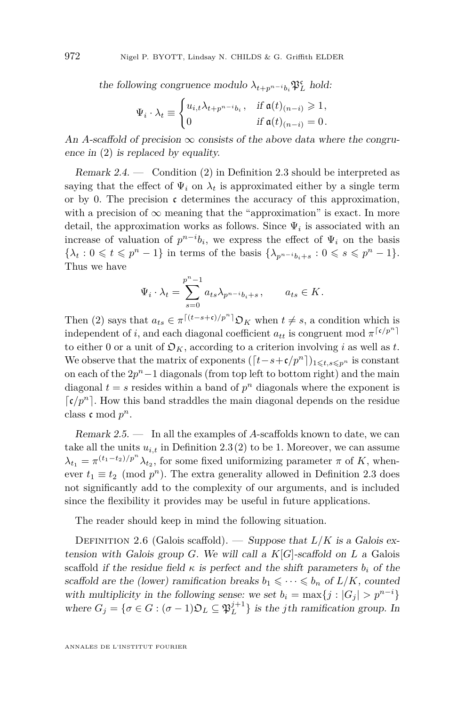the following congruence modulo  $\lambda_{t+p}$ <sup>*n*</sup>-*i*<sub>b</sub></sub><sup>*n*<sub>*L*</sub></sup> hold:

$$
\Psi_i \cdot \lambda_t \equiv \begin{cases} u_{i,t} \lambda_{t+p^{n-i}b_i}, & \text{if } \mathfrak{a}(t)_{(n-i)} \geq 1, \\ 0 & \text{if } \mathfrak{a}(t)_{(n-i)} = 0. \end{cases}
$$

An *A*-scaffold of precision  $\infty$  consists of the above data where the congruence in [\(2\)](#page-7-2) is replaced by equality.

Remark 2.4. — Condition [\(2\)](#page-7-2) in Definition [2.3](#page-7-0) should be interpreted as saying that the effect of  $\Psi_i$  on  $\lambda_t$  is approximated either by a single term or by 0. The precision  $\mathfrak c$  determines the accuracy of this approximation, with a precision of  $\infty$  meaning that the "approximation" is exact. In more detail, the approximation works as follows. Since  $\Psi_i$  is associated with an increase of valuation of  $p^{n-i}b_i$ , we express the effect of  $\Psi_i$  on the basis  $\{\lambda_t: 0 \leq t \leq p^n - 1\}$  in terms of the basis  $\{\lambda_{p^{n-i}b_i+s}: 0 \leq s \leq p^n - 1\}.$ Thus we have

$$
\Psi_i \cdot \lambda_t = \sum_{s=0}^{p^n - 1} a_{ts} \lambda_{p^{n-i}b_i + s}, \qquad a_{ts} \in K.
$$

Then [\(2\)](#page-7-2) says that  $a_{ts} \in \pi^{[(t-s+\mathfrak{c})/p^n]} \mathfrak{O}_K$  when  $t \neq s$ , a condition which is independent of *i*, and each diagonal coefficient  $a_{tt}$  is congruent mod  $\pi^{\lceil \mathfrak{c}/p^n \rceil}$ to either 0 or a unit of  $\mathfrak{O}_K$ , according to a criterion involving *i* as well as *t*. We observe that the matrix of exponents  $([t-s+\mathfrak{c}/p^n])_{1\leq t,s\leq p^n}$  is constant on each of the 2*p <sup>n</sup>*−1 diagonals (from top left to bottom right) and the main diagonal  $t = s$  resides within a band of  $p^n$  diagonals where the exponent is  $\lceil \mathfrak{c}/p^n \rceil$ . How this band straddles the main diagonal depends on the residue class  $\mathfrak c$  mod  $p^n$ .

Remark 2.5. — In all the examples of *A*-scaffolds known to date, we can take all the units  $u_{i,t}$  in Definition [2.3](#page-7-0)[\(2\)](#page-7-2) to be 1. Moreover, we can assume  $\lambda_{t_1} = \pi^{(t_1 - t_2)/p^n} \lambda_{t_2}$ , for some fixed uniformizing parameter *π* of *K*, whenever  $t_1 \equiv t_2 \pmod{p^n}$ . The extra generality allowed in Definition [2.3](#page-7-0) does not significantly add to the complexity of our arguments, and is included since the flexibility it provides may be useful in future applications.

The reader should keep in mind the following situation.

<span id="page-8-0"></span>DEFINITION 2.6 (Galois scaffold). — Suppose that  $L/K$  is a Galois extension with Galois group *G*. We will call a  $K[G]$ -scaffold on *L* a Galois scaffold if the residue field  $\kappa$  is perfect and the shift parameters  $b_i$  of the scaffold are the (lower) ramification breaks  $b_1 \leq \cdots \leq b_n$  of  $L/K$ , counted with multiplicity in the following sense: we set  $b_i = \max\{j : |G_i| > p^{n-i}\}\$ where  $G_j = \{ \sigma \in G : (\sigma - 1) \mathfrak{O}_L \subseteq \mathfrak{P}_L^{j+1} \}$  is the *j*th ramification group. In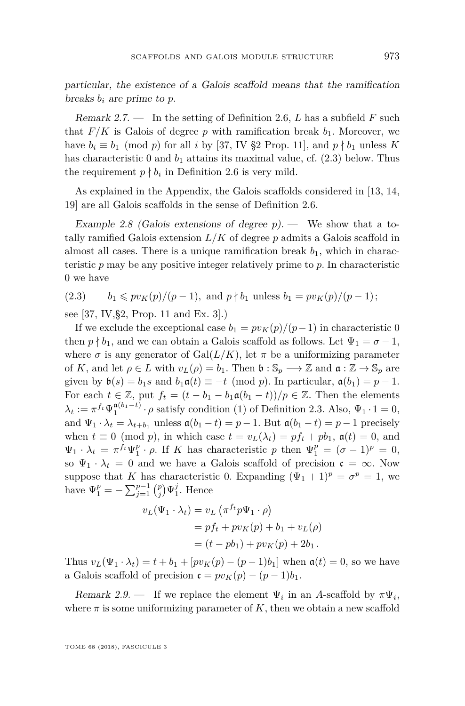particular, the existence of a Galois scaffold means that the ramification breaks  $b_i$  are prime to  $p$ .

Remark 2.7. — In the setting of Definition [2.6,](#page-8-0) *L* has a subfield *F* such that  $F/K$  is Galois of degree p with ramification break  $b_1$ . Moreover, we have  $b_i \equiv b_1 \pmod{p}$  for all *i* by [\[37,](#page-46-5) IV §2 Prop. 11], and  $p \nmid b_1$  unless K has characteristic 0 and  $b_1$  attains its maximal value, cf. [\(2.3\)](#page-9-0) below. Thus the requirement  $p \nmid b_i$  in Definition [2.6](#page-8-0) is very mild.

As explained in the Appendix, the Galois scaffolds considered in [\[13,](#page-45-9) [14,](#page-45-10) [19\]](#page-45-11) are all Galois scaffolds in the sense of Definition [2.6.](#page-8-0)

<span id="page-9-1"></span>Example 2.8 (Galois extensions of degree  $p$ ). — We show that a totally ramified Galois extension *L/K* of degree *p* admits a Galois scaffold in almost all cases. There is a unique ramification break  $b_1$ , which in characteristic *p* may be any positive integer relatively prime to *p*. In characteristic 0 we have

<span id="page-9-0"></span> $b_1 \leqslant pv_K(p)/(p-1)$ , and  $p \nmid b_1$  unless  $b_1 = pv_K(p)/(p-1)$ ;

see [\[37,](#page-46-5) IV,§2, Prop. 11 and Ex. 3].)

If we exclude the exceptional case  $b_1 = pv_K(p)/(p-1)$  in characteristic 0 then  $p \nmid b_1$ , and we can obtain a Galois scaffold as follows. Let  $\Psi_1 = \sigma - 1$ , where  $\sigma$  is any generator of Gal $(L/K)$ , let  $\pi$  be a uniformizing parameter of *K*, and let  $\rho \in L$  with  $v_L(\rho) = b_1$ . Then  $\mathfrak{b} : \mathbb{S}_p \longrightarrow \mathbb{Z}$  and  $\mathfrak{a} : \mathbb{Z} \to \mathbb{S}_p$  are given by  $\mathfrak{b}(s) = b_1 s$  and  $b_1 \mathfrak{a}(t) \equiv -t \pmod{p}$ . In particular,  $\mathfrak{a}(b_1) = p - 1$ . For each  $t \in \mathbb{Z}$ , put  $f_t = (t - b_1 - b_1 \mathfrak{a}(b_1 - t))/p \in \mathbb{Z}$ . Then the elements  $\lambda_t := \pi^{f_t} \Psi_1^{\mathfrak{a}(b_1 - t)} \cdot \rho$  satisfy condition [\(1\)](#page-7-3) of Definition [2.3.](#page-7-0) Also,  $\Psi_1 \cdot 1 = 0$ , and  $\Psi_1 \cdot \lambda_t = \lambda_{t+b_1}$  unless  $\mathfrak{a}(b_1 - t) = p - 1$ . But  $\mathfrak{a}(b_1 - t) = p - 1$  precisely when  $t \equiv 0 \pmod{p}$ , in which case  $t = v_L(\lambda_t) = pf_t + pb_1$ ,  $\mathfrak{a}(t) = 0$ , and  $\Psi_1 \cdot \lambda_t = \pi^{f_t} \Psi_1^p \cdot \rho$ . If *K* has characteristic *p* then  $\Psi_1^p = (\sigma - 1)^p = 0$ , so  $\Psi_1 \cdot \lambda_t = 0$  and we have a Galois scaffold of precision  $\mathfrak{c} = \infty$ . Now suppose that *K* has characteristic 0. Expanding  $(\Psi_1 + 1)^p = \sigma^p = 1$ , we have  $\Psi_1^p = -\sum_{j=1}^{p-1} {p \choose j} \Psi_1^j$ . Hence

$$
v_L(\Psi_1 \cdot \lambda_t) = v_L (\pi^{f_t} p \Psi_1 \cdot \rho)
$$
  
=  $p f_t + p v_K(p) + b_1 + v_L(\rho)$   
=  $(t - p b_1) + p v_K(p) + 2b_1$ .

Thus  $v_L(\Psi_1 \cdot \lambda_t) = t + b_1 + [pv_K(p) - (p-1)b_1]$  when  $a(t) = 0$ , so we have a Galois scaffold of precision  $\mathfrak{c} = pv_K(p) - (p-1)b_1$ .

<span id="page-9-2"></span>Remark 2.9. — If we replace the element  $\Psi_i$  in an A-scaffold by  $\pi \Psi_i$ , where  $\pi$  is some uniformizing parameter of  $K$ , then we obtain a new scaffold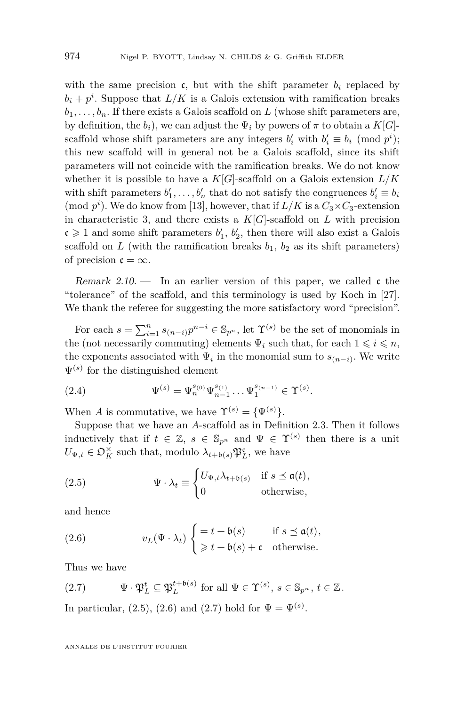with the same precision  $\mathfrak{c}$ , but with the shift parameter  $b_i$  replaced by  $b_i + p^i$ . Suppose that  $L/K$  is a Galois extension with ramification breaks  $b_1, \ldots, b_n$ . If there exists a Galois scaffold on *L* (whose shift parameters are, by definition, the  $b_i$ , we can adjust the  $\Psi_i$  by powers of  $\pi$  to obtain a  $K[G]$ scaffold whose shift parameters are any integers  $b'_i$  with  $b'_i \equiv b_i \pmod{p^i}$ ; this new scaffold will in general not be a Galois scaffold, since its shift parameters will not coincide with the ramification breaks. We do not know whether it is possible to have a  $K[G]$ -scaffold on a Galois extension  $L/K$ with shift parameters  $b'_1, \ldots, b'_n$  that do not satisfy the congruences  $b'_i \equiv b_i$ (mod  $p^i$ ). We do know from [\[13\]](#page-45-9), however, that if  $L/K$  is a  $C_3 \times C_3$ -extension in characteristic 3, and there exists a  $K[G]$ -scaffold on  $L$  with precision  $c \geq 1$  and some shift parameters  $b'_1$ ,  $b'_2$ , then there will also exist a Galois scaffold on *L* (with the ramification breaks  $b_1$ ,  $b_2$  as its shift parameters) of precision  $\mathfrak{c} = \infty$ .

Remark 2.10.  $\qquad$  In an earlier version of this paper, we called c the "tolerance" of the scaffold, and this terminology is used by Koch in [\[27\]](#page-45-6). We thank the referee for suggesting the more satisfactory word "precision".

For each  $s = \sum_{i=1}^{n} s_{(n-i)} p^{n-i} \in \mathbb{S}_{p^n}$ , let  $\Upsilon^{(s)}$  be the set of monomials in the (not necessarily commuting) elements  $\Psi_i$  such that, for each  $1 \leq i \leq n$ , the exponents associated with  $\Psi_i$  in the monomial sum to  $s_{(n-i)}$ . We write  $\Psi^{(s)}$  for the distinguished element

<span id="page-10-3"></span>(2.4) 
$$
\Psi^{(s)} = \Psi_n^{s_{(0)}} \Psi_{n-1}^{s_{(1)}} \dots \Psi_1^{s_{(n-1)}} \in \Upsilon^{(s)}.
$$

When *A* is commutative, we have  $\Upsilon^{(s)} = {\Psi^{(s)}}$ .

Suppose that we have an *A*-scaffold as in Definition [2.3.](#page-7-0) Then it follows inductively that if  $t \in \mathbb{Z}$ ,  $s \in \mathbb{S}_{p^n}$  and  $\Psi \in \Upsilon^{(s)}$  then there is a unit  $U_{\Psi,t} \in \mathfrak{O}_K^{\times}$  such that, modulo  $\lambda_{t+\mathfrak{b}(s)} \mathfrak{P}_L^{\mathfrak{c}}$ , we have

<span id="page-10-0"></span>(2.5) 
$$
\Psi \cdot \lambda_t \equiv \begin{cases} U_{\Psi, t} \lambda_{t+\mathfrak{b}(s)} & \text{if } s \leq \mathfrak{a}(t), \\ 0 & \text{otherwise,} \end{cases}
$$

and hence

<span id="page-10-1"></span>(2.6) 
$$
v_L(\Psi \cdot \lambda_t) \begin{cases} = t + \mathfrak{b}(s) & \text{if } s \preceq \mathfrak{a}(t), \\ \geq t + \mathfrak{b}(s) + \mathfrak{c} & \text{otherwise.} \end{cases}
$$

Thus we have

<span id="page-10-2"></span>(2.7) 
$$
\Psi \cdot \mathfrak{P}_L^t \subseteq \mathfrak{P}_L^{t+\mathfrak{b}(s)} \text{ for all } \Psi \in \Upsilon^{(s)}, s \in \mathbb{S}_{p^n}, t \in \mathbb{Z}.
$$

In particular,  $(2.5)$ ,  $(2.6)$  and  $(2.7)$  hold for  $\Psi = \Psi^{(s)}$ .

ANNALES DE L'INSTITUT FOURIER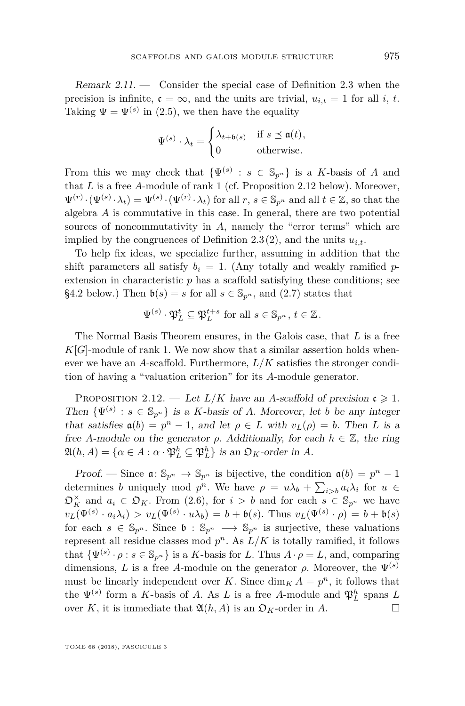<span id="page-11-1"></span>Remark  $2.11.$  — Consider the special case of Definition [2.3](#page-7-0) when the precision is infinite,  $\mathfrak{c} = \infty$ , and the units are trivial,  $u_{i,t} = 1$  for all *i*, *t*. Taking  $\Psi = \Psi^{(s)}$  in [\(2.5\)](#page-10-0), we then have the equality

$$
\Psi^{(s)} \cdot \lambda_t = \begin{cases} \lambda_{t+\mathfrak{b}(s)} & \text{if } s \leq \mathfrak{a}(t), \\ 0 & \text{otherwise.} \end{cases}
$$

From this we may check that  $\{\Psi^{(s)} : s \in \mathbb{S}_{p^n}\}\$ is a *K*-basis of *A* and that *L* is a free *A*-module of rank 1 (cf. Proposition [2.12](#page-11-0) below). Moreover,  $\Psi^{(r)} \cdot (\Psi^{(s)} \cdot \lambda_t) = \Psi^{(s)} \cdot (\Psi^{(r)} \cdot \lambda_t)$  for all  $r, s \in \mathbb{S}_{p^n}$  and all  $t \in \mathbb{Z}$ , so that the algebra *A* is commutative in this case. In general, there are two potential sources of noncommutativity in *A*, namely the "error terms" which are implied by the congruences of Definition [2.3\(](#page-7-0)[2\)](#page-7-2), and the units  $u_i$ .

To help fix ideas, we specialize further, assuming in addition that the shift parameters all satisfy  $b_i = 1$ . (Any totally and weakly ramified *p*extension in characteristic p has a scaffold satisfying these conditions; see [§4.2](#page-24-0) below.) Then  $\mathfrak{b}(s) = s$  for all  $s \in \mathbb{S}_{p^n}$ , and [\(2.7\)](#page-10-2) states that

$$
\Psi^{(s)} \cdot \mathfrak{P}_L^t \subseteq \mathfrak{P}_L^{t+s} \text{ for all } s \in \mathbb{S}_{p^n}, t \in \mathbb{Z}.
$$

The Normal Basis Theorem ensures, in the Galois case, that *L* is a free  $K[G]$ -module of rank 1. We now show that a similar assertion holds whenever we have an *A*-scaffold. Furthermore, *L/K* satisfies the stronger condition of having a "valuation criterion" for its *A*-module generator.

<span id="page-11-0"></span>PROPOSITION 2.12. — Let  $L/K$  have an *A*-scaffold of precision  $c \geq 1$ . Then  $\{\Psi^{(s)}: s \in \mathbb{S}_{p^n}\}\$ is a *K*-basis of *A*. Moreover, let *b* be any integer that satisfies  $a(b) = p^n - 1$ , and let  $\rho \in L$  with  $v_L(\rho) = b$ . Then *L* is a free *A*-module on the generator  $\rho$ . Additionally, for each  $h \in \mathbb{Z}$ , the ring  $\mathfrak{A}(h, A) = \{ \alpha \in A : \alpha \cdot \mathfrak{P}_L^h \subseteq \mathfrak{P}_L^h \}$  is an  $\mathfrak{O}_K$ -order in A.

Proof. — Since  $\mathfrak{a} \colon \mathbb{S}_{p^n} \to \mathbb{S}_{p^n}$  is bijective, the condition  $\mathfrak{a}(b) = p^n - 1$ determines *b* uniquely mod  $p^n$ . We have  $\rho = u\lambda_b + \sum_{i>b} a_i\lambda_i$  for  $u \in$  $\mathfrak{O}_K^{\times}$  and  $a_i \in \mathfrak{O}_K$ . From [\(2.6\)](#page-10-1), for  $i > b$  and for each  $s \in \mathbb{S}_{p^n}$  we have  $v_L(\Psi^{(s)} \cdot a_i \lambda_i) > v_L(\Psi^{(s)} \cdot u \lambda_b) = b + \mathfrak{b}(s)$ . Thus  $v_L(\Psi^{(s)} \cdot \rho) = b + \mathfrak{b}(s)$ for each  $s \in \mathbb{S}_{p^n}$ . Since  $\mathfrak{b} : \mathbb{S}_{p^n} \longrightarrow \mathbb{S}_{p^n}$  is surjective, these valuations represent all residue classes mod  $p^n$ . As  $L/K$  is totally ramified, it follows that  $\{\Psi^{(s)} \cdot \rho : s \in \mathbb{S}_{p^n}\}$  is a *K*-basis for *L*. Thus  $A \cdot \rho = L$ , and, comparing dimensions, *L* is a free *A*-module on the generator  $\rho$ . Moreover, the  $\Psi^{(s)}$ must be linearly independent over *K*. Since  $\dim_K A = p^n$ , it follows that the  $\Psi^{(s)}$  form a *K*-basis of *A*. As *L* is a free *A*-module and  $\mathfrak{P}_L^h$  spans *L* over *K*, it is immediate that  $\mathfrak{A}(h, A)$  is an  $\mathfrak{O}_K$ -order in *A*.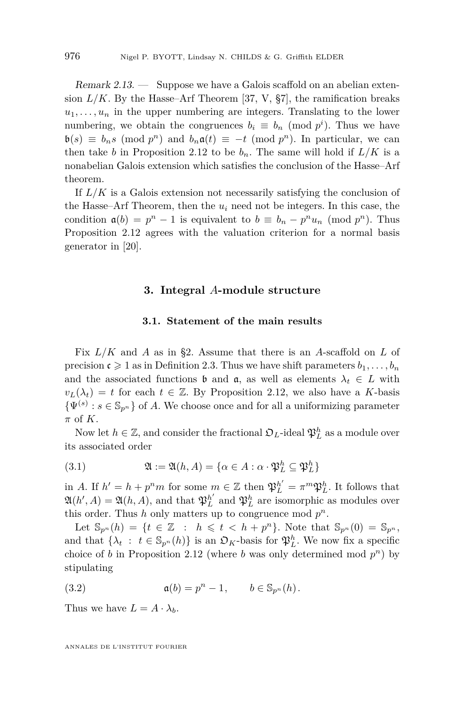<span id="page-12-3"></span>Remark 2.13. — Suppose we have a Galois scaffold on an abelian extension  $L/K$ . By the Hasse–Arf Theorem [\[37,](#page-46-5) V,  $\S7$ ], the ramification breaks  $u_1, \ldots, u_n$  in the upper numbering are integers. Translating to the lower numbering, we obtain the congruences  $b_i \equiv b_n \pmod{p^i}$ . Thus we have  $\mathfrak{b}(s) \equiv b_n s \pmod{p^n}$  and  $b_n \mathfrak{a}(t) \equiv -t \pmod{p^n}$ . In particular, we can then take *b* in Proposition [2.12](#page-11-0) to be  $b_n$ . The same will hold if  $L/K$  is a nonabelian Galois extension which satisfies the conclusion of the Hasse–Arf theorem.

If *L/K* is a Galois extension not necessarily satisfying the conclusion of the Hasse–Arf Theorem, then the  $u_i$  need not be integers. In this case, the condition  $a(b) = p^n - 1$  is equivalent to  $b \equiv b_n - p^n u_n \pmod{p^n}$ . Thus Proposition [2.12](#page-11-0) agrees with the valuation criterion for a normal basis generator in [\[20\]](#page-45-12).

#### **3. Integral** *A***-module structure**

#### **3.1. Statement of the main results**

<span id="page-12-0"></span>Fix *L/K* and *A* as in [§2.](#page-6-0) Assume that there is an *A*-scaffold on *L* of precision  $c \geq 1$  as in Definition [2.3.](#page-7-0) Thus we have shift parameters  $b_1, \ldots, b_n$ and the associated functions **b** and **a**, as well as elements  $\lambda_t \in L$  with  $v_L(\lambda_t) = t$  for each  $t \in \mathbb{Z}$ . By Proposition [2.12,](#page-11-0) we also have a *K*-basis  $\{\Psi^{(s)}: s \in \mathbb{S}_{p^n}\}\$  of *A*. We choose once and for all a uniformizing parameter *π* of *K*.

Now let  $h \in \mathbb{Z}$ , and consider the fractional  $\mathfrak{O}_L$ -ideal  $\mathfrak{P}_L^h$  as a module over its associated order

<span id="page-12-1"></span>(3.1) 
$$
\mathfrak{A} := \mathfrak{A}(h, A) = \{ \alpha \in A : \alpha \cdot \mathfrak{P}_L^h \subseteq \mathfrak{P}_L^h \}
$$

in *A*. If  $h' = h + p^n m$  for some  $m \in \mathbb{Z}$  then  $\mathfrak{P}_L^{h'} = \pi^m \mathfrak{P}_L^h$ . It follows that  $\mathfrak{A}(h', A) = \mathfrak{A}(h, A)$ , and that  $\mathfrak{P}_L^{h'}$  and  $\mathfrak{P}_L^h$  are isomorphic as modules over this order. Thus  $h$  only matters up to congruence mod  $p^n$ .

Let  $\mathbb{S}_{p^n}(h) = \{t \in \mathbb{Z} : h \leq t < h + p^n\}$ . Note that  $\mathbb{S}_{p^n}(0) = \mathbb{S}_{p^n}$ , and that  $\{\lambda_t : t \in \mathbb{S}_{p^n}(h)\}\$ is an  $\mathfrak{O}_K$ -basis for  $\mathfrak{P}_L^h$ . We now fix a specific choice of *b* in Proposition [2.12](#page-11-0) (where *b* was only determined mod  $p^n$ ) by stipulating

<span id="page-12-2"></span>(3.2) 
$$
\mathfrak{a}(b) = p^n - 1, \qquad b \in \mathbb{S}_{p^n}(h).
$$

Thus we have  $L = A \cdot \lambda_b$ .

ANNALES DE L'INSTITUT FOURIER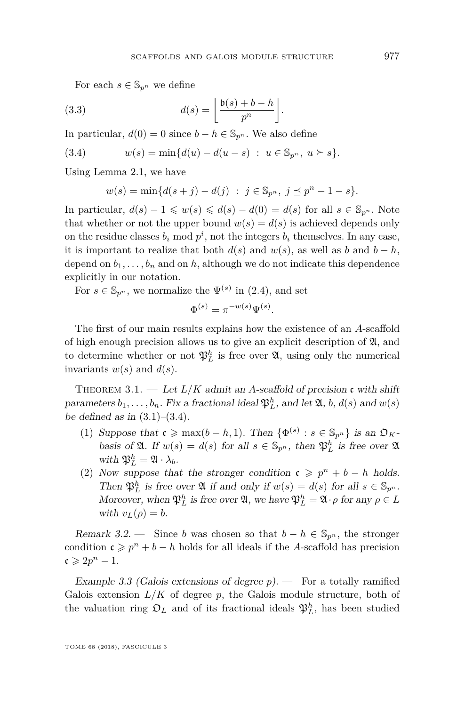<span id="page-13-4"></span>For each  $s \in \mathbb{S}_{p^n}$  we define

(3.3) 
$$
d(s) = \left\lfloor \frac{\mathfrak{b}(s) + b - h}{p^n} \right\rfloor.
$$

In particular,  $d(0) = 0$  since  $b - h \in \mathbb{S}_{p^n}$ . We also define

(3.4) 
$$
w(s) = \min\{d(u) - d(u - s) : u \in \mathbb{S}_{p^n}, u \succeq s\}.
$$

Using Lemma [2.1,](#page-6-3) we have

<span id="page-13-1"></span>
$$
w(s) = min{d(s + j) - d(j) : j \in \mathbb{S}_{p^n}, j \leq p^n - 1 - s}.
$$

In particular,  $d(s) - 1 \leq w(s) \leq d(s) - d(0) = d(s)$  for all  $s \in \mathbb{S}_{p^n}$ . Note that whether or not the upper bound  $w(s) = d(s)$  is achieved depends only on the residue classes  $b_i \mod p^i$ , not the integers  $b_i$  themselves. In any case, it is important to realize that both  $d(s)$  and  $w(s)$ , as well as *b* and  $b - h$ , depend on  $b_1, \ldots, b_n$  and on  $h$ , although we do not indicate this dependence explicitly in our notation.

For  $s \in \mathbb{S}_{p^n}$ , we normalize the  $\Psi^{(s)}$  in [\(2.4\)](#page-10-3), and set

$$
\Phi^{(s)} = \pi^{-w(s)} \Psi^{(s)}.
$$

The first of our main results explains how the existence of an *A*-scaffold of high enough precision allows us to give an explicit description of  $\mathfrak{A}$ , and to determine whether or not  $\mathfrak{P}_L^h$  is free over  $\mathfrak{A}$ , using only the numerical invariants  $w(s)$  and  $d(s)$ .

<span id="page-13-0"></span>THEOREM 3.1. — Let  $L/K$  admit an A-scaffold of precision c with shift parameters  $b_1, \ldots, b_n$ . Fix a fractional ideal  $\mathfrak{P}_L^h$ , and let  $\mathfrak{A}, b, d(s)$  and  $w(s)$ be defined as in  $(3.1)–(3.4)$  $(3.1)–(3.4)$  $(3.1)–(3.4)$ .

- <span id="page-13-2"></span>(1) Suppose that  $\mathfrak{c} \ge \max(b - h, 1)$ . Then  $\{\Phi^{(s)} : s \in \mathbb{S}_{p^n}\}\)$  is an  $\mathfrak{O}_K$ basis of  $\mathfrak{A}$ . If  $w(s) = d(s)$  for all  $s \in \mathbb{S}_{p^n}$ , then  $\mathfrak{P}_L^h$  is free over  $\mathfrak{A}$ with  $\mathfrak{P}_L^h = \mathfrak{A} \cdot \lambda_b$ .
- <span id="page-13-3"></span>(2) Now suppose that the stronger condition  $c \geq p^n + b - h$  holds. Then  $\mathfrak{P}_L^h$  is free over  $\mathfrak{A}$  if and only if  $w(s) = d(s)$  for all  $s \in \mathbb{S}_{p^n}$ . Moreover, when  $\mathfrak{P}_L^h$  is free over  $\mathfrak{A}$ , we have  $\mathfrak{P}_L^h = \mathfrak{A} \cdot \rho$  for any  $\rho \in L$ with  $v_L(\rho) = b$ .

Remark 3.2. — Since *b* was chosen so that  $b - h \in \mathbb{S}_{p^n}$ , the stronger condition  $c \geqslant p^n + b - h$  holds for all ideals if the *A*-scaffold has precision  $c \geqslant 2p^n - 1.$ 

<span id="page-13-5"></span>Example 3.3 (Galois extensions of degree *p*). — For a totally ramified Galois extension  $L/K$  of degree p, the Galois module structure, both of the valuation ring  $\mathfrak{O}_L$  and of its fractional ideals  $\mathfrak{P}_L^h$ , has been studied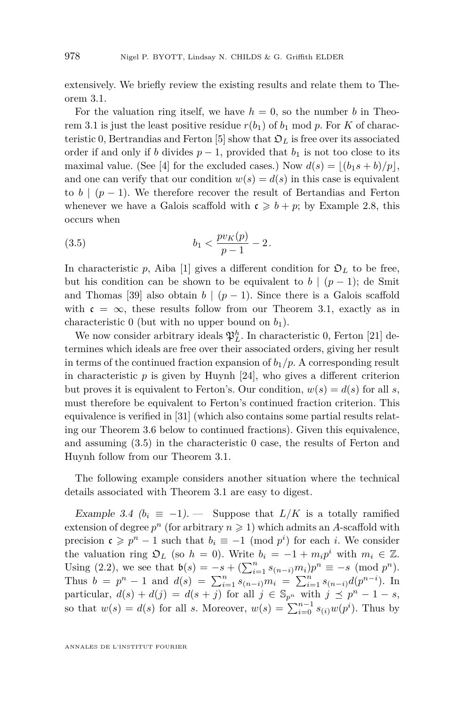extensively. We briefly review the existing results and relate them to Theorem [3.1.](#page-13-0)

For the valuation ring itself, we have  $h = 0$ , so the number *b* in Theo-rem [3.1](#page-13-0) is just the least positive residue  $r(b_1)$  of  $b_1$  mod  $p$ . For  $K$  of charac-teristic 0, Bertrandias and Ferton [\[5\]](#page-44-2) show that  $\mathcal{D}_L$  is free over its associated order if and only if *b* divides  $p-1$ , provided that  $b<sub>1</sub>$  is not too close to its maximal value. (See [\[4\]](#page-44-9) for the excluded cases.) Now  $d(s) = |(b_1s + b)/p|$ , and one can verify that our condition  $w(s) = d(s)$  in this case is equivalent to *b* |  $(p-1)$ . We therefore recover the result of Bertandias and Ferton whenever we have a Galois scaffold with  $c \geq b + p$ ; by Example [2.8,](#page-9-1) this occurs when

<span id="page-14-0"></span>(3.5) 
$$
b_1 < \frac{p v_K(p)}{p-1} - 2.
$$

In characteristic p, Aiba [\[1\]](#page-44-0) gives a different condition for  $\mathfrak{O}_L$  to be free, but his condition can be shown to be equivalent to  $b \mid (p-1)$ ; de Smit and Thomas [\[39\]](#page-46-0) also obtain  $b \mid (p-1)$ . Since there is a Galois scaffold with  $c = \infty$ , these results follow from our Theorem [3.1,](#page-13-0) exactly as in characteristic  $0$  (but with no upper bound on  $b_1$ ).

We now consider arbitrary ideals  $\mathfrak{P}^h_L$ . In characteristic 0, Ferton [\[21\]](#page-45-14) determines which ideals are free over their associated orders, giving her result in terms of the continued fraction expansion of  $b_1/p$ . A corresponding result in characteristic  $p$  is given by Huynh  $[24]$ , who gives a different criterion but proves it is equivalent to Ferton's. Our condition,  $w(s) = d(s)$  for all *s*, must therefore be equivalent to Ferton's continued fraction criterion. This equivalence is verified in [\[31\]](#page-45-16) (which also contains some partial results relating our Theorem [3.6](#page-15-0) below to continued fractions). Given this equivalence, and assuming [\(3.5\)](#page-14-0) in the characteristic 0 case, the results of Ferton and Huynh follow from our Theorem [3.1.](#page-13-0)

The following example considers another situation where the technical details associated with Theorem [3.1](#page-13-0) are easy to digest.

<span id="page-14-1"></span>Example 3.4  $(b_i \equiv -1)$ . Suppose that  $L/K$  is a totally ramified extension of degree  $p^n$  (for arbitrary  $n \geq 1$ ) which admits an *A*-scaffold with precision  $\mathfrak{c} \geqslant p^n - 1$  such that  $b_i \equiv -1 \pmod{p^i}$  for each *i*. We consider the valuation ring  $\mathfrak{O}_L$  (so  $h = 0$ ). Write  $b_i = -1 + m_i p^i$  with  $m_i \in \mathbb{Z}$ . Using [\(2.2\)](#page-7-1), we see that  $\mathfrak{b}(s) = -s + (\sum_{i=1}^{n} s_{(n-i)} m_i) p^n \equiv -s \pmod{p^n}$ . Thus  $b = p^n - 1$  and  $d(s) = \sum_{i=1}^n s_{(n-i)} m_i = \sum_{i=1}^n s_{(n-i)} d(p^{n-i})$ . In particular,  $d(s) + d(j) = d(s + j)$  for all  $j \in \mathbb{S}_{p^n}$  with  $j \preceq p^n - 1 - s$ , so that  $w(s) = d(s)$  for all *s*. Moreover,  $w(s) = \sum_{i=0}^{n-1} s_{(i)}w(p^i)$ . Thus by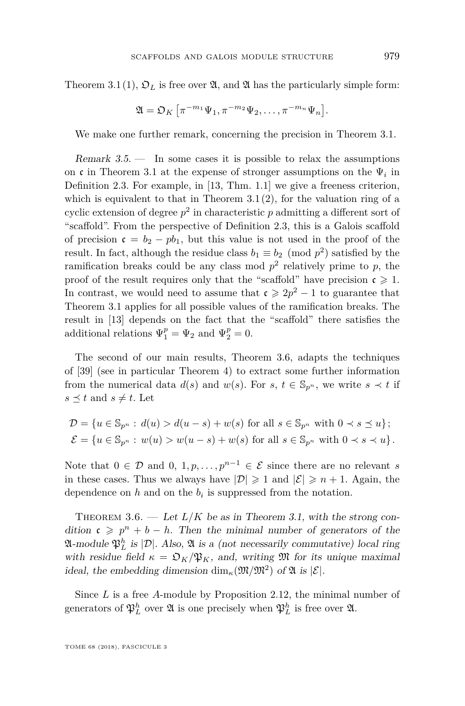Theorem [3.1](#page-13-0)[\(1\)](#page-13-2),  $\mathfrak{O}_L$  is free over  $\mathfrak{A}$ , and  $\mathfrak{A}$  has the particularly simple form:

$$
\mathfrak{A} = \mathfrak{O}_K \left[ \pi^{-m_1} \Psi_1, \pi^{-m_2} \Psi_2, \dots, \pi^{-m_n} \Psi_n \right]
$$

We make one further remark, concerning the precision in Theorem [3.1.](#page-13-0)

Remark  $3.5.$  — In some cases it is possible to relax the assumptions on c in Theorem [3.1](#page-13-0) at the expense of stronger assumptions on the  $\Psi_i$  in Definition [2.3.](#page-7-0) For example, in [\[13,](#page-45-9) Thm. 1.1] we give a freeness criterion, which is equivalent to that in Theorem  $3.1(2)$  $3.1(2)$ , for the valuation ring of a cyclic extension of degree  $p^2$  in characteristic  $p$  admitting a different sort of "scaffold". From the perspective of Definition [2.3,](#page-7-0) this is a Galois scaffold of precision  $c = b_2 - pb_1$ , but this value is not used in the proof of the result. In fact, although the residue class  $b_1 \equiv b_2 \pmod{p^2}$  satisfied by the ramification breaks could be any class mod  $p^2$  relatively prime to  $p$ , the proof of the result requires only that the "scaffold" have precision  $\mathfrak{c} \geq 1$ . In contrast, we would need to assume that  $\mathfrak{c} \geq 2p^2 - 1$  to guarantee that Theorem [3.1](#page-13-0) applies for all possible values of the ramification breaks. The result in [\[13\]](#page-45-9) depends on the fact that the "scaffold" there satisfies the additional relations  $\Psi_1^p = \Psi_2$  and  $\Psi_2^p = 0$ .

The second of our main results, Theorem [3.6,](#page-15-0) adapts the techniques of [\[39\]](#page-46-0) (see in particular Theorem 4) to extract some further information from the numerical data  $d(s)$  and  $w(s)$ . For  $s, t \in \mathbb{S}_{p^n}$ , we write  $s \prec t$  if  $s \preceq t$  and  $s \neq t$ . Let

$$
\mathcal{D} = \{ u \in \mathbb{S}_{p^n} : d(u) > d(u-s) + w(s) \text{ for all } s \in \mathbb{S}_{p^n} \text{ with } 0 \prec s \preceq u \};
$$
  

$$
\mathcal{E} = \{ u \in \mathbb{S}_{p^n} : w(u) > w(u-s) + w(s) \text{ for all } s \in \mathbb{S}_{p^n} \text{ with } 0 \prec s \prec u \}.
$$

Note that  $0 \in \mathcal{D}$  and  $0, 1, p, \ldots, p^{n-1} \in \mathcal{E}$  since there are no relevant *s* in these cases. Thus we always have  $|\mathcal{D}| \geq 1$  and  $|\mathcal{E}| \geq n+1$ . Again, the dependence on  $h$  and on the  $b_i$  is suppressed from the notation.

<span id="page-15-0"></span>THEOREM 3.6. — Let  $L/K$  be as in Theorem [3.1,](#page-13-0) with the strong condition  $c \geqslant p^n + b - h$ . Then the minimal number of generators of the  $\mathfrak{A}\text{-module } \mathfrak{P}_L^h$  is  $|\mathcal{D}|$ . Also,  $\mathfrak{A}$  is a (not necessarily commutative) local ring with residue field  $\kappa = \mathfrak{O}_K/\mathfrak{P}_K$ , and, writing  $\mathfrak{M}$  for its unique maximal ideal, the embedding dimension  $\dim_{\kappa}(\mathfrak{M}/\mathfrak{M}^2)$  of  $\mathfrak{A}$  is  $|\mathcal{E}|$ .

Since *L* is a free *A*-module by Proposition [2.12,](#page-11-0) the minimal number of generators of  $\mathfrak{P}_L^h$  over  $\mathfrak{A}$  is one precisely when  $\mathfrak{P}_L^h$  is free over  $\mathfrak{A}$ .

*.*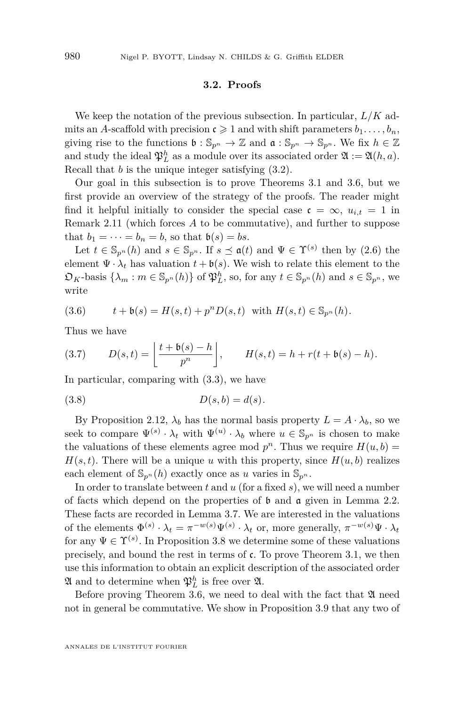#### **3.2. Proofs**

We keep the notation of the previous subsection. In particular, *L/K* admits an *A*-scaffold with precision  $c \geq 1$  and with shift parameters  $b_1, \ldots, b_n$ , giving rise to the functions  $\mathfrak{b} : \mathbb{S}_{p^n} \to \mathbb{Z}$  and  $\mathfrak{a} : \mathbb{S}_{p^n} \to \mathbb{S}_{p^n}$ . We fix  $h \in \mathbb{Z}$ and study the ideal  $\mathfrak{P}_L^h$  as a module over its associated order  $\mathfrak{A} := \mathfrak{A}(h, a)$ . Recall that *b* is the unique integer satisfying [\(3.2\)](#page-12-2).

Our goal in this subsection is to prove Theorems [3.1](#page-13-0) and [3.6,](#page-15-0) but we first provide an overview of the strategy of the proofs. The reader might find it helpful initially to consider the special case  $\mathfrak{c} = \infty$ ,  $u_{i,t} = 1$  in Remark [2.11](#page-11-1) (which forces *A* to be commutative), and further to suppose that  $b_1 = \cdots = b_n = b$ , so that  $b(s) = bs$ .

Let  $t \in \mathbb{S}_{p^n}(h)$  and  $s \in \mathbb{S}_{p^n}$ . If  $s \preceq \mathfrak{a}(t)$  and  $\Psi \in \Upsilon^{(s)}$  then by [\(2.6\)](#page-10-1) the element  $\Psi \cdot \lambda_t$  has valuation  $t + \mathfrak{b}(s)$ . We wish to relate this element to the  $\mathfrak{O}_K$ -basis  $\{\lambda_m : m \in \mathbb{S}_{p^n}(h)\}$  of  $\mathfrak{P}_L^h$ , so, for any  $t \in \mathbb{S}_{p^n}(h)$  and  $s \in \mathbb{S}_{p^n}$ , we write

<span id="page-16-1"></span>(3.6) 
$$
t + \mathfrak{b}(s) = H(s,t) + p^n D(s,t)
$$
 with  $H(s,t) \in \mathbb{S}_{p^n}(h)$ .

Thus we have

<span id="page-16-0"></span>(3.7) 
$$
D(s,t) = \left\lfloor \frac{t + \mathfrak{b}(s) - h}{p^n} \right\rfloor, \qquad H(s,t) = h + r(t + \mathfrak{b}(s) - h).
$$

In particular, comparing with [\(3.3\)](#page-13-4), we have

<span id="page-16-2"></span>
$$
(3.8) \t\t D(s,b) = d(s).
$$

By Proposition [2.12,](#page-11-0)  $\lambda_b$  has the normal basis property  $L = A \cdot \lambda_b$ , so we seek to compare  $\Psi^{(s)} \cdot \lambda_t$  with  $\Psi^{(u)} \cdot \lambda_b$  where  $u \in \mathbb{S}_{p^n}$  is chosen to make the valuations of these elements agree mod  $p^n$ . Thus we require  $H(u, b) =$  $H(s,t)$ . There will be a unique *u* with this property, since  $H(u, b)$  realizes each element of  $\mathbb{S}_{p^n}(h)$  exactly once as *u* varies in  $\mathbb{S}_{p^n}$ .

In order to translate between *t* and *u* (for a fixed *s*), we will need a number of facts which depend on the properties of  $\mathfrak b$  and  $\mathfrak a$  given in Lemma [2.2.](#page-7-4) These facts are recorded in Lemma [3.7.](#page-17-0) We are interested in the valuations of the elements  $\Phi^{(s)} \cdot \lambda_t = \pi^{-w(s)} \Psi^{(s)} \cdot \lambda_t$  or, more generally,  $\pi^{-w(s)} \Psi \cdot \lambda_t$ for any  $\Psi \in \Upsilon^{(s)}$ . In Proposition [3.8](#page-18-0) we determine some of these valuations precisely, and bound the rest in terms of  $\mathfrak{c}$ . To prove Theorem [3.1,](#page-13-0) we then use this information to obtain an explicit description of the associated order  $\mathfrak{A}$  and to determine when  $\mathfrak{P}_L^h$  is free over  $\mathfrak{A}$ .

Before proving Theorem [3.6,](#page-15-0) we need to deal with the fact that  $\mathfrak A$  need not in general be commutative. We show in Proposition [3.9](#page-20-0) that any two of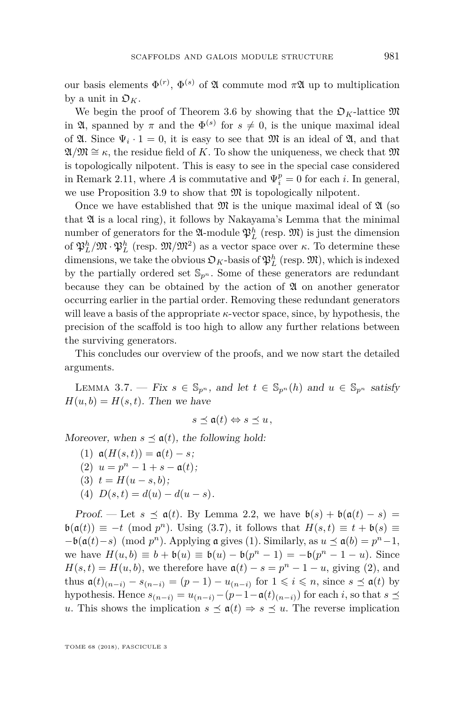our basis elements  $\Phi^{(r)}$ ,  $\Phi^{(s)}$  of  $\mathfrak A$  commute mod  $\pi \mathfrak A$  up to multiplication by a unit in  $\mathfrak{O}_K$ .

We begin the proof of Theorem [3.6](#page-15-0) by showing that the  $\mathcal{D}_K$ -lattice  $\mathfrak{M}$ in  $\mathfrak{A}$ , spanned by  $\pi$  and the  $\Phi^{(s)}$  for  $s \neq 0$ , is the unique maximal ideal of  $\mathfrak{A}$ . Since  $\Psi_i \cdot 1 = 0$ , it is easy to see that  $\mathfrak{M}$  is an ideal of  $\mathfrak{A}$ , and that  $\mathfrak{A}/\mathfrak{M} \cong \kappa$ , the residue field of *K*. To show the uniqueness, we check that M is topologically nilpotent. This is easy to see in the special case considered in Remark [2.11,](#page-11-1) where *A* is commutative and  $\Psi_i^p = 0$  for each *i*. In general, we use Proposition [3.9](#page-20-0) to show that  $\mathfrak{M}$  is topologically nilpotent.

Once we have established that  $\mathfrak{M}$  is the unique maximal ideal of  $\mathfrak{A}$  (so that  $\mathfrak A$  is a local ring), it follows by Nakayama's Lemma that the minimal number of generators for the  $\mathfrak{A}\text{-module } \mathfrak{P}_L^h$  (resp.  $\mathfrak{M}$ ) is just the dimension of  $\mathfrak{P}_L^h/\mathfrak{M}\cdot\mathfrak{P}_L^h$  (resp.  $\mathfrak{M}/\mathfrak{M}^2$ ) as a vector space over *κ*. To determine these dimensions, we take the obvious  $\mathfrak{O}_K$ -basis of  $\mathfrak{P}^h_L$  (resp.  $\mathfrak{M}$ ), which is indexed by the partially ordered set  $\mathbb{S}_{p^n}$ . Some of these generators are redundant because they can be obtained by the action of  $\mathfrak A$  on another generator occurring earlier in the partial order. Removing these redundant generators will leave a basis of the appropriate  $\kappa$ -vector space, since, by hypothesis, the precision of the scaffold is too high to allow any further relations between the surviving generators.

This concludes our overview of the proofs, and we now start the detailed arguments.

<span id="page-17-0"></span>LEMMA 3.7. — Fix  $s \in \mathbb{S}_{p^n}$ , and let  $t \in \mathbb{S}_{p^n}(h)$  and  $u \in \mathbb{S}_{p^n}$  satisfy  $H(u, b) = H(s, t)$ . Then we have

$$
s\preceq \mathfrak{a}(t)\Leftrightarrow s\preceq u\,,
$$

<span id="page-17-1"></span>Moreover, when  $s \preceq \mathfrak{a}(t)$ , the following hold:

<span id="page-17-3"></span><span id="page-17-2"></span>(1)  $a(H(s,t)) = a(t) - s;$ (2)  $u = p^n - 1 + s - a(t);$ (3)  $t = H(u - s, b);$ (4)  $D(s,t) = d(u) - d(u-s).$ 

<span id="page-17-4"></span>Proof. — Let  $s \preceq \mathfrak{a}(t)$ . By Lemma [2.2,](#page-7-4) we have  $\mathfrak{b}(s) + \mathfrak{b}(\mathfrak{a}(t) - s) =$  $\mathfrak{b}(\mathfrak{a}(t)) \equiv -t \pmod{p^n}$ . Using [\(3.7\)](#page-16-0), it follows that  $H(s,t) \equiv t + \mathfrak{b}(s) \equiv$  $-\mathfrak{b}(\mathfrak{a}(t)-s) \pmod{p^n}$ . Applying **a** gives [\(1\)](#page-17-1). Similarly, as  $u \preceq \mathfrak{a}(b) = p^n - 1$ , we have  $H(u, b) \equiv b + b(u) \equiv b(u) - b(p^n - 1) = -b(p^n - 1 - u)$ . Since  $H(s,t) = H(u,b)$ , we therefore have  $a(t) - s = p^n - 1 - u$ , giving [\(2\)](#page-17-2), and thus  $\mathfrak{a}(t)_{(n-i)} - s_{(n-i)} = (p-1) - u_{(n-i)}$  for  $1 \leq i \leq n$ , since  $s \leq \mathfrak{a}(t)$  by hypothesis. Hence  $s_{(n-i)} = u_{(n-i)} - (p-1-a(t)_{(n-i)})$  for each *i*, so that  $s \leq$ *u*. This shows the implication  $s \preceq \mathfrak{a}(t) \Rightarrow s \preceq u$ . The reverse implication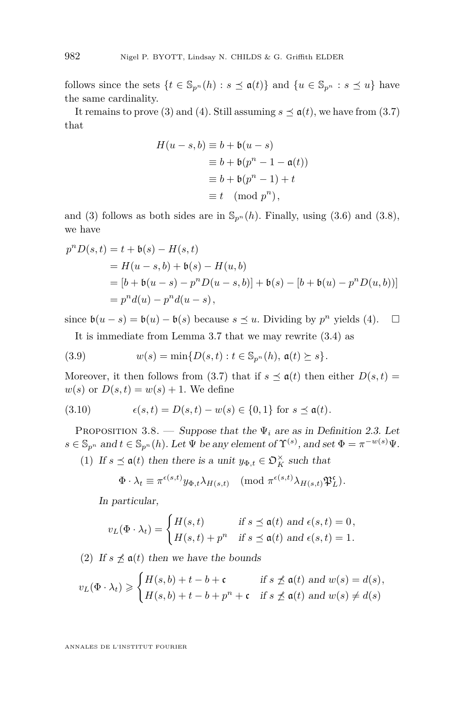follows since the sets  $\{t \in \mathbb{S}_{p^n}(h) : s \leq \mathfrak{a}(t)\}\$ and  $\{u \in \mathbb{S}_{p^n} : s \leq u\}$  have the same cardinality.

It remains to prove [\(3\)](#page-17-3) and [\(4\)](#page-17-4). Still assuming  $s \preceq \mathfrak{a}(t)$ , we have from [\(3.7\)](#page-16-0) that

$$
H(u-s,b) \equiv b + b(u-s)
$$
  
\n
$$
\equiv b + b(p^n - 1 - a(t))
$$
  
\n
$$
\equiv b + b(p^n - 1) + t
$$
  
\n
$$
\equiv t \pmod{p^n},
$$

and [\(3\)](#page-17-3) follows as both sides are in  $\mathbb{S}_{p^n}(h)$ . Finally, using [\(3.6\)](#page-16-1) and [\(3.8\)](#page-16-2), we have

$$
p^{n}D(s,t) = t + b(s) - H(s,t)
$$
  
=  $H(u - s, b) + b(s) - H(u, b)$   
=  $[b + b(u - s) - p^{n}D(u - s, b)] + b(s) - [b + b(u) - p^{n}D(u, b))]$   
=  $p^{n}d(u) - p^{n}d(u - s),$ 

since  $\mathfrak{b}(u-s) = \mathfrak{b}(u) - \mathfrak{b}(s)$  because  $s \leq u$ . Dividing by  $p^n$  yields [\(4\)](#page-17-4).  $\square$ 

<span id="page-18-3"></span>It is immediate from Lemma [3.7](#page-17-0) that we may rewrite [\(3.4\)](#page-13-1) as

(3.9) 
$$
w(s) = \min\{D(s,t) : t \in \mathbb{S}_{p^n}(h), \mathfrak{a}(t) \succeq s\}.
$$

Moreover, it then follows from [\(3.7\)](#page-16-0) that if  $s \preceq \mathfrak{a}(t)$  then either  $D(s,t)$  $w(s)$  or  $D(s,t) = w(s) + 1$ . We define

(3.10) 
$$
\epsilon(s,t) = D(s,t) - w(s) \in \{0,1\} \text{ for } s \leq \mathfrak{a}(t).
$$

<span id="page-18-0"></span>PROPOSITION 3.8. — Suppose that the  $\Psi_i$  are as in Definition [2.3.](#page-7-0) Let  $s \in \mathbb{S}_{p^n}$  and  $t \in \mathbb{S}_{p^n}(h)$ . Let  $\Psi$  be any element of  $\Upsilon^{(s)}$ , and set  $\Phi = \pi^{-w(s)}\Psi$ .

<span id="page-18-1"></span>(1) If  $s \leq \mathfrak{a}(t)$  then there is a unit  $y_{\Phi,t} \in \mathfrak{O}_K^{\times}$  such that

$$
\Phi \cdot \lambda_t \equiv \pi^{\epsilon(s,t)} y_{\Phi,t} \lambda_{H(s,t)} \pmod{\pi^{\epsilon(s,t)} \lambda_{H(s,t)} \mathfrak{P}_L^{\epsilon}}.
$$

In particular,

$$
v_L(\Phi \cdot \lambda_t) = \begin{cases} H(s,t) & \text{if } s \le \mathfrak{a}(t) \text{ and } \epsilon(s,t) = 0, \\ H(s,t) + p^n & \text{if } s \le \mathfrak{a}(t) \text{ and } \epsilon(s,t) = 1. \end{cases}
$$

<span id="page-18-2"></span>(2) If  $s \npreceq \mathfrak{a}(t)$  then we have the bounds

$$
v_L(\Phi \cdot \lambda_t) \geq \begin{cases} H(s,b) + t - b + \mathfrak{c} & \text{if } s \nleq \mathfrak{a}(t) \text{ and } w(s) = d(s), \\ H(s,b) + t - b + p^n + \mathfrak{c} & \text{if } s \nleq \mathfrak{a}(t) \text{ and } w(s) \neq d(s) \end{cases}
$$

ANNALES DE L'INSTITUT FOURIER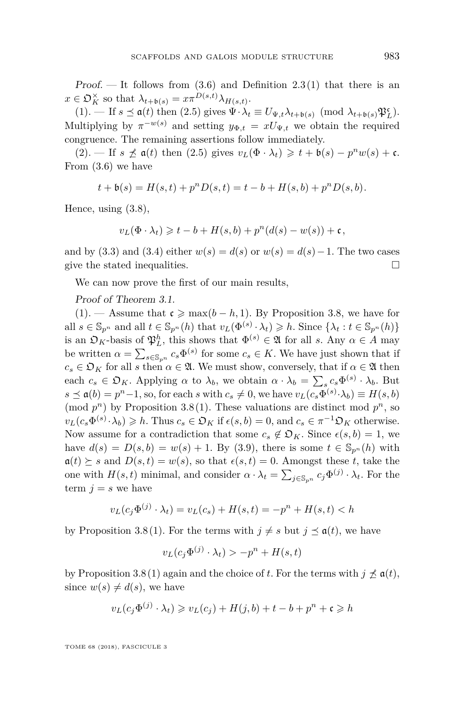Proof. — It follows from  $(3.6)$  and Definition  $2.3(1)$  $2.3(1)$  that there is an  $x \in \mathfrak{O}_K^{\times}$  so that  $\lambda_{t+\mathfrak{b}(s)} = x\pi^{D(s,t)}\lambda_{H(s,t)}$ .

 $(1).$  $(1).$  — If  $s \leq \mathfrak{a}(t)$  then  $(2.5)$  gives  $\Psi \cdot \lambda_t \equiv U_{\Psi,t} \lambda_{t+\mathfrak{b}(s)} \pmod{\lambda_{t+\mathfrak{b}(s)} \mathfrak{P}_L^c}.$ Multiplying by  $\pi^{-w(s)}$  and setting  $y_{\Phi,t} = xU_{\Psi,t}$  we obtain the required congruence. The remaining assertions follow immediately.

 $(2)$ . — If  $s \npreceq \mathfrak{a}(t)$  then  $(2.5)$  gives  $v_L(\Phi \cdot \lambda_t) \geq t + \mathfrak{b}(s) - p^n w(s) + \mathfrak{c}$ . From [\(3.6\)](#page-16-1) we have

$$
t + \mathfrak{b}(s) = H(s, t) + p^{n} D(s, t) = t - b + H(s, b) + p^{n} D(s, b).
$$

Hence, using [\(3.8\)](#page-16-2),

$$
v_L(\Phi \cdot \lambda_t) \geq t - b + H(s, b) + p^n(d(s) - w(s)) + \mathfrak{c},
$$

and by [\(3.3\)](#page-13-4) and [\(3.4\)](#page-13-1) either  $w(s) = d(s)$  or  $w(s) = d(s) - 1$ . The two cases give the stated inequalities.  $\Box$ 

We can now prove the first of our main results,

#### Proof of Theorem [3.1.](#page-13-0)

[\(1\)](#page-13-2). — Assume that  $\mathfrak{c} \ge \max(b - h, 1)$ . By Proposition [3.8,](#page-18-0) we have for all  $s \in \mathbb{S}_{p^n}$  and all  $t \in \mathbb{S}_{p^n}(h)$  that  $v_L(\Phi^{(s)} \cdot \lambda_t) \geq h$ . Since  $\{\lambda_t : t \in \mathbb{S}_{p^n}(h)\}\$ is an  $\mathfrak{O}_K$ -basis of  $\mathfrak{P}_L^h$ , this shows that  $\Phi^{(s)} \in \mathfrak{A}$  for all *s*. Any  $\alpha \in A$  may be written  $\alpha = \sum_{s \in \mathbb{S}_{p^n}} c_s \Phi^{(s)}$  for some  $c_s \in K$ . We have just shown that if  $c_s \in \mathfrak{O}_K$  for all *s* then  $\alpha \in \mathfrak{A}$ . We must show, conversely, that if  $\alpha \in \mathfrak{A}$  then each  $c_s \in \mathfrak{O}_K$ . Applying  $\alpha$  to  $\lambda_b$ , we obtain  $\alpha \cdot \lambda_b = \sum_s c_s \Phi^{(s)} \cdot \lambda_b$ . But  $s \preceq \mathfrak{a}(b) = p^n - 1$ , so, for each *s* with  $c_s \neq 0$ , we have  $v_L(c_s \Phi^{(s)} \cdot \lambda_b) \equiv H(s, b)$ (mod  $p^n$ ) by Proposition [3.8](#page-18-0)[\(1\)](#page-18-1). These valuations are distinct mod  $p^n$ , so  $v_L(c_s \Phi^{(s)} \cdot \lambda_b) \geq h$ . Thus  $c_s \in \mathfrak{O}_K$  if  $\epsilon(s, b) = 0$ , and  $c_s \in \pi^{-1} \mathfrak{O}_K$  otherwise. Now assume for a contradiction that some  $c_s \notin \mathfrak{O}_K$ . Since  $\epsilon(s, b) = 1$ , we have  $d(s) = D(s, b) = w(s) + 1$ . By [\(3.9\)](#page-18-3), there is some  $t \in \mathbb{S}_{p^n}(h)$  with  $a(t) \geq s$  and  $D(s,t) = w(s)$ , so that  $\epsilon(s,t) = 0$ . Amongst these *t*, take the one with  $H(s,t)$  minimal, and consider  $\alpha \cdot \lambda_t = \sum_{j \in \mathbb{S}_{p^n}} c_j \Phi^{(j)} \cdot \lambda_t$ . For the term  $j = s$  we have

$$
v_L(c_j \Phi^{(j)} \cdot \lambda_t) = v_L(c_s) + H(s, t) = -p^n + H(s, t) < h
$$

by Proposition [3.8](#page-18-0)[\(1\)](#page-18-1). For the terms with  $j \neq s$  but  $j \preceq \mathfrak{a}(t)$ , we have

$$
v_L(c_j\Phi^{(j)} \cdot \lambda_t) > -p^n + H(s,t)
$$

by Proposition [3.8](#page-18-0)[\(1\)](#page-18-1) again and the choice of *t*. For the terms with  $j \nleq \mathfrak{a}(t)$ , since  $w(s) \neq d(s)$ , we have

$$
v_L(c_j\Phi^{(j)} \cdot \lambda_t) \geq v_L(c_j) + H(j, b) + t - b + p^n + \mathfrak{c} \geq h
$$

TOME 68 (2018), FASCICULE 3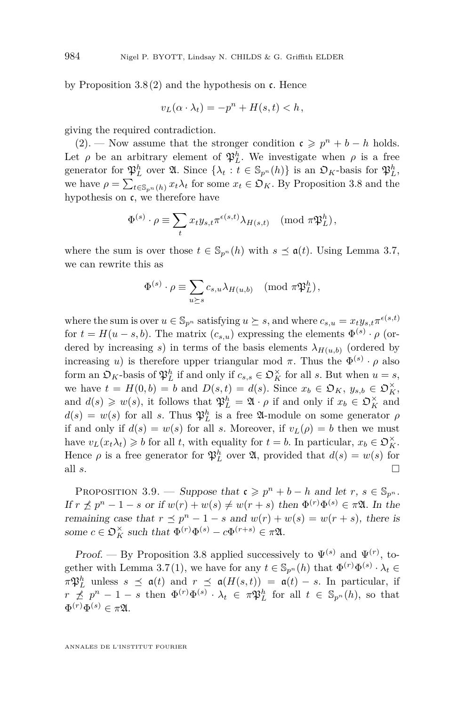by Proposition  $3.8(2)$  $3.8(2)$  and the hypothesis on c. Hence

$$
v_L(\alpha \cdot \lambda_t) = -p^n + H(s, t) < h
$$

giving the required contradiction.

[\(2\)](#page-13-3). — Now assume that the stronger condition  $\mathfrak{c} \geqslant p^n + b - h$  holds. Let  $\rho$  be an arbitrary element of  $\mathfrak{P}_L^h$ . We investigate when  $\rho$  is a free generator for  $\mathfrak{P}_L^h$  over  $\mathfrak{A}$ . Since  $\{\lambda_t : t \in \mathbb{S}_{p^n}(h)\}\)$  is an  $\mathfrak{O}_K$ -basis for  $\mathfrak{P}_L^h$ , we have  $\rho = \sum_{t \in \mathbb{S}_{p^n}(h)} x_t \lambda_t$  for some  $x_t \in \mathfrak{O}_K$ . By Proposition [3.8](#page-18-0) and the hypothesis on  $c$ , we therefore have

$$
\Phi^{(s)} \cdot \rho \equiv \sum_{t} x_t y_{s,t} \pi^{\epsilon(s,t)} \lambda_{H(s,t)} \pmod{\pi \mathfrak{P}_L^h},
$$

where the sum is over those  $t \in \mathbb{S}_{p^n}(h)$  with  $s \preceq \mathfrak{a}(t)$ . Using Lemma [3.7,](#page-17-0) we can rewrite this as

$$
\Phi^{(s)} \cdot \rho \equiv \sum_{u \succeq s} c_{s,u} \lambda_{H(u,b)} \pmod{\pi \mathfrak{P}_L^h},
$$

where the sum is over  $u \in \mathbb{S}_{p^n}$  satisfying  $u \succeq s$ , and where  $c_{s,u} = x_t y_{s,t} \pi^{\epsilon(s,t)}$ for  $t = H(u - s, b)$ . The matrix  $(c_{s,u})$  expressing the elements  $\Phi^{(s)} \cdot \rho$  (ordered by increasing *s*) in terms of the basis elements  $\lambda_{H(u,b)}$  (ordered by increasing *u*) is therefore upper triangular mod  $\pi$ . Thus the  $\Phi^{(s)} \cdot \rho$  also form an  $\mathfrak{O}_K$ -basis of  $\mathfrak{P}_L^h$  if and only if  $c_{s,s} \in \mathfrak{O}_K^\times$  for all *s*. But when  $u = s$ , we have  $t = H(0, b) = b$  and  $D(s, t) = d(s)$ . Since  $x_b \in \mathfrak{O}_K$ ,  $y_{s,b} \in \mathfrak{O}_K^\times$ , and  $d(s) \geq w(s)$ , it follows that  $\mathfrak{P}_L^h = \mathfrak{A} \cdot \rho$  if and only if  $x_b \in \mathfrak{O}_K^{\times}$  and  $d(s) = w(s)$  for all *s*. Thus  $\mathfrak{P}_L^h$  is a free  $\mathfrak{A}\text{-module on some generator } \rho$ if and only if  $d(s) = w(s)$  for all *s*. Moreover, if  $v_L(\rho) = b$  then we must have  $v_L(x_t \lambda_t) \geq b$  for all *t*, with equality for  $t = b$ . In particular,  $x_b \in \mathfrak{O}_K^{\times}$ . Hence  $\rho$  is a free generator for  $\mathfrak{P}_L^h$  over  $\mathfrak{A}$ , provided that  $d(s) = w(s)$  for all  $s$ .

<span id="page-20-0"></span>PROPOSITION 3.9. — Suppose that  $\mathfrak{c} \geq p^n + b - h$  and let  $r, s \in \mathbb{S}_{p^n}$ . If  $r \nleq p^n - 1 - s$  or if  $w(r) + w(s) \neq w(r + s)$  then  $\Phi^{(r)} \Phi^{(s)} \in \pi \mathfrak{A}$ . In the remaining case that  $r \leq p^n - 1 - s$  and  $w(r) + w(s) = w(r + s)$ , there is some  $c \in \mathfrak{O}_K^\times$  such that  $\Phi^{(r)} \Phi^{(s)} - c \Phi^{(r+s)} \in \pi \mathfrak{A}$ .

Proof. — By Proposition [3.8](#page-18-0) applied successively to  $\Psi^{(s)}$  and  $\Psi^{(r)}$ , to-gether with Lemma [3.7](#page-17-0)[\(1\)](#page-17-1), we have for any  $t \in \mathbb{S}_{p^n}(h)$  that  $\Phi^{(r)}\Phi^{(s)} \cdot \lambda_t \in$  $\pi \mathfrak{P}_L^h$  unless  $s \preceq \mathfrak{a}(t)$  and  $r \preceq \mathfrak{a}(H(s,t)) = \mathfrak{a}(t) - s$ . In particular, if  $r \npreceq p^n - 1 - s$  then  $\Phi^{(r)} \Phi^{(s)} \cdot \lambda_t \in \pi \mathfrak{P}_L^h$  for all  $t \in \mathbb{S}_{p^n}(h)$ , so that  $\Phi^{(r)}\Phi^{(s)} \in \pi\mathfrak{A}.$ 

ANNALES DE L'INSTITUT FOURIER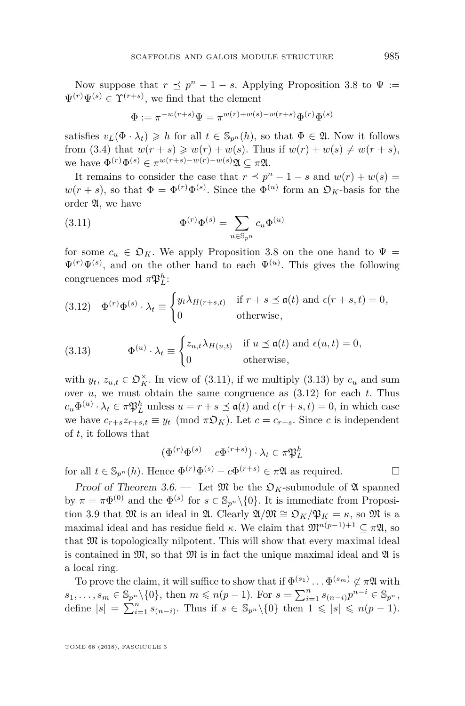Now suppose that  $r \leq p^n - 1 - s$ . Applying Proposition [3.8](#page-18-0) to  $\Psi :=$  $\Psi^{(r)}\Psi^{(s)} \in \Upsilon^{(r+s)}$ , we find that the element

<span id="page-21-0"></span>
$$
\Phi := \pi^{-w(r+s)}\Psi = \pi^{w(r)+w(s)-w(r+s)}\Phi^{(r)}\Phi^{(s)}
$$

satisfies  $v_L(\Phi \cdot \lambda_t) \geq h$  for all  $t \in \mathbb{S}_{p^n}(h)$ , so that  $\Phi \in \mathfrak{A}$ . Now it follows from [\(3.4\)](#page-13-1) that  $w(r + s) \geq w(r) + w(s)$ . Thus if  $w(r) + w(s) \neq w(r + s)$ , we have  $\Phi^{(r)}\Phi^{(s)} \in \pi^{w(r+s)-w(r)-w(s)}\mathfrak{A} \subseteq \pi\mathfrak{A}.$ 

It remains to consider the case that  $r \leq p^{n} - 1 - s$  and  $w(r) + w(s) =$  $w(r + s)$ , so that  $\Phi = \Phi^{(r)} \Phi^{(s)}$ . Since the  $\Phi^{(u)}$  form an  $\mathfrak{O}_K$ -basis for the order A, we have

(3.11) 
$$
\Phi^{(r)}\Phi^{(s)} = \sum_{u \in \mathbb{S}_{p^n}} c_u \Phi^{(u)}
$$

for some  $c_u \in \mathfrak{D}_K$ . We apply Proposition [3.8](#page-18-0) on the one hand to  $\Psi =$  $\Psi^{(r)}\Psi^{(s)}$ , and on the other hand to each  $\Psi^{(u)}$ . This gives the following congruences mod  $\pi \mathfrak{P}_L^h$ :

<span id="page-21-2"></span>(3.12) 
$$
\Phi^{(r)}\Phi^{(s)}\cdot\lambda_t \equiv \begin{cases} y_t\lambda_{H(r+s,t)} & \text{if } r+s \leq \mathfrak{a}(t) \text{ and } \epsilon(r+s,t) = 0, \\ 0 & \text{otherwise,} \end{cases}
$$

<span id="page-21-1"></span>(3.13) 
$$
\Phi^{(u)} \cdot \lambda_t \equiv \begin{cases} z_{u,t} \lambda_{H(u,t)} & \text{if } u \leq \mathfrak{a}(t) \text{ and } \epsilon(u,t) = 0, \\ 0 & \text{otherwise,} \end{cases}
$$

with  $y_t$ ,  $z_{u,t} \in \mathfrak{O}_K^{\times}$ . In view of [\(3.11\)](#page-21-0), if we multiply [\(3.13\)](#page-21-1) by  $c_u$  and sum over  $u$ , we must obtain the same congruence as  $(3.12)$  for each  $t$ . Thus  $c_u \Phi^{(u)} \cdot \lambda_t \in \pi \mathfrak{P}_L^h$  unless  $u = r + s \preceq \mathfrak{a}(t)$  and  $\epsilon(r+s,t) = 0$ , in which case we have  $c_{r+s}z_{r+s,t} \equiv y_t \pmod{\pi \mathfrak{D}_K}$ . Let  $c = c_{r+s}$ . Since *c* is independent of *t*, it follows that

$$
(\Phi^{(r)}\Phi^{(s)} - c\Phi^{(r+s)}) \cdot \lambda_t \in \pi \mathfrak{P}_L^h
$$

for all  $t \in \mathbb{S}_{p^n}(h)$ . Hence  $\Phi^{(r)}\Phi^{(s)} - c\Phi^{(r+s)} \in \pi\mathfrak{A}$  as required.

Proof of Theorem [3.6.](#page-15-0) — Let  $\mathfrak{M}$  be the  $\mathfrak{O}_K$ -submodule of  $\mathfrak{A}$  spanned by  $\pi = \pi \Phi^{(0)}$  and the  $\Phi^{(s)}$  for  $s \in \mathbb{S}_{p^n} \setminus \{0\}$ . It is immediate from Proposi-tion [3.9](#page-20-0) that M is an ideal in  $\mathfrak{A}$ . Clearly  $\mathfrak{A}/\mathfrak{M} \cong \mathfrak{O}_K/\mathfrak{P}_K = \kappa$ , so M is a maximal ideal and has residue field  $\kappa$ . We claim that  $\mathfrak{M}^{n(p-1)+1} \subseteq \pi \mathfrak{A}$ , so that  $\mathfrak M$  is topologically nilpotent. This will show that every maximal ideal is contained in  $\mathfrak{M}$ , so that  $\mathfrak{M}$  is in fact the unique maximal ideal and  $\mathfrak{A}$  is a local ring.

To prove the claim, it will suffice to show that if  $\Phi^{(s_1)} \dots \Phi^{(s_m)} \notin \pi \mathfrak{A}$  with  $s_1, \ldots, s_m \in \mathbb{S}_{p^n} \setminus \{0\}$ , then  $m \leq n(p-1)$ . For  $s = \sum_{i=1}^n s_{(n-i)} p^{n-i} \in \mathbb{S}_{p^n}$ , define  $|s| = \sum_{i=1}^{n} s_{(n-i)}$ . Thus if  $s \in \mathbb{S}_{p^n} \setminus \{0\}$  then  $1 \leqslant |s| \leqslant n(p-1)$ .

TOME 68 (2018), FASCICULE 3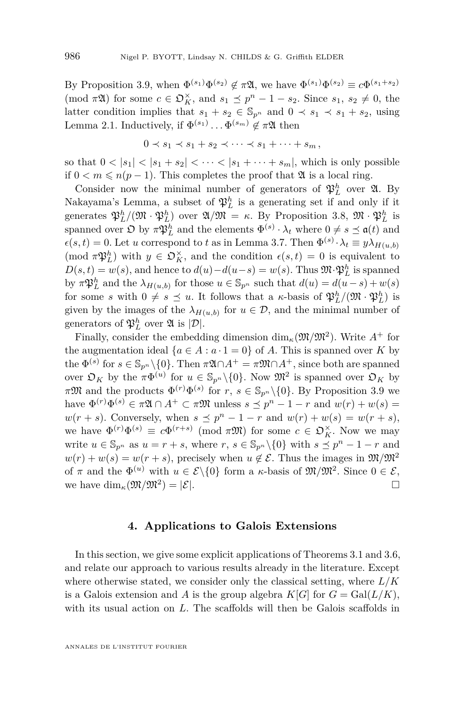By Proposition [3.9,](#page-20-0) when  $\Phi^{(s_1)}\Phi^{(s_2)} \notin \pi\mathfrak{A}$ , we have  $\Phi^{(s_1)}\Phi^{(s_2)} \equiv c\Phi^{(s_1+s_2)}$ (mod  $\pi \mathfrak{A}$ ) for some  $c \in \mathfrak{O}_K^{\times}$ , and  $s_1 \preceq p^n - 1 - s_2$ . Since  $s_1, s_2 \neq 0$ , the latter condition implies that  $s_1 + s_2 \in \mathbb{S}_{p^n}$  and  $0 \prec s_1 \prec s_1 + s_2$ , using Lemma [2.1.](#page-6-3) Inductively, if  $\Phi^{(s_1)} \dots \Phi^{(s_m)} \notin \pi \mathfrak{A}$  then

$$
0 \prec s_1 \prec s_1 + s_2 \prec \cdots \prec s_1 + \cdots + s_m,
$$

so that  $0 < |s_1| < |s_1 + s_2| < \cdots < |s_1 + \cdots + s_m|$ , which is only possible if 0 *< m* ≤ *n*(*p* − 1). This completes the proof that  $\mathfrak{A}$  is a local ring.

Consider now the minimal number of generators of  $\mathfrak{P}_L^h$  over  $\mathfrak{A}$ . By Nakayama's Lemma, a subset of  $\mathfrak{P}_L^h$  is a generating set if and only if it generates  $\mathfrak{P}_L^h/(\mathfrak{M} \cdot \mathfrak{P}_L^h)$  over  $\mathfrak{A}/\mathfrak{M} = \kappa$ . By Proposition [3.8,](#page-18-0)  $\mathfrak{M} \cdot \mathfrak{P}_L^h$  is spanned over  $\mathfrak{D}$  by  $\pi \mathfrak{P}_L^h$  and the elements  $\Phi^{(s)} \cdot \lambda_t$  where  $0 \neq s \leq \mathfrak{a}(t)$  and  $\epsilon(s,t) = 0$ . Let *u* correspond to *t* as in Lemma [3.7.](#page-17-0) Then  $\Phi^{(s)} \cdot \lambda_t \equiv y \lambda_{H(u,b)}$ (mod  $\pi \mathfrak{P}_L^h$ ) with  $y \in \mathfrak{O}_K^{\times}$ , and the condition  $\epsilon(s,t) = 0$  is equivalent to  $D(s,t) = w(s)$ , and hence to  $d(u) - d(u-s) = w(s)$ . Thus  $\mathfrak{M} \cdot \mathfrak{P}_L^h$  is spanned by  $\pi \mathfrak{P}_L^h$  and the  $\lambda_{H(u,b)}$  for those  $u \in \mathbb{S}_{p^n}$  such that  $d(u) = d(u-s) + w(s)$ for some *s* with  $0 \neq s \leq u$ . It follows that a *κ*-basis of  $\mathfrak{P}_L^h/(\mathfrak{M} \cdot \mathfrak{P}_L^h)$  is given by the images of the  $\lambda_{H(u,b)}$  for  $u \in \mathcal{D}$ , and the minimal number of generators of  $\mathfrak{P}_L^h$  over  $\mathfrak{A}$  is  $|\mathcal{D}|$ .

Finally, consider the embedding dimension  $\dim_{\kappa}(\mathfrak{M}/\mathfrak{M}^2)$ . Write  $A^+$  for the augmentation ideal  $\{a \in A : a \cdot 1 = 0\}$  of *A*. This is spanned over *K* by the  $\Phi^{(s)}$  for  $s \in \mathbb{S}_{p^n} \setminus \{0\}$ . Then  $\pi \mathfrak{A} \cap A^+ = \pi \mathfrak{M} \cap A^+$ , since both are spanned over  $\mathfrak{O}_K$  by the  $\pi \Phi^{(u)}$  for  $u \in \mathbb{S}_{p^n} \setminus \{0\}$ . Now  $\mathfrak{M}^2$  is spanned over  $\mathfrak{O}_K$  by  $\pi \mathfrak{M}$  and the products  $\Phi^{(r)} \Phi^{(s)}$  for  $r, s \in \mathbb{S}_{p^n} \setminus \{0\}$ . By Proposition [3.9](#page-20-0) we have  $\Phi^{(r)}\Phi^{(s)} \in \pi \mathfrak{A} \cap A^+ \subset \pi \mathfrak{M}$  unless  $s \preceq p^n - 1 - r$  and  $w(r) + w(s) =$  $w(r + s)$ . Conversely, when  $s \leq p^n - 1 - r$  and  $w(r) + w(s) = w(r + s)$ , we have  $\Phi^{(r)}\Phi^{(s)} \equiv c\Phi^{(r+s)} \pmod{\pi \mathfrak{M}}$  for some  $c \in \mathfrak{O}_K^\times$ . Now we may write  $u \in \mathbb{S}_{p^n}$  as  $u = r + s$ , where  $r, s \in \mathbb{S}_{p^n} \setminus \{0\}$  with  $s \preceq p^n - 1 - r$  and  $w(r) + w(s) = w(r + s)$ , precisely when  $u \notin \mathcal{E}$ . Thus the images in  $\mathfrak{M}/\mathfrak{M}^2$ of  $\pi$  and the  $\Phi^{(u)}$  with  $u \in \mathcal{E} \setminus \{0\}$  form a *κ*-basis of  $\mathfrak{M}/\mathfrak{M}^2$ . Since  $0 \in \mathcal{E}$ , we have  $\dim_{\kappa}(\mathfrak{M}/\mathfrak{M}^2) = |\mathcal{E}|.$ 

#### **4. Applications to Galois Extensions**

<span id="page-22-0"></span>In this section, we give some explicit applications of Theorems [3.1](#page-13-0) and [3.6,](#page-15-0) and relate our approach to various results already in the literature. Except where otherwise stated, we consider only the classical setting, where *L/K* is a Galois extension and *A* is the group algebra  $K[G]$  for  $G = \text{Gal}(L/K)$ , with its usual action on *L*. The scaffolds will then be Galois scaffolds in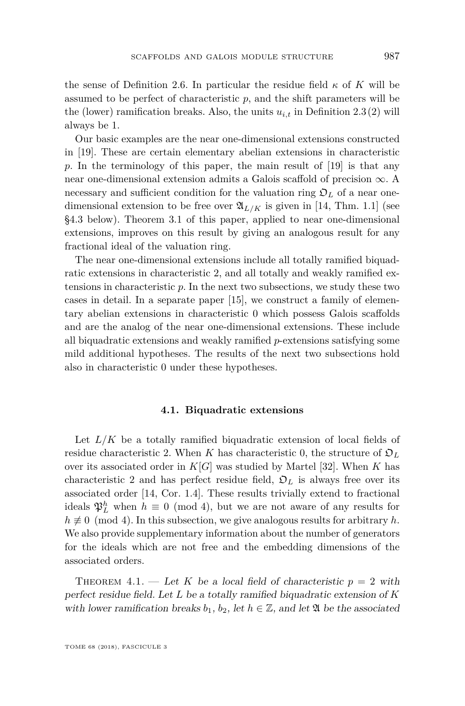the sense of Definition [2.6.](#page-8-0) In particular the residue field  $\kappa$  of K will be assumed to be perfect of characteristic  $p$ , and the shift parameters will be the (lower) ramification breaks. Also, the units  $u_{i,t}$  in Definition [2.3](#page-7-0)[\(2\)](#page-7-2) will always be 1.

Our basic examples are the near one-dimensional extensions constructed in [\[19\]](#page-45-11). These are certain elementary abelian extensions in characteristic *p*. In the terminology of this paper, the main result of [\[19\]](#page-45-11) is that any near one-dimensional extension admits a Galois scaffold of precision  $\infty$ . A necessary and sufficient condition for the valuation ring  $\mathfrak{O}_L$  of a near onedimensional extension to be free over  $\mathfrak{A}_{L/K}$  is given in [\[14,](#page-45-10) Thm. 1.1] (see [§4.3](#page-30-0) below). Theorem [3.1](#page-13-0) of this paper, applied to near one-dimensional extensions, improves on this result by giving an analogous result for any fractional ideal of the valuation ring.

The near one-dimensional extensions include all totally ramified biquadratic extensions in characteristic 2, and all totally and weakly ramified extensions in characteristic *p*. In the next two subsections, we study these two cases in detail. In a separate paper [\[15\]](#page-45-13), we construct a family of elementary abelian extensions in characteristic 0 which possess Galois scaffolds and are the analog of the near one-dimensional extensions. These include all biquadratic extensions and weakly ramified *p*-extensions satisfying some mild additional hypotheses. The results of the next two subsections hold also in characteristic 0 under these hypotheses.

#### **4.1. Biquadratic extensions**

Let  $L/K$  be a totally ramified biquadratic extension of local fields of residue characteristic 2. When *K* has characteristic 0, the structure of  $\mathfrak{O}_L$ over its associated order in  $K[G]$  was studied by Martel [\[32\]](#page-45-4). When K has characteristic 2 and has perfect residue field,  $\mathfrak{O}_L$  is always free over its associated order [\[14,](#page-45-10) Cor. 1.4]. These results trivially extend to fractional ideals  $\mathfrak{P}_L^h$  when  $h \equiv 0 \pmod{4}$ , but we are not aware of any results for  $h \not\equiv 0 \pmod{4}$ . In this subsection, we give analogous results for arbitrary *h*. We also provide supplementary information about the number of generators for the ideals which are not free and the embedding dimensions of the associated orders.

<span id="page-23-0"></span>THEOREM 4.1. — Let K be a local field of characteristic  $p = 2$  with perfect residue field. Let *L* be a totally ramified biquadratic extension of *K* with lower ramification breaks  $b_1$ ,  $b_2$ , let  $h \in \mathbb{Z}$ , and let  $\mathfrak A$  be the associated

TOME 68 (2018), FASCICULE 3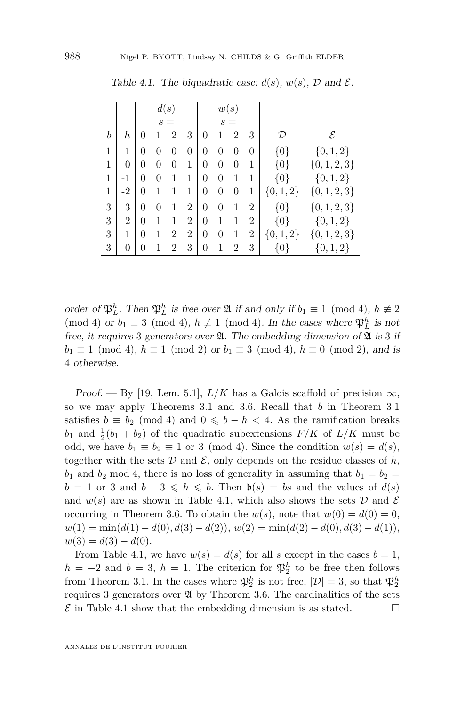|   |                  | d(s)           |              |                | w(s)           |                |          |                  |                |             |                  |
|---|------------------|----------------|--------------|----------------|----------------|----------------|----------|------------------|----------------|-------------|------------------|
|   |                  | $s =$          |              |                | $s =$          |                |          |                  |                |             |                  |
| b | $\boldsymbol{h}$ | 0              |              | 2              | 3              | 0              | 1        | 2                | 3              | D           | ${\mathcal E}$   |
| 1 | 1                | 0              | $\mathbf{0}$ | 0              | $\overline{0}$ | 0              | $\theta$ | $\left( \right)$ | $\overline{0}$ | $\{0\}$     | ${0, 1, 2}$      |
| 1 | 0                | 0              |              | 0              | 1              | $\theta$       | $\theta$ | 0                | 1              | $\{0\}$     | $\{0, 1, 2, 3\}$ |
| 1 | $-1$             | 0              | 0            |                | 1              | 0              | $\theta$ | 1                | 1              | $\{0\}$     | $\{0,1,2\}$      |
| 1 | $-2$             | $\overline{0}$ |              | 1              | 1              | 0              | 0        | 0                | 1              | $\{0,1,2\}$ | $\{0, 1, 2, 3\}$ |
| 3 | 3                | $\theta$       | $\theta$     |                | $\overline{2}$ | $\theta$       | $\theta$ | 1                | $\overline{2}$ | $\{0\}$     | $\{0, 1, 2, 3\}$ |
| 3 | $\overline{2}$   | 0              |              | 1              | $\overline{2}$ | $\overline{0}$ |          | 1                | $\overline{2}$ | $\{0\}$     | $\{0, 1, 2\}$    |
| 3 | 1                | $\theta$       | 1            | 2              | $\overline{2}$ | $\Omega$       | $\theta$ | 1                | $\overline{2}$ | $\{0,1,2\}$ | $\{0, 1, 2, 3\}$ |
| 3 | 0                | 0              |              | $\overline{2}$ | 3              | $\overline{0}$ | 1        | $\overline{2}$   | 3              | {0}         | $\{0, 1, 2\}$    |

<span id="page-24-1"></span>Table 4.1. The biquadratic case:  $d(s)$ ,  $w(s)$ ,  $\mathcal{D}$  and  $\mathcal{E}$ .

order of  $\mathfrak{P}_L^h$ . Then  $\mathfrak{P}_L^h$  is free over  $\mathfrak A$  if and only if  $b_1 \equiv 1 \pmod{4}$ ,  $h \not\equiv 2$ (mod 4) or  $b_1 \equiv 3 \pmod{4}$ ,  $h \not\equiv 1 \pmod{4}$ . In the cases where  $\mathfrak{P}_L^h$  is not free, it requires 3 generators over  $\mathfrak{A}$ . The embedding dimension of  $\mathfrak{A}$  is 3 if  $b_1 \equiv 1 \pmod{4}$ ,  $h \equiv 1 \pmod{2}$  or  $b_1 \equiv 3 \pmod{4}$ ,  $h \equiv 0 \pmod{2}$ , and is 4 otherwise.

Proof. — By [\[19,](#page-45-11) Lem. 5.1],  $L/K$  has a Galois scaffold of precision  $\infty$ , so we may apply Theorems [3.1](#page-13-0) and [3.6.](#page-15-0) Recall that *b* in Theorem [3.1](#page-13-0) satisfies  $b \equiv b_2 \pmod{4}$  and  $0 \leq b - h < 4$ . As the ramification breaks  $b_1$  and  $\frac{1}{2}(b_1 + b_2)$  of the quadratic subextensions  $F/K$  of  $L/K$  must be odd, we have  $b_1 \equiv b_2 \equiv 1$  or 3 (mod 4). Since the condition  $w(s) = d(s)$ , together with the sets  $D$  and  $\mathcal{E}$ , only depends on the residue classes of  $h$ ,  $b_1$  and  $b_2$  mod 4, there is no loss of generality in assuming that  $b_1 = b_2 =$ *b* = 1 or 3 and *b* − 3  $\leq$  *h*  $\leq$  *b*. Then  $\mathfrak{b}(s) = bs$  and the values of *d*(*s*) and  $w(s)$  are as shown in Table [4.1,](#page-24-1) which also shows the sets  $D$  and  $\mathcal E$ occurring in Theorem [3.6.](#page-15-0) To obtain the  $w(s)$ , note that  $w(0) = d(0) = 0$ ,  $w(1) = \min(d(1) - d(0), d(3) - d(2)), w(2) = \min(d(2) - d(0), d(3) - d(1)),$  $w(3) = d(3) - d(0).$ 

<span id="page-24-0"></span>From Table [4.1,](#page-24-1) we have  $w(s) = d(s)$  for all *s* except in the cases  $b = 1$ ,  $h = -2$  and  $b = 3$ ,  $h = 1$ . The criterion for  $\mathfrak{P}_2^h$  to be free then follows from Theorem [3.1.](#page-13-0) In the cases where  $\mathfrak{P}_2^h$  is not free,  $|\mathcal{D}| = 3$ , so that  $\mathfrak{P}_2^h$ requires 3 generators over  $\mathfrak A$  by Theorem [3.6.](#page-15-0) The cardinalities of the sets  $\mathcal E$  in Table [4.1](#page-24-1) show that the embedding dimension is as stated.  $\Box$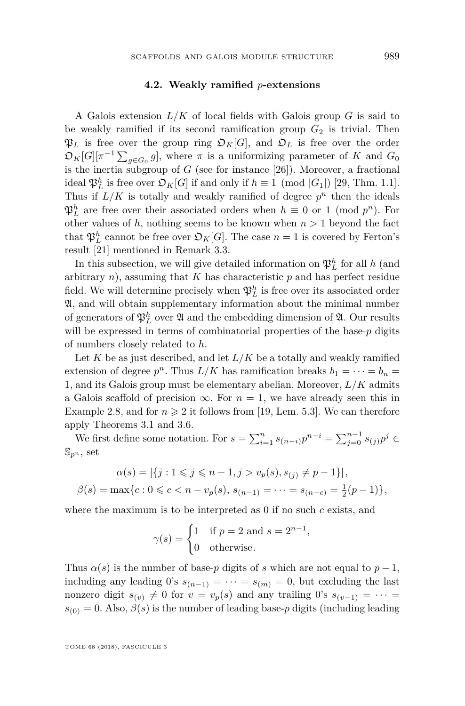#### **4.2. Weakly ramified** *p***-extensions**

A Galois extension *L/K* of local fields with Galois group *G* is said to be weakly ramified if its second ramification group  $G_2$  is trivial. Then  $\mathfrak{P}_L$  is free over the group ring  $\mathfrak{O}_K[G]$ , and  $\mathfrak{O}_L$  is free over the order  $\mathfrak{O}_K[G][\pi^{-1}\sum_{g\in G_0}g],$  where  $\pi$  is a uniformizing parameter of  $K$  and  $G_0$ is the inertia subgroup of  $G$  (see for instance  $[26]$ ). Moreover, a fractional ideal  $\mathfrak{P}_L^h$  is free over  $\mathfrak{O}_K[G]$  if and only if  $h \equiv 1 \pmod{|G_1|}$  [\[29,](#page-45-18) Thm. 1.1]. Thus if  $L/K$  is totally and weakly ramified of degree  $p^n$  then the ideals  $\mathfrak{P}_L^h$  are free over their associated orders when  $h \equiv 0$  or 1 (mod  $p^n$ ). For other values of  $h$ , nothing seems to be known when  $n > 1$  beyond the fact that  $\mathfrak{P}_L^h$  cannot be free over  $\mathfrak{O}_K[G]$ . The case  $n = 1$  is covered by Ferton's result [\[21\]](#page-45-14) mentioned in Remark [3.3.](#page-13-5)

In this subsection, we will give detailed information on  $\mathfrak{P}^h_L$  for all *h* (and arbitrary *n*), assuming that *K* has characteristic *p* and has perfect residue field. We will determine precisely when  $\mathfrak{P}_L^h$  is free over its associated order A, and will obtain supplementary information about the minimal number of generators of  $\mathfrak{P}_L^h$  over  $\mathfrak A$  and the embedding dimension of  $\mathfrak A$ . Our results will be expressed in terms of combinatorial properties of the base-*p* digits of numbers closely related to *h*.

Let  $K$  be as just described, and let  $L/K$  be a totally and weakly ramified extension of degree  $p^n$ . Thus  $L/K$  has ramification breaks  $b_1 = \cdots = b_n =$ 1, and its Galois group must be elementary abelian. Moreover, *L/K* admits a Galois scaffold of precision  $\infty$ . For  $n = 1$ , we have already seen this in Example [2.8,](#page-9-1) and for  $n \geq 2$  it follows from [\[19,](#page-45-11) Lem. 5.3]. We can therefore apply Theorems [3.1](#page-13-0) and [3.6.](#page-15-0)

We first define some notation. For  $s = \sum_{i=1}^{n} s_{(n-i)} p^{n-i} = \sum_{j=0}^{n-1} s_{(j)} p^j$  $\mathbb{S}_{p^n}$ , set

$$
\alpha(s) = |\{j : 1 \leq j \leq n-1, j > v_p(s), s_{(j)} \neq p-1\}|,
$$
  

$$
\beta(s) = \max\{c : 0 \leq c < n - v_p(s), s_{(n-1)} = \dots = s_{(n-c)} = \frac{1}{2}(p-1)\},
$$

where the maximum is to be interpreted as 0 if no such *c* exists, and

$$
\gamma(s) = \begin{cases} 1 & \text{if } p = 2 \text{ and } s = 2^{n-1}, \\ 0 & \text{otherwise.} \end{cases}
$$

Thus  $\alpha(s)$  is the number of base-*p* digits of *s* which are not equal to  $p-1$ , including any leading 0's  $s_{(n-1)} = \cdots = s_{(m)} = 0$ , but excluding the last nonzero digit  $s_{(v)} \neq 0$  for  $v = v_p(s)$  and any trailing 0's  $s_{(v-1)} = \cdots =$  $s_{(0)} = 0$ . Also,  $\beta(s)$  is the number of leading base-*p* digits (including leading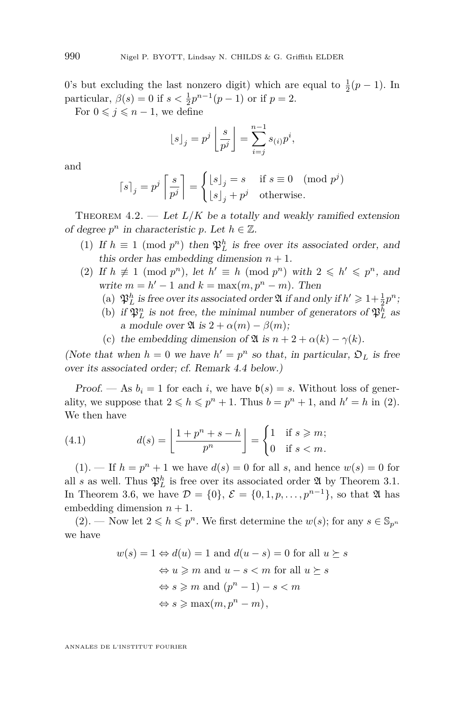0's but excluding the last nonzero digit) which are equal to  $\frac{1}{2}(p-1)$ . In particular,  $\beta(s) = 0$  if  $s < \frac{1}{2}p^{n-1}(p-1)$  or if  $p = 2$ .

For  $0 \leq j \leq n-1$ , we define

$$
\lfloor s \rfloor_j = p^j \left\lfloor \frac{s}{p^j} \right\rfloor = \sum_{i=j}^{n-1} s_{(i)} p^i,
$$

and

$$
\lceil s \rceil_j = p^j \left\lceil \frac{s}{p^j} \right\rceil = \begin{cases} \lfloor s \rfloor_j = s & \text{if } s \equiv 0 \pmod{p^j} \\ \lfloor s \rfloor_j + p^j & \text{otherwise.} \end{cases}
$$

<span id="page-26-0"></span>THEOREM  $4.2.$  — Let  $L/K$  be a totally and weakly ramified extension of degree  $p^n$  in characteristic p. Let  $h \in \mathbb{Z}$ .

- <span id="page-26-2"></span>(1) If  $h \equiv 1 \pmod{p^n}$  then  $\mathfrak{P}_L^h$  is free over its associated order, and this order has embedding dimension  $n + 1$ .
- <span id="page-26-5"></span><span id="page-26-3"></span><span id="page-26-1"></span>(2) If  $h \not\equiv 1 \pmod{p^n}$ , let  $h' \equiv h \pmod{p^n}$  with  $2 \leq h' \leq p^n$ , and write  $m = h' - 1$  and  $k = \max(m, p^n - m)$ . Then
	- (a)  $\mathfrak{P}_L^h$  is free over its associated order  $\mathfrak{A}$  if and only if  $h' \geq 1 + \frac{1}{2}p^n$ ;
	- (b) if  $\mathfrak{P}_L^n$  is not free, the minimal number of generators of  $\mathfrak{P}_L^h$  as a module over  $\mathfrak{A}$  is  $2 + \alpha(m) - \beta(m)$ ;
	- (c) the embedding dimension of  $\mathfrak{A}$  is  $n + 2 + \alpha(k) \gamma(k)$ .

<span id="page-26-6"></span>(Note that when  $h = 0$  we have  $h' = p^n$  so that, in particular,  $\mathfrak{O}_L$  is free over its associated order; cf. Remark [4.4](#page-28-0) below.)

Proof. — As  $b_i = 1$  for each *i*, we have  $b(s) = s$ . Without loss of generality, we suppose that  $2 \leq h \leq p^n + 1$ . Thus  $b = p^n + 1$ , and  $h' = h$  in [\(2\)](#page-26-1). We then have

<span id="page-26-4"></span>(4.1) 
$$
d(s) = \left\lfloor \frac{1 + p^n + s - h}{p^n} \right\rfloor = \begin{cases} 1 & \text{if } s \geq m; \\ 0 & \text{if } s < m. \end{cases}
$$

 $(1).$  $(1).$  — If  $h = p^n + 1$  we have  $d(s) = 0$  for all *s*, and hence  $w(s) = 0$  for all *s* as well. Thus  $\mathfrak{P}_L^h$  is free over its associated order  $\mathfrak A$  by Theorem [3.1.](#page-13-0) In Theorem [3.6,](#page-15-0) we have  $\mathcal{D} = \{0\}, \mathcal{E} = \{0, 1, p, \ldots, p^{n-1}\},$  so that  $\mathfrak A$  has embedding dimension  $n + 1$ .

 $(2)$ . — Now let  $2 \leq h \leq p^n$ . We first determine the  $w(s)$ ; for any  $s \in \mathbb{S}_{p^n}$ we have

$$
w(s) = 1 \Leftrightarrow d(u) = 1 \text{ and } d(u - s) = 0 \text{ for all } u \succeq s
$$

$$
\Leftrightarrow u \ge m \text{ and } u - s < m \text{ for all } u \succeq s
$$

$$
\Leftrightarrow s \ge m \text{ and } (p^n - 1) - s < m
$$

$$
\Leftrightarrow s \ge \max(m, p^n - m),
$$

ANNALES DE L'INSTITUT FOURIER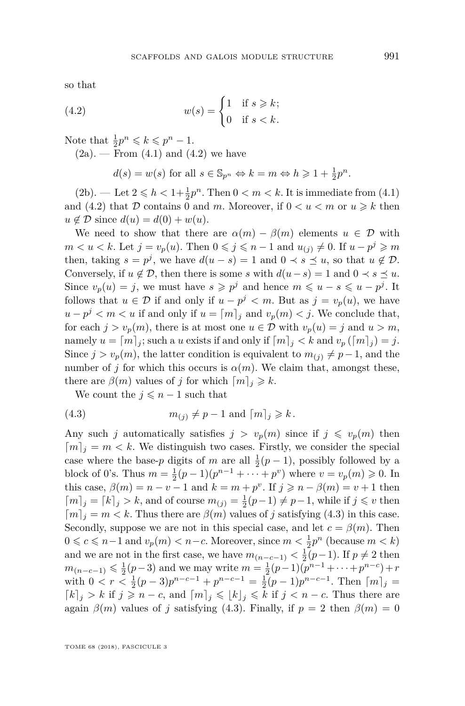so that

(4.2) 
$$
w(s) = \begin{cases} 1 & \text{if } s \geq k; \\ 0 & \text{if } s < k. \end{cases}
$$

Note that  $\frac{1}{2}p^n \leq k \leq p^n - 1$ .

 $(2a)$ . — From  $(4.1)$  and  $(4.2)$  we have

<span id="page-27-0"></span>
$$
d(s) = w(s)
$$
 for all  $s \in \mathbb{S}_{p^n} \Leftrightarrow k = m \Leftrightarrow h \geq 1 + \frac{1}{2}p^n$ .

 $(2b)$ . — Let  $2 \le h < 1 + \frac{1}{2}p^n$ . Then  $0 < m < k$ . It is immediate from  $(4.1)$ and [\(4.2\)](#page-27-0) that D contains 0 and m. Moreover, if  $0 < u < m$  or  $u \geq k$  then  $u \notin \mathcal{D}$  since  $d(u) = d(0) + w(u)$ .

We need to show that there are  $\alpha(m) - \beta(m)$  elements  $u \in \mathcal{D}$  with  $m < u < k$ . Let  $j = v_p(u)$ . Then  $0 \leq j \leq n-1$  and  $u_{(j)} \neq 0$ . If  $u - p^j \geq m$ then, taking  $s = p^j$ , we have  $d(u - s) = 1$  and  $0 \lt s \le u$ , so that  $u \notin \mathcal{D}$ . Conversely, if  $u \notin \mathcal{D}$ , then there is some *s* with  $d(u-s) = 1$  and  $0 \prec s \preceq u$ . Since  $v_p(u) = j$ , we must have  $s \geqslant p^j$  and hence  $m \leqslant u - s \leqslant u - p^j$ . It follows that  $u \in \mathcal{D}$  if and only if  $u - p^j < m$ . But as  $j = v_p(u)$ , we have  $u - p^j < m < u$  if and only if  $u = [m]_j$  and  $v_p(m) < j$ . We conclude that, for each  $j > v_p(m)$ , there is at most one  $u \in \mathcal{D}$  with  $v_p(u) = j$  and  $u > m$ , namely  $u = [m]_i$ ; such a *u* exists if and only if  $[m]_i < k$  and  $v_p([m]_i) = j$ . Since  $j > v_p(m)$ , the latter condition is equivalent to  $m_{(i)} \neq p-1$ , and the number of *j* for which this occurs is  $\alpha(m)$ . We claim that, amongst these, there are  $\beta(m)$  values of *j* for which  $\lceil m \rceil_i \geq k$ .

<span id="page-27-1"></span>We count the  $j \leq n-1$  such that

(4.3) 
$$
m_{(j)} \neq p-1 \text{ and } \lceil m \rceil_j \geq k.
$$

Any such *j* automatically satisfies  $j > v_p(m)$  since if  $j \leq v_p(m)$  then  $[m]_i = m \lt k$ . We distinguish two cases. Firstly, we consider the special case where the base-*p* digits of *m* are all  $\frac{1}{2}(p-1)$ , possibly followed by a block of 0's. Thus  $m = \frac{1}{2}(p-1)(p^{n-1} + \cdots + p^v)$  where  $v = v_p(m) \ge 0$ . In this case,  $\beta(m) = n - v - 1$  and  $k = m + p^v$ . If  $j \geq n - \beta(m) = v + 1$  then  $\lceil m \rceil$ <sub>*j*</sub> =  $\lceil k \rceil$ <sub>*j*</sub> > *k*, and of course  $m$ <sub>(*j*)</sub> =  $\frac{1}{2}(p-1) \neq p-1$ , while if *j* ≤ *v* then  $[m]_i = m < k$ . Thus there are  $\beta(m)$  values of *j* satisfying [\(4.3\)](#page-27-1) in this case. Secondly, suppose we are not in this special case, and let  $c = \beta(m)$ . Then 0 ≤ *c* ≤ *n*−1 and  $v_p(m)$  < *n*−*c*. Moreover, since  $m < \frac{1}{2}p^n$  (because  $m < k$ ) and we are not in the first case, we have  $m_{(n-c-1)} < \frac{1}{2}(p-1)$ . If  $p \neq 2$  then  $m_{(n-c-1)} \leq \frac{1}{2}(p-3)$  and we may write  $m = \frac{1}{2}(p-1)(p^{n-1} + \cdots + p^{n-c}) + r$ with  $0 < r < \frac{1}{2}(p-3)p^{n-c-1} + p^{n-c-1} = \frac{1}{2}(p-1)p^{n-c-1}$ . Then  $\lceil m \rceil_j =$  $\lceil k \rceil_j > k$  if  $j \geq n - c$ , and  $\lceil m \rceil_j \leqslant \lceil k \rceil_j \leqslant k$  if  $j < n - c$ . Thus there are again  $\beta(m)$  values of *j* satisfying [\(4.3\)](#page-27-1). Finally, if  $p = 2$  then  $\beta(m) = 0$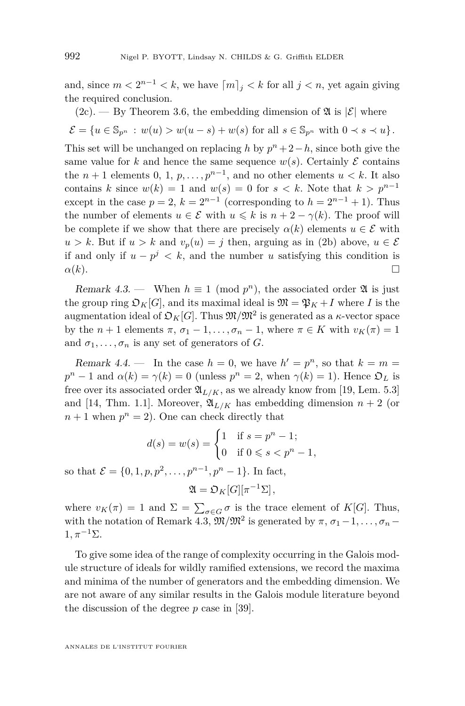and, since  $m < 2^{n-1} < k$ , we have  $\lceil m \rceil_j < k$  for all  $j < n$ , yet again giving the required conclusion.

(2c). 
$$
-
$$
 By Theorem 3.6, the embedding dimension of  $\mathfrak{A}$  is  $|\mathcal{E}|$  where

$$
\mathcal{E} = \{ u \in \mathbb{S}_{p^n} : w(u) > w(u-s) + w(s) \text{ for all } s \in \mathbb{S}_{p^n} \text{ with } 0 \prec s \prec u \}.
$$

This set will be unchanged on replacing *h* by  $p^{n} + 2-h$ , since both give the same value for *k* and hence the same sequence  $w(s)$ . Certainly  $\mathcal E$  contains the  $n + 1$  elements 0, 1,  $p, \ldots, p^{n-1}$ , and no other elements  $u < k$ . It also contains *k* since  $w(k) = 1$  and  $w(s) = 0$  for  $s < k$ . Note that  $k > p^{n-1}$ except in the case  $p = 2$ ,  $k = 2^{n-1}$  (corresponding to  $h = 2^{n-1} + 1$ ). Thus the number of elements  $u \in \mathcal{E}$  with  $u \leq k$  is  $n + 2 - \gamma(k)$ . The proof will be complete if we show that there are precisely  $\alpha(k)$  elements  $u \in \mathcal{E}$  with  $u > k$ . But if  $u > k$  and  $v_p(u) = j$  then, arguing as in [\(2b\)](#page-26-5) above,  $u \in \mathcal{E}$ if and only if  $u - p^j < k$ , and the number *u* satisfying this condition is  $\alpha(k)$ .

<span id="page-28-1"></span>Remark 4.3. — When  $h \equiv 1 \pmod{p^n}$ , the associated order  $\mathfrak A$  is just the group ring  $\mathcal{D}_K[G]$ , and its maximal ideal is  $\mathfrak{M} = \mathfrak{P}_K + I$  where *I* is the augmentation ideal of  $\mathfrak{O}_K[G]$ . Thus  $\mathfrak{M}/\mathfrak{M}^2$  is generated as a  $\kappa$ -vector space by the *n* + 1 elements  $\pi$ ,  $\sigma_1$  – 1, ...,  $\sigma_n$  – 1, where  $\pi \in K$  with  $v_K(\pi) = 1$ and  $\sigma_1, \ldots, \sigma_n$  is any set of generators of *G*.

<span id="page-28-0"></span>Remark 4.4. — In the case  $h = 0$ , we have  $h' = p^n$ , so that  $k = m =$  $p^{n} - 1$  and  $\alpha(k) = \gamma(k) = 0$  (unless  $p^{n} = 2$ , when  $\gamma(k) = 1$ ). Hence  $\mathfrak{O}_{L}$  is free over its associated order  $\mathfrak{A}_{L/K}$ , as we already know from [\[19,](#page-45-11) Lem. 5.3] and [\[14,](#page-45-10) Thm. 1.1]. Moreover,  $\mathfrak{A}_{L/K}$  has embedding dimension  $n+2$  (or  $n+1$  when  $p^n = 2$ ). One can check directly that

$$
d(s) = w(s) = \begin{cases} 1 & \text{if } s = p^{n} - 1; \\ 0 & \text{if } 0 \leq s < p^{n} - 1, \end{cases}
$$

so that  $\mathcal{E} = \{0, 1, p, p^2, \dots, p^{n-1}, p^n - 1\}$ . In fact,

$$
\mathfrak{A}=\mathfrak{O}_K[G][\pi^{-1}\Sigma],
$$

where  $v_K(\pi) = 1$  and  $\Sigma = \sum_{\sigma \in G} \sigma$  is the trace element of  $K[G]$ . Thus, with the notation of Remark [4.3,](#page-28-1)  $\mathfrak{M}/\mathfrak{M}^2$  is generated by  $\pi$ ,  $\sigma_1-1, \ldots, \sigma_n 1, \pi^{-1}\Sigma.$ 

To give some idea of the range of complexity occurring in the Galois module structure of ideals for wildly ramified extensions, we record the maxima and minima of the number of generators and the embedding dimension. We are not aware of any similar results in the Galois module literature beyond the discussion of the degree *p* case in [\[39\]](#page-46-0).

ANNALES DE L'INSTITUT FOURIER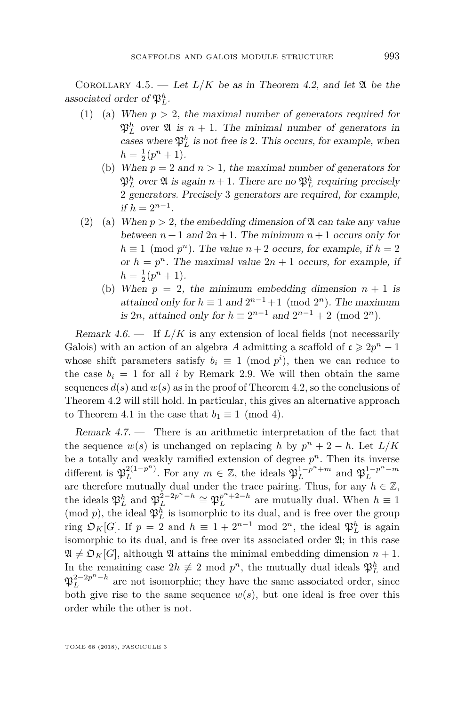COROLLARY 4.5. — Let  $L/K$  be as in Theorem [4.2,](#page-26-0) and let  $\mathfrak A$  be the associated order of  $\mathfrak{P}_L^h$ .

- (1) (a) When  $p > 2$ , the maximal number of generators required for  $\mathfrak{P}_L^h$  over  $\mathfrak{A}$  is  $n+1$ . The minimal number of generators in cases where  $\mathfrak{P}_L^h$  is not free is 2. This occurs, for example, when  $h = \frac{1}{2}(p^n + 1).$ 
	- (b) When  $p = 2$  and  $n > 1$ , the maximal number of generators for  $\mathfrak{P}_L^h$  over  $\mathfrak A$  is again  $n+1$ . There are no  $\mathfrak{P}_L^h$  requiring precisely 2 generators. Precisely 3 generators are required, for example, if  $h = 2^{n-1}$ .
- (2) (a) When  $p > 2$ , the embedding dimension of  $\mathfrak A$  can take any value between  $n+1$  and  $2n+1$ . The minimum  $n+1$  occurs only for  $h \equiv 1 \pmod{p^n}$ . The value  $n+2$  occurs, for example, if  $h = 2$ or  $h = p^n$ . The maximal value  $2n + 1$  occurs, for example, if  $h = \frac{1}{2}(p^n + 1).$ 
	- (b) When  $p = 2$ , the minimum embedding dimension  $n + 1$  is attained only for  $h \equiv 1$  and  $2^{n-1}+1 \pmod{2^n}$ . The maximum is 2*n*, attained only for  $h \equiv 2^{n-1}$  and  $2^{n-1} + 2 \pmod{2^n}$ .

Remark  $4.6.$  — If  $L/K$  is any extension of local fields (not necessarily Galois) with an action of an algebra *A* admitting a scaffold of  $c \ge 2p^n - 1$ whose shift parameters satisfy  $b_i \equiv 1 \pmod{p^i}$ , then we can reduce to the case  $b_i = 1$  for all *i* by Remark [2.9.](#page-9-2) We will then obtain the same sequences  $d(s)$  and  $w(s)$  as in the proof of Theorem [4.2,](#page-24-0) so the conclusions of Theorem [4.2](#page-24-0) will still hold. In particular, this gives an alternative approach to Theorem [4.1](#page-23-0) in the case that  $b_1 \equiv 1 \pmod{4}$ .

Remark 4.7. — There is an arithmetic interpretation of the fact that the sequence  $w(s)$  is unchanged on replacing *h* by  $p^{n} + 2 - h$ . Let  $L/K$ be a totally and weakly ramified extension of degree  $p<sup>n</sup>$ . Then its inverse different is  $\mathfrak{P}_L^{2(1-p^n)}$  $L^{2(1-p^n)}$ . For any  $m \in \mathbb{Z}$ , the ideals  $\mathfrak{P}_L^{1-p^n+m}$  and  $\mathfrak{P}_L^{1-p^n-m}$ are therefore mutually dual under the trace pairing. Thus, for any  $h \in \mathbb{Z}$ , the ideals  $\mathfrak{P}_L^h$  and  $\mathfrak{P}_L^{\hat{2}-2p^n-h} \cong \mathfrak{P}_L^{p^n+2-h}$  are mutually dual. When  $h \equiv 1$ (mod  $p$ ), the ideal  $\mathfrak{P}_{L}^{h}$  is isomorphic to its dual, and is free over the group ring  $\mathfrak{O}_K[G]$ . If  $p = 2$  and  $h \equiv 1 + 2^{n-1} \mod 2^n$ , the ideal  $\mathfrak{P}_L^h$  is again isomorphic to its dual, and is free over its associated order  $\mathfrak{A}$ ; in this case  $\mathfrak{A} \neq \mathfrak{O}_K[G]$ , although  $\mathfrak{A}$  attains the minimal embedding dimension  $n+1$ . In the remaining case  $2h \neq 2 \mod p^n$ , the mutually dual ideals  $\mathfrak{P}_L^h$  and  $\mathfrak{P}_L^{2-2p^n-h}$  are not isomorphic; they have the same associated order, since both give rise to the same sequence  $w(s)$ , but one ideal is free over this order while the other is not.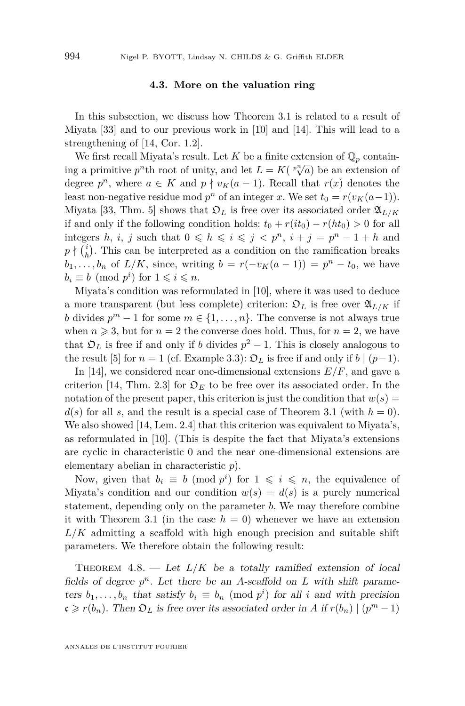#### **4.3. More on the valuation ring**

<span id="page-30-0"></span>In this subsection, we discuss how Theorem [3.1](#page-13-0) is related to a result of Miyata [\[33\]](#page-45-5) and to our previous work in [\[10\]](#page-44-4) and [\[14\]](#page-45-10). This will lead to a strengthening of [\[14,](#page-45-10) Cor. 1.2].

We first recall Miyata's result. Let *K* be a finite extension of  $\mathbb{Q}_p$  containing a primitive *p*<sup>*n*</sup>th root of unity, and let  $L = K(\binom{p}{k}$  be an extension of degree  $p^n$ , where  $a \in K$  and  $p \nmid v_K(a-1)$ . Recall that  $r(x)$  denotes the least non-negative residue mod  $p^n$  of an integer *x*. We set  $t_0 = r(v_K(a-1))$ . Miyata [\[33,](#page-45-5) Thm. 5] shows that  $\mathfrak{O}_L$  is free over its associated order  $\mathfrak{A}_{L/K}$ if and only if the following condition holds:  $t_0 + r(it_0) - r(ht_0) > 0$  for all integers *h*, *i*, *j* such that  $0 \leq h \leq i \leq j \leq p^n$ ,  $i + j = p^n - 1 + h$  and  $p \nmid {i \choose h}$ . This can be interpreted as a condition on the ramification breaks *b*<sub>1</sub>*,..., b<sub>n</sub>* of  $L/K$ *,* since, writing  $b = r(-v_K(a-1)) = p^n - t_0$ , we have  $b_i \equiv b \pmod{p^i}$  for  $1 \leqslant i \leqslant n$ .

Miyata's condition was reformulated in [\[10\]](#page-44-4), where it was used to deduce a more transparent (but less complete) criterion:  $\mathfrak{D}_L$  is free over  $\mathfrak{A}_{L/K}$  if *b* divides  $p^m - 1$  for some  $m \in \{1, ..., n\}$ . The converse is not always true when  $n \geq 3$ , but for  $n = 2$  the converse does hold. Thus, for  $n = 2$ , we have that  $\mathfrak{O}_L$  is free if and only if *b* divides  $p^2 - 1$ . This is closely analogous to the result [\[5\]](#page-44-2) for  $n = 1$  (cf. Example [3.3\)](#page-13-5):  $\mathfrak{O}_L$  is free if and only if  $b \mid (p-1)$ .

In [\[14\]](#page-45-10), we considered near one-dimensional extensions  $E/F$ , and gave a criterion [\[14,](#page-45-10) Thm. 2.3] for  $\mathfrak{O}_E$  to be free over its associated order. In the notation of the present paper, this criterion is just the condition that  $w(s) =$  $d(s)$  for all *s*, and the result is a special case of Theorem [3.1](#page-13-0) (with  $h = 0$ ). We also showed [\[14,](#page-45-10) Lem. 2.4] that this criterion was equivalent to Miyata's, as reformulated in [\[10\]](#page-44-4). (This is despite the fact that Miyata's extensions are cyclic in characteristic 0 and the near one-dimensional extensions are elementary abelian in characteristic *p*).

Now, given that  $b_i \equiv b \pmod{p^i}$  for  $1 \leqslant i \leqslant n$ , the equivalence of Miyata's condition and our condition  $w(s) = d(s)$  is a purely numerical statement, depending only on the parameter *b*. We may therefore combine it with Theorem [3.1](#page-13-0) (in the case  $h = 0$ ) whenever we have an extension *L/K* admitting a scaffold with high enough precision and suitable shift parameters. We therefore obtain the following result:

<span id="page-30-1"></span>THEOREM  $4.8.$  — Let  $L/K$  be a totally ramified extension of local fields of degree  $p^n$ . Let there be an *A*-scaffold on *L* with shift parameters  $b_1, \ldots, b_n$  that satisfy  $b_i \equiv b_n \pmod{p^i}$  for all *i* and with precision  $c \geq r(b_n)$ . Then  $\mathfrak{O}_L$  is free over its associated order in *A* if  $r(b_n) \mid (p^m - 1)$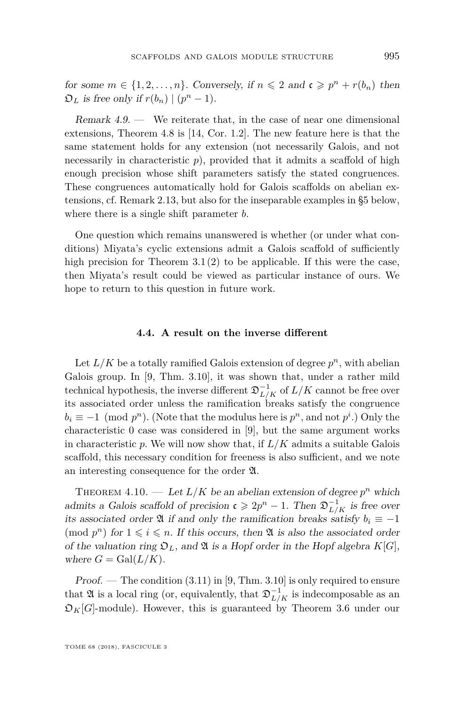for some  $m \in \{1, 2, \ldots, n\}$ . Conversely, if  $n \leq 2$  and  $\mathfrak{c} \geq p^n + r(b_n)$  then  $\mathfrak{O}_L$  is free only if  $r(b_n) | (p^n - 1)$ .

Remark 4.9. — We reiterate that, in the case of near one dimensional extensions, Theorem [4.8](#page-30-1) is [\[14,](#page-45-10) Cor. 1.2]. The new feature here is that the same statement holds for any extension (not necessarily Galois, and not necessarily in characteristic  $p$ ), provided that it admits a scaffold of high enough precision whose shift parameters satisfy the stated congruences. These congruences automatically hold for Galois scaffolds on abelian extensions, cf. Remark [2.13,](#page-12-3) but also for the inseparable examples in [§5](#page-32-0) below, where there is a single shift parameter *b*.

One question which remains unanswered is whether (or under what conditions) Miyata's cyclic extensions admit a Galois scaffold of sufficiently high precision for Theorem  $3.1(2)$  $3.1(2)$  to be applicable. If this were the case, then Miyata's result could be viewed as particular instance of ours. We hope to return to this question in future work.

#### **4.4. A result on the inverse different**

Let  $L/K$  be a totally ramified Galois extension of degree  $p^n$ , with abelian Galois group. In [\[9,](#page-44-10) Thm. 3.10], it was shown that, under a rather mild technical hypothesis, the inverse different  $\mathfrak{D}_{L/K}^{-1}$  of  $L/K$  cannot be free over its associated order unless the ramification breaks satisfy the congruence  $b_i \equiv -1 \pmod{p^n}$ . (Note that the modulus here is  $p^n$ , and not  $p^i$ .) Only the characteristic 0 case was considered in [\[9\]](#page-44-10), but the same argument works in characteristic *p*. We will now show that, if *L/K* admits a suitable Galois scaffold, this necessary condition for freeness is also sufficient, and we note an interesting consequence for the order A.

<span id="page-31-0"></span>THEOREM 4.10. — Let  $L/K$  be an abelian extension of degree  $p^n$  which admits a Galois scaffold of precision  $\mathfrak{c} \geqslant 2p^n - 1$ . Then  $\mathfrak{D}_{L/K}^{-1}$  is free over its associated order  $\mathfrak{A}$  if and only the ramification breaks satisfy  $b_i \equiv -1$ (mod  $p^n$ ) for  $1 \leqslant i \leqslant n$ . If this occurs, then  $\mathfrak A$  is also the associated order of the valuation ring  $\mathfrak{O}_L$ , and  $\mathfrak A$  is a Hopf order in the Hopf algebra  $K[G]$ , where  $G = \text{Gal}(L/K)$ .

Proof. — The condition  $(3.11)$  in [\[9,](#page-44-10) Thm. 3.10] is only required to ensure that  $\mathfrak A$  is a local ring (or, equivalently, that  $\mathfrak D_{L/K}^{-1}$  is indecomposable as an  $\mathfrak{D}_K[G]$ -module). However, this is guaranteed by Theorem [3.6](#page-15-0) under our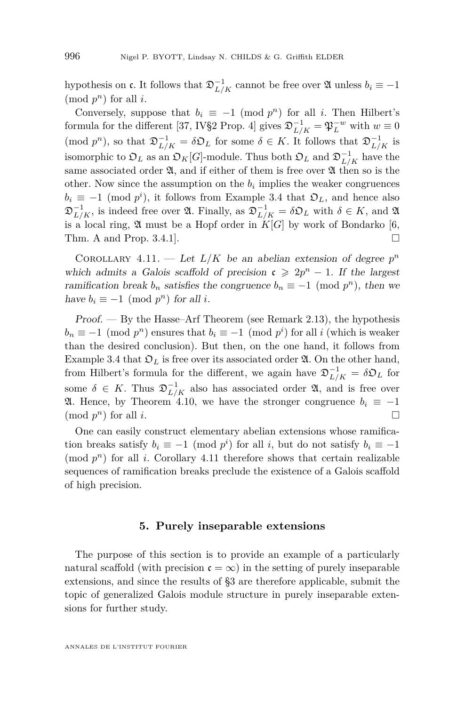hypothesis on  $\mathfrak{c}$ . It follows that  $\mathfrak{D}_{L/K}^{-1}$  cannot be free over  $\mathfrak A$  unless  $b_i \equiv -1$  $(mod p<sup>n</sup>)$  for all *i*.

Conversely, suppose that  $b_i \equiv -1 \pmod{p^n}$  for all *i*. Then Hilbert's formula for the different [\[37,](#page-46-5) IV§2 Prop. 4] gives  $\mathfrak{D}_{L/K}^{-1} = \mathfrak{P}_L^{-w}$  with  $w \equiv 0$ (mod  $p^n$ ), so that  $\mathfrak{D}_{L/K}^{-1} = \delta \mathfrak{D}_L$  for some  $\delta \in K$ . It follows that  $\mathfrak{D}_{L/K}^{-1}$  is isomorphic to  $\mathfrak{O}_L$  as an  $\mathfrak{O}_K[G]$ -module. Thus both  $\mathfrak{O}_L$  and  $\mathfrak{D}_{L/K}^{-1}$  have the same associated order  $\mathfrak{A}$ , and if either of them is free over  $\mathfrak{A}$  then so is the other. Now since the assumption on the  $b_i$  implies the weaker congruences  $b_i \equiv -1 \pmod{p^i}$ , it follows from Example [3.4](#page-14-1) that  $\mathfrak{O}_L$ , and hence also  $\mathfrak{D}_{L/K}^{-1}$ , is indeed free over  $\mathfrak{A}$ . Finally, as  $\mathfrak{D}_{L/K}^{-1} = \delta \mathfrak{O}_L$  with  $\delta \in K$ , and  $\mathfrak{A}$ is a local ring,  $\mathfrak A$  must be a Hopf order in  $K[G]$  by work of Bondarko [\[6,](#page-44-7) Thm. A and Prop. 3.4.1].

<span id="page-32-1"></span>COROLLARY 4.11. — Let  $L/K$  be an abelian extension of degree  $p^n$ which admits a Galois scaffold of precision  $c \geq 2p^n - 1$ . If the largest ramification break  $b_n$  satisfies the congruence  $b_n \equiv -1 \pmod{p^n}$ , then we have  $b_i \equiv -1 \pmod{p^n}$  for all *i*.

 $Proof.$  — By the Hasse–Arf Theorem (see Remark [2.13\)](#page-12-3), the hypothesis  $b_n \equiv -1 \pmod{p^n}$  ensures that  $b_i \equiv -1 \pmod{p^i}$  for all *i* (which is weaker than the desired conclusion). But then, on the one hand, it follows from Example [3.4](#page-14-1) that  $\mathfrak{O}_L$  is free over its associated order  $\mathfrak{A}$ . On the other hand, from Hilbert's formula for the different, we again have  $\mathfrak{D}_{L/K}^{-1} = \delta \mathfrak{O}_L$  for some  $\delta \in K$ . Thus  $\mathfrak{D}_{L/K}^{-1}$  also has associated order  $\mathfrak{A}$ , and is free over **21.** Hence, by Theorem [4.10,](#page-31-0) we have the stronger congruence  $b_i \equiv -1$  $\Box$  (mod  $p^n$ ) for all *i*.

One can easily construct elementary abelian extensions whose ramification breaks satisfy  $b_i \equiv -1 \pmod{p^i}$  for all *i*, but do not satisfy  $b_i \equiv -1$ (mod  $p^n$ ) for all *i*. Corollary [4.11](#page-32-1) therefore shows that certain realizable sequences of ramification breaks preclude the existence of a Galois scaffold of high precision.

#### **5. Purely inseparable extensions**

<span id="page-32-0"></span>The purpose of this section is to provide an example of a particularly natural scaffold (with precision  $\mathfrak{c} = \infty$ ) in the setting of purely inseparable extensions, and since the results of [§3](#page-12-0) are therefore applicable, submit the topic of generalized Galois module structure in purely inseparable extensions for further study.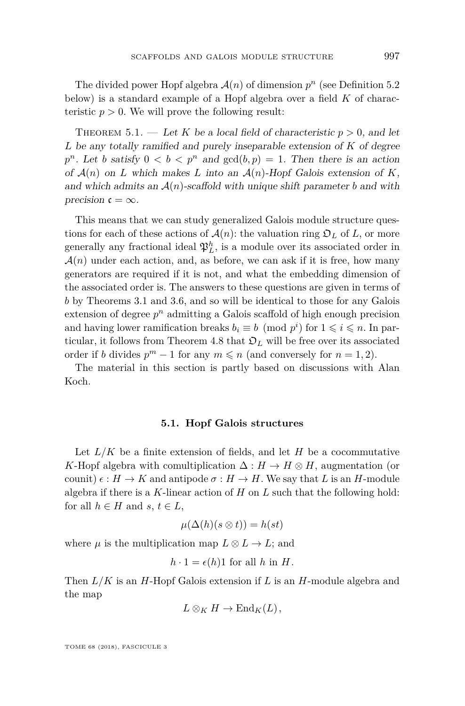The divided power Hopf algebra  $\mathcal{A}(n)$  of dimension  $p^n$  (see Definition [5.2](#page-34-0)) below) is a standard example of a Hopf algebra over a field *K* of characteristic  $p > 0$ . We will prove the following result:

<span id="page-33-0"></span>THEOREM 5.1. — Let *K* be a local field of characteristic  $p > 0$ , and let *L* be any totally ramified and purely inseparable extension of *K* of degree  $p^n$ . Let *b* satisfy  $0 < b < p^n$  and  $gcd(b, p) = 1$ . Then there is an action of  $\mathcal{A}(n)$  on *L* which makes *L* into an  $\mathcal{A}(n)$ -Hopf Galois extension of *K*, and which admits an  $\mathcal{A}(n)$ -scaffold with unique shift parameter *b* and with precision  $\mathfrak{c} = \infty$ .

This means that we can study generalized Galois module structure questions for each of these actions of  $\mathcal{A}(n)$ : the valuation ring  $\mathcal{D}_L$  of L, or more generally any fractional ideal  $\mathfrak{P}_L^h$ , is a module over its associated order in  $\mathcal{A}(n)$  under each action, and, as before, we can ask if it is free, how many generators are required if it is not, and what the embedding dimension of the associated order is. The answers to these questions are given in terms of *b* by Theorems [3.1](#page-13-0) and [3.6,](#page-15-0) and so will be identical to those for any Galois extension of degree *p <sup>n</sup>* admitting a Galois scaffold of high enough precision and having lower ramification breaks  $b_i \equiv b \pmod{p^i}$  for  $1 \leq i \leq n$ . In par-ticular, it follows from Theorem [4.8](#page-30-1) that  $\mathfrak{O}_L$  will be free over its associated order if *b* divides  $p^m - 1$  for any  $m \leq n$  (and conversely for  $n = 1, 2$ ).

The material in this section is partly based on discussions with Alan Koch.

#### **5.1. Hopf Galois structures**

Let  $L/K$  be a finite extension of fields, and let  $H$  be a cocommutative *K*-Hopf algebra with comultiplication  $\Delta : H \to H \otimes H$ , augmentation (or counit)  $\epsilon : H \to K$  and antipode  $\sigma : H \to H$ . We say that L is an H-module algebra if there is a *K*-linear action of *H* on *L* such that the following hold: for all  $h \in H$  and  $s, t \in L$ ,

$$
\mu(\Delta(h)(s\otimes t)) = h(st)
$$

where  $\mu$  is the multiplication map  $L \otimes L \rightarrow L$ ; and

$$
h \cdot 1 = \epsilon(h)1
$$
 for all h in H.

Then *L/K* is an *H*-Hopf Galois extension if *L* is an *H*-module algebra and the map

$$
L\otimes_K H\to \mathrm{End}_K(L),
$$

TOME 68 (2018), FASCICULE 3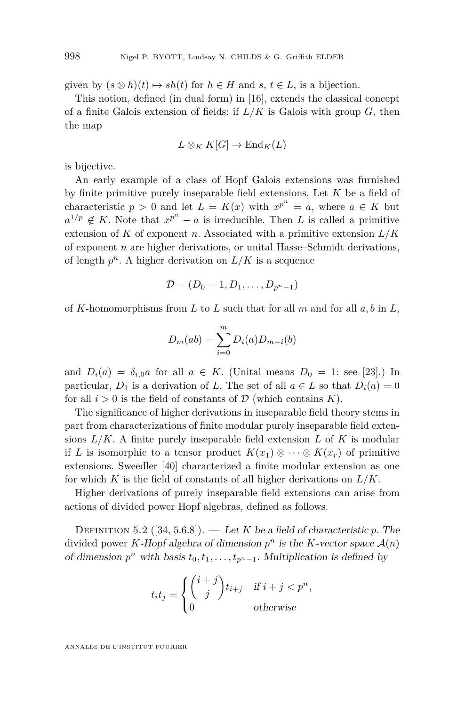given by  $(s \otimes h)(t) \mapsto sh(t)$  for  $h \in H$  and  $s, t \in L$ , is a bijection.

This notion, defined (in dual form) in [\[16\]](#page-45-19), extends the classical concept of a finite Galois extension of fields: if *L/K* is Galois with group *G*, then the map

$$
L\otimes_K K[G]\to\mathrm{End}_K(L)
$$

is bijective.

An early example of a class of Hopf Galois extensions was furnished by finite primitive purely inseparable field extensions. Let *K* be a field of characteristic  $p > 0$  and let  $L = K(x)$  with  $x^{p^n} = a$ , where  $a \in K$  but  $a^{1/p} \notin K$ . Note that  $x^{p^n} - a$  is irreducible. Then *L* is called a primitive extension of *K* of exponent *n*. Associated with a primitive extension *L/K* of exponent *n* are higher derivations, or unital Hasse–Schmidt derivations, of length  $p^n$ . A higher derivation on  $L/K$  is a sequence

$$
\mathcal{D}=(D_0=1,D_1,\ldots,D_{p^n-1})
$$

of *K*-homomorphisms from *L* to *L* such that for all *m* and for all *a, b* in *L*,

$$
D_m(ab) = \sum_{i=0}^{m} D_i(a)D_{m-i}(b)
$$

and  $D_i(a) = \delta_{i,0}a$  for all  $a \in K$ . (Unital means  $D_0 = 1$ : see [\[23\]](#page-45-20).) In particular,  $D_1$  is a derivation of *L*. The set of all  $a \in L$  so that  $D_i(a) = 0$ for all  $i > 0$  is the field of constants of  $D$  (which contains  $K$ ).

The significance of higher derivations in inseparable field theory stems in part from characterizations of finite modular purely inseparable field extensions  $L/K$ . A finite purely inseparable field extension  $L$  of  $K$  is modular if *L* is isomorphic to a tensor product  $K(x_1) \otimes \cdots \otimes K(x_r)$  of primitive extensions. Sweedler [\[40\]](#page-46-6) characterized a finite modular extension as one for which  $K$  is the field of constants of all higher derivations on  $L/K$ .

Higher derivations of purely inseparable field extensions can arise from actions of divided power Hopf algebras, defined as follows.

<span id="page-34-0"></span>DEFINITION 5.2 ([\[34,](#page-45-21) 5.6.8]). — Let *K* be a field of characteristic *p*. The divided power *K*-Hopf algebra of dimension  $p^n$  is the *K*-vector space  $\mathcal{A}(n)$ of dimension  $p^n$  with basis  $t_0, t_1, \ldots, t_{p^n-1}$ . Multiplication is defined by

$$
t_i t_j = \begin{cases} {i+j \choose j} t_{i+j} & \text{if } i+j < p^n, \\ 0 & \text{otherwise} \end{cases}
$$

ANNALES DE L'INSTITUT FOURIER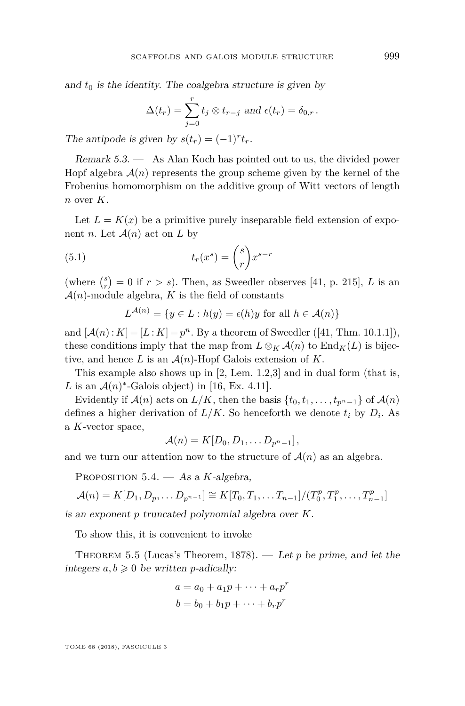and  $t_0$  is the identity. The coalgebra structure is given by

$$
\Delta(t_r) = \sum_{j=0}^r t_j \otimes t_{r-j} \text{ and } \epsilon(t_r) = \delta_{0,r}.
$$

The antipode is given by  $s(t_r) = (-1)^r t_r$ .

Remark 5.3. — As Alan Koch has pointed out to us, the divided power Hopf algebra  $\mathcal{A}(n)$  represents the group scheme given by the kernel of the Frobenius homomorphism on the additive group of Witt vectors of length *n* over *K*.

Let  $L = K(x)$  be a primitive purely inseparable field extension of exponent *n*. Let  $\mathcal{A}(n)$  act on *L* by

(5.1) 
$$
t_r(x^s) = \binom{s}{r} x^{s-r}
$$

(where  $\binom{s}{r} = 0$  if  $r > s$ ). Then, as Sweedler observes [\[41,](#page-46-7) p. 215], *L* is an  $\mathcal{A}(n)$ -module algebra, K is the field of constants

<span id="page-35-1"></span>
$$
L^{\mathcal{A}(n)} = \{ y \in L : h(y) = \epsilon(h)y \text{ for all } h \in \mathcal{A}(n) \}
$$

and  $[A(n):K] = [L:K] = p^n$ . By a theorem of Sweedler ([\[41,](#page-46-7) Thm. 10.1.1]), these conditions imply that the map from  $L \otimes_K \mathcal{A}(n)$  to  $\text{End}_K(L)$  is bijective, and hence  $L$  is an  $\mathcal{A}(n)$ -Hopf Galois extension of  $K$ .

This example also shows up in [\[2,](#page-44-11) Lem. 1.2,3] and in dual form (that is, L is an  $\mathcal{A}(n)$ <sup>\*</sup>-Galois object) in [\[16,](#page-45-19) Ex. 4.11].

Evidently if  $\mathcal{A}(n)$  acts on  $L/K$ , then the basis  $\{t_0, t_1, \ldots, t_{p^n-1}\}$  of  $\mathcal{A}(n)$ defines a higher derivation of  $L/K$ . So henceforth we denote  $t_i$  by  $D_i$ . As a *K*-vector space,

$$
\mathcal{A}(n) = K[D_0, D_1, \ldots D_{p^n-1}],
$$

and we turn our attention now to the structure of  $\mathcal{A}(n)$  as an algebra.

<span id="page-35-0"></span>Proposition 5.4. — As a *K*-algebra,

$$
\mathcal{A}(n) = K[D_1, D_p, \dots D_{p^{n-1}}] \cong K[T_0, T_1, \dots T_{n-1}]/(T_0^p, T_1^p, \dots, T_{n-1}^p)
$$

is an exponent *p* truncated polynomial algebra over *K*.

To show this, it is convenient to invoke

<span id="page-35-2"></span>Theorem 5.5 (Lucas's Theorem, 1878). — Let *p* be prime, and let the integers  $a, b \geq 0$  be written *p*-adically:

$$
a = a_0 + a_1p + \dots + a_rp^r
$$
  

$$
b = b_0 + b_1p + \dots + b_rp^r
$$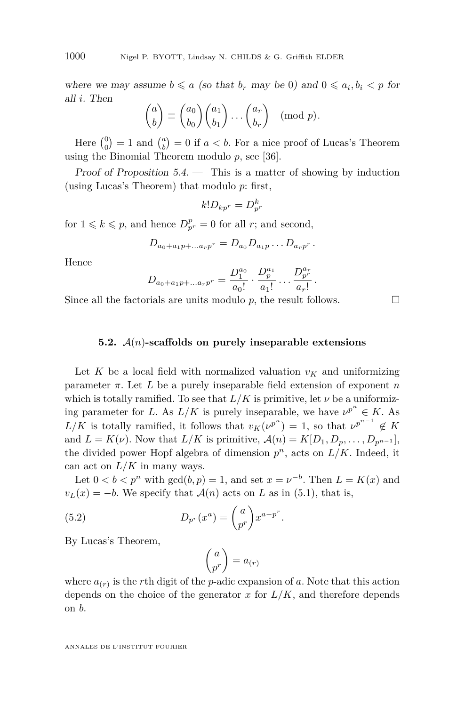where we may assume  $b \le a$  (so that  $b_r$  may be 0) and  $0 \le a_i, b_i < p$  for all *i*. Then

$$
\begin{pmatrix} a \\ b \end{pmatrix} \equiv \begin{pmatrix} a_0 \\ b_0 \end{pmatrix} \begin{pmatrix} a_1 \\ b_1 \end{pmatrix} \dots \begin{pmatrix} a_r \\ b_r \end{pmatrix} \pmod{p}.
$$

Here  $\binom{0}{0} = 1$  and  $\binom{a}{b} = 0$  if  $a < b$ . For a nice proof of Lucas's Theorem using the Binomial Theorem modulo *p*, see [\[36\]](#page-45-22).

Proof of Proposition [5.4.](#page-35-0) — This is a matter of showing by induction (using Lucas's Theorem) that modulo *p*: first,

$$
k! D_{kp^r} = D_{p^r}^k
$$

for  $1 \leq k \leq p$ , and hence  $D_{p^r}^p = 0$  for all *r*; and second,

$$
D_{a_0 + a_1 p + \dots a_r p^r} = D_{a_0} D_{a_1 p} \dots D_{a_r p^r}.
$$

Hence

$$
D_{a_0 + a_1 p + \dots a_r p^r} = \frac{D_1^{a_0}}{a_0!} \cdot \frac{D_p^{a_1}}{a_1!} \dots \frac{D_p^{a_r}}{a_r!}.
$$

Since all the factorials are units modulo *p*, the result follows.

#### **5.2.** A(*n*)**-scaffolds on purely inseparable extensions**

Let *K* be a local field with normalized valuation  $v_K$  and uniformizing parameter  $\pi$ . Let *L* be a purely inseparable field extension of exponent *n* which is totally ramified. To see that  $L/K$  is primitive, let  $\nu$  be a uniformizing parameter for *L*. As  $L/K$  is purely inseparable, we have  $\nu^{p^n} \in K$ . As  $L/K$  is totally ramified, it follows that  $v_K(\nu^{p^n}) = 1$ , so that  $\nu^{p^{n-1}} \notin K$ and  $L = K(\nu)$ . Now that  $L/K$  is primitive,  $\mathcal{A}(n) = K[D_1, D_p, \ldots, D_{p^{n-1}}]$ , the divided power Hopf algebra of dimension  $p^n$ , acts on  $L/K$ . Indeed, it can act on  $L/K$  in many ways.

Let  $0 < b < p^n$  with  $gcd(b, p) = 1$ , and set  $x = \nu^{-b}$ . Then  $L = K(x)$  and  $v_L(x) = -b$ . We specify that  $\mathcal{A}(n)$  acts on *L* as in [\(5.1\)](#page-35-1), that is,

(5.2) 
$$
D_{p^r}(x^a) = \binom{a}{p^r} x^{a-p^r}.
$$

By Lucas's Theorem,

<span id="page-36-0"></span>
$$
\binom{a}{p^r} = a_{(r)}
$$

where  $a_{(r)}$  is the *r*th digit of the *p*-adic expansion of *a*. Note that this action depends on the choice of the generator  $x$  for  $L/K$ , and therefore depends on *b*.

ANNALES DE L'INSTITUT FOURIER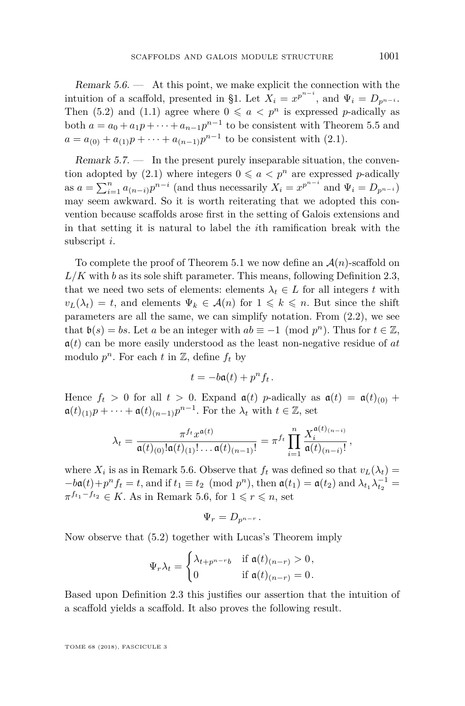<span id="page-37-0"></span>Remark  $5.6.$  — At this point, we make explicit the connection with the intuition of a scaffold, presented in [§1.](#page-2-0) Let  $X_i = x^{p^{n-i}}$ , and  $\Psi_i = D_{p^{n-i}}$ . Then [\(5.2\)](#page-36-0) and [\(1.1\)](#page-3-0) agree where  $0 \le a \le p^n$  is expressed *p*-adically as both  $a = a_0 + a_1p + \cdots + a_{n-1}p^{n-1}$  to be consistent with Theorem [5.5](#page-35-2) and  $a = a_{(0)} + a_{(1)}p + \cdots + a_{(n-1)}p^{n-1}$  to be consistent with [\(2.1\)](#page-6-4).

Remark  $5.7.$  — In the present purely inseparable situation, the conven-tion adopted by [\(2.1\)](#page-6-4) where integers  $0 \le a \le p^n$  are expressed *p*-adically as  $a = \sum_{i=1}^{n} a_{(n-i)} p^{n-i}$  (and thus necessarily  $X_i = x^{p^{n-i}}$  and  $\Psi_i = D_{p^{n-i}}$ ) may seem awkward. So it is worth reiterating that we adopted this convention because scaffolds arose first in the setting of Galois extensions and in that setting it is natural to label the *i*th ramification break with the subscript *i*.

To complete the proof of Theorem [5.1](#page-33-0) we now define an  $\mathcal{A}(n)$ -scaffold on *L/K* with *b* as its sole shift parameter. This means, following Definition [2.3,](#page-7-0) that we need two sets of elements: elements  $\lambda_t \in L$  for all integers *t* with  $v_L(\lambda_t) = t$ , and elements  $\Psi_k \in \mathcal{A}(n)$  for  $1 \leq k \leq n$ . But since the shift parameters are all the same, we can simplify notation. From [\(2.2\)](#page-7-1), we see that  $\mathfrak{b}(s) = bs$ . Let *a* be an integer with  $ab \equiv -1 \pmod{p^n}$ . Thus for  $t \in \mathbb{Z}$ , a(*t*) can be more easily understood as the least non-negative residue of *at* modulo  $p^n$ . For each  $t$  in  $\mathbb{Z}$ , define  $f_t$  by

$$
t = -b\mathfrak{a}(t) + p^n f_t.
$$

Hence  $f_t > 0$  for all  $t > 0$ . Expand  $\mathfrak{a}(t)$  *p*-adically as  $\mathfrak{a}(t) = \mathfrak{a}(t)_{(0)} +$  $\mathfrak{a}(t)_{(1)}p + \cdots + \mathfrak{a}(t)_{(n-1)}p^{n-1}$ . For the  $\lambda_t$  with  $t \in \mathbb{Z}$ , set

$$
\lambda_t = \frac{\pi^{f_t} x^{\mathfrak{a}(t)}}{\mathfrak{a}(t)_{(0)}! \mathfrak{a}(t)_{(1)}! \dots \mathfrak{a}(t)_{(n-1)}!} = \pi^{f_t} \prod_{i=1}^n \frac{X_i^{\mathfrak{a}(t)_{(n-i)}}}{\mathfrak{a}(t)_{(n-i)}!},
$$

where  $X_i$  is as in Remark [5.6.](#page-37-0) Observe that  $f_t$  was defined so that  $v_L(\lambda_t) =$  $-ba(t)+p^{n} f_{t} = t$ , and if  $t_{1} \equiv t_{2} \pmod{p^{n}}$ , then  $a(t_{1}) = a(t_{2})$  and  $\lambda_{t_{1}} \lambda_{t_{2}}^{-1} =$  $\pi^{f_{t_1} - f_{t_2}} \in K$ . As in Remark [5.6,](#page-37-0) for  $1 \leqslant r \leqslant n$ , set

$$
\Psi_r = D_{p^{n-r}}.
$$

Now observe that [\(5.2\)](#page-36-0) together with Lucas's Theorem imply

$$
\Psi_r \lambda_t = \begin{cases} \lambda_{t+p^{n-r}b} & \text{if } \mathfrak{a}(t)_{(n-r)} > 0, \\ 0 & \text{if } \mathfrak{a}(t)_{(n-r)} = 0. \end{cases}
$$

Based upon Definition [2.3](#page-7-0) this justifies our assertion that the intuition of a scaffold yields a scaffold. It also proves the following result.

TOME 68 (2018), FASCICULE 3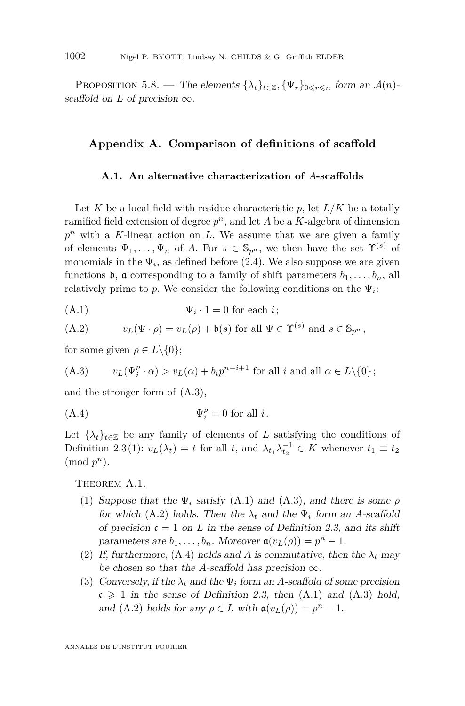PROPOSITION 5.8. — The elements  $\{\lambda_t\}_{t\in\mathbb{Z}}, \{\Psi_r\}_{0\leq r\leq n}$  form an  $\mathcal{A}(n)$ scaffold on *L* of precision  $\infty$ .

#### **Appendix A. Comparison of definitions of scaffold**

#### **A.1. An alternative characterization of** *A***-scaffolds**

Let K be a local field with residue characteristic  $p$ , let  $L/K$  be a totally ramified field extension of degree *p <sup>n</sup>*, and let *A* be a *K*-algebra of dimension *p <sup>n</sup>* with a *K*-linear action on *L*. We assume that we are given a family of elements  $\Psi_1, \ldots, \Psi_n$  of *A*. For  $s \in \mathbb{S}_{p^n}$ , we then have the set  $\Upsilon^{(s)}$  of monomials in the  $\Psi_i$ , as defined before  $(2.4)$ . We also suppose we are given functions **b**, **a** corresponding to a family of shift parameters  $b_1, \ldots, b_n$ , all relatively prime to  $p$ . We consider the following conditions on the  $\Psi_i$ :

<span id="page-38-1"></span>
$$
(A.1) \t\t \Psi_i \cdot 1 = 0 \t for each i;
$$

<span id="page-38-2"></span>(A.2) 
$$
v_L(\Psi \cdot \rho) = v_L(\rho) + \mathfrak{b}(s) \text{ for all } \Psi \in \Upsilon^{(s)} \text{ and } s \in \mathbb{S}_{p^n},
$$

for some given  $\rho \in L \backslash \{0\};$ 

<span id="page-38-0"></span>(A.3) 
$$
v_L(\Psi_i^p \cdot \alpha) > v_L(\alpha) + b_i p^{n-i+1} \text{ for all } i \text{ and all } \alpha \in L \setminus \{0\};
$$

and the stronger form of [\(A.3\)](#page-38-0),

<span id="page-38-3"></span>
$$
\Psi_i^p = 0 \text{ for all } i.
$$

Let  $\{\lambda_t\}_{t\in\mathbb{Z}}$  be any family of elements of *L* satisfying the conditions of Definition [2.3](#page-7-0)[\(1\)](#page-7-3):  $v_L(\lambda_t) = t$  for all *t*, and  $\lambda_{t_1} \lambda_{t_2}^{-1} \in K$  whenever  $t_1 \equiv t_2$  $(mod p<sup>n</sup>)$ .

<span id="page-38-7"></span><span id="page-38-4"></span>THEOREM A.1.

- (1) Suppose that the  $\Psi_i$  satisfy [\(A.1\)](#page-38-1) and [\(A.3\)](#page-38-0), and there is some  $\rho$ for which [\(A.2\)](#page-38-2) holds. Then the  $\lambda_t$  and the  $\Psi_i$  form an *A*-scaffold of precision  $\mathfrak{c} = 1$  on *L* in the sense of Definition [2.3,](#page-7-0) and its shift parameters are  $b_1, \ldots, b_n$ . Moreover  $\mathfrak{a}(v_L(\rho)) = p^n - 1$ .
- <span id="page-38-5"></span>(2) If, furthermore, [\(A.4\)](#page-38-3) holds and A is commutative, then the  $\lambda_t$  may be chosen so that the *A*-scaffold has precision  $\infty$ .
- <span id="page-38-6"></span>(3) Conversely, if the  $\lambda_t$  and the  $\Psi_i$  form an *A*-scaffold of some precision  $\mathfrak{c} \geq 1$  in the sense of Definition [2.3,](#page-7-0) then [\(A.1\)](#page-38-1) and [\(A.3\)](#page-38-0) hold, and [\(A.2\)](#page-38-2) holds for any  $\rho \in L$  with  $\mathfrak{a}(v_L(\rho)) = p^n - 1$ .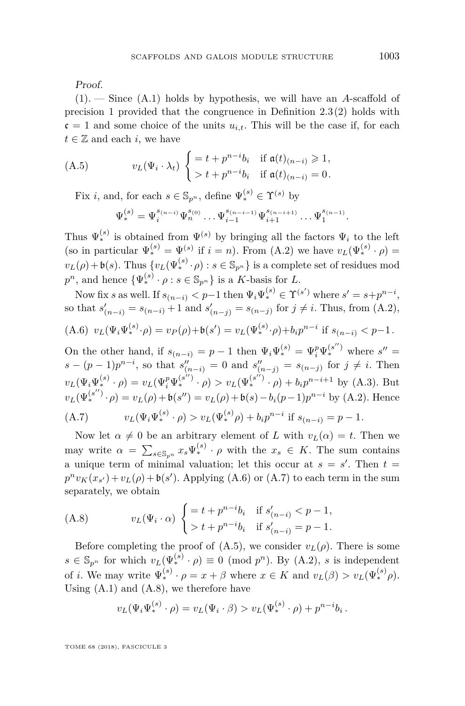Proof.

[\(1\)](#page-38-4). — Since [\(A.1\)](#page-38-1) holds by hypothesis, we will have an *A*-scaffold of precision 1 provided that the congruence in Definition [2.3](#page-7-0)[\(2\)](#page-7-2) holds with  $c = 1$  and some choice of the units  $u_{i,t}$ . This will be the case if, for each  $t \in \mathbb{Z}$  and each *i*, we have

(A.5) 
$$
v_L(\Psi_i \cdot \lambda_t) \begin{cases} = t + p^{n-i}b_i & \text{if } \mathfrak{a}(t)_{(n-i)} \geq 1, \\ > t + p^{n-i}b_i & \text{if } \mathfrak{a}(t)_{(n-i)} = 0. \end{cases}
$$

Fix *i*, and, for each  $s \in \mathbb{S}_{p^n}$ , define  $\Psi_*^{(s)} \in \Upsilon^{(s)}$  by

<span id="page-39-2"></span>
$$
\Psi^{(s)}_* = \Psi^{s_{(n-i)}}_i \Psi^{s_{(0)}}_n \dots \Psi^{s_{(n-i-1)}}_{i-1} \Psi^{s_{(n-i+1)}}_{i+1} \dots \Psi^{s_{(n-1)}}_1.
$$

Thus  $\Psi_*^{(s)}$  is obtained from  $\Psi^{(s)}$  by bringing all the factors  $\Psi_i$  to the left (so in particular  $\Psi_*^{(s)} = \Psi^{(s)}$  if  $i = n$ ). From [\(A.2\)](#page-38-2) we have  $v_L(\Psi_*^{(s)} \cdot \rho) =$  $v_L(\rho) + \mathfrak{b}(s)$ . Thus  $\{v_L(\Psi_*^{(s)} \cdot \rho) : s \in \mathbb{S}_{p^n}\}\$ is a complete set of residues mod  $p^n$ , and hence  $\{\Psi_*^{(s)} \cdot \rho : s \in \mathbb{S}_{p^n}\}$  is a *K*-basis for *L*.

Now fix *s* as well. If  $s_{(n-i)} < p-1$  then  $\Psi_i \Psi_*^{(s)} \in \Upsilon^{(s')}$  where  $s' = s + p^{n-i}$ , so that  $s'_{(n-i)} = s_{(n-i)} + 1$  and  $s'_{(n-j)} = s_{(n-j)}$  for  $j \neq i$ . Thus, from [\(A.2\)](#page-38-2), (*s*)  $\overline{a}$ *n*−*i*

<span id="page-39-0"></span>(A.6) 
$$
v_L(\Psi_i \Psi_*^{(s)} \cdot \rho) = v_P(\rho) + \mathfrak{b}(s') = v_L(\Psi_*^{(s)} \cdot \rho) + b_i p^{n-i}
$$
 if  $s_{(n-i)} < p-1$ .

On the other hand, if  $s_{(n-i)} = p - 1$  then  $\Psi_i \Psi_*^{(s)} = \Psi_i^p \Psi_*^{(s'')}$  where  $s'' =$  $s - (p-1)p^{n-i}$ , so that  $s''_{(n-i)} = 0$  and  $s''_{(n-j)} = s_{(n-j)}$  for  $j \neq i$ . Then  $v_L(\Psi_i\Psi_*^{(s)} \cdot \rho) = v_L(\Psi_i^p \Psi_*^{(s'')} \cdot \rho) > v_L(\Psi_*^{(s'')} \cdot \rho) + b_i p^{n-i+1}$  by [\(A.3\)](#page-38-0). But  $v_L(\Psi_*^{(s'')}\cdot \rho) = v_L(\rho) + \mathfrak{b}(s'') = v_L(\rho) + \mathfrak{b}(s) - b_i(p-1)p^{n-i}$  by [\(A.2\)](#page-38-2). Hence (A.7)  $v_L(\Psi_i \Psi_*^{(s)} \cdot \rho) > v_L(\Psi_*^{(s)} \rho) + b_i p^{n-i}$  if  $s_{(n-i)} = p - 1$ .

<span id="page-39-1"></span>Now let  $\alpha \neq 0$  be an arbitrary element of *L* with  $v_L(\alpha) = t$ . Then we may write  $\alpha = \sum_{s \in \mathbb{S}_{p^n}} x_s \Psi_*^{(s)} \cdot \rho$  with the  $x_s \in K$ . The sum contains a unique term of minimal valuation; let this occur at  $s = s'$ . Then  $t =$  $p^n v_K(x_{s'}) + v_L(\rho) + \mathfrak{b}(s')$ . Applying [\(A.6\)](#page-39-0) or [\(A.7\)](#page-39-1) to each term in the sum separately, we obtain

<span id="page-39-3"></span>(A.8) 
$$
v_L(\Psi_i \cdot \alpha) \begin{cases} = t + p^{n-i}b_i & \text{if } s'_{(n-i)} < p-1, \\ > t + p^{n-i}b_i & \text{if } s'_{(n-i)} = p-1. \end{cases}
$$

Before completing the proof of  $(A.5)$ , we consider  $v_L(\rho)$ . There is some  $s \in \mathbb{S}_{p^n}$  for which  $v_L(\Psi_*^{(s)} \cdot \rho) \equiv 0 \pmod{p^n}$ . By [\(A.2\)](#page-38-2), *s* is independent of *i*. We may write  $\Psi_*^{(s)} \cdot \rho = x + \beta$  where  $x \in K$  and  $v_L(\beta) > v_L(\Psi_*^{(s)}\rho)$ . Using  $(A.1)$  and  $(A.8)$ , we therefore have

$$
v_L(\Psi_i \Psi_*^{(s)} \cdot \rho) = v_L(\Psi_i \cdot \beta) > v_L(\Psi_*^{(s)} \cdot \rho) + p^{n-i}b_i.
$$

TOME 68 (2018), FASCICULE 3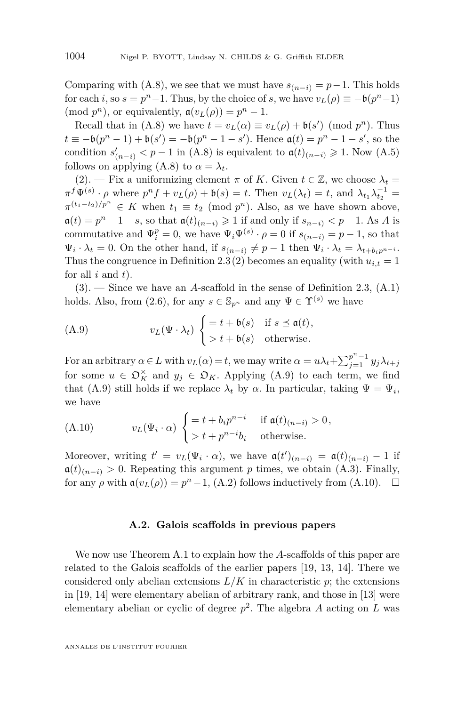Comparing with [\(A.8\)](#page-39-3), we see that we must have  $s_{(n-i)} = p-1$ . This holds for each *i*, so  $s = p^n - 1$ . Thus, by the choice of *s*, we have  $v_L(\rho) \equiv -\mathfrak{b}(p^n-1)$  $(\text{mod } p^n)$ , or equivalently,  $\mathfrak{a}(v_L(\rho)) = p^n - 1$ .

Recall that in [\(A.8\)](#page-39-3) we have  $t = v_L(\alpha) \equiv v_L(\rho) + \mathfrak{b}(s') \pmod{p^n}$ . Thus  $t \equiv -\mathfrak{b}(p^n - 1) + \mathfrak{b}(s') = -\mathfrak{b}(p^n - 1 - s')$ . Hence  $\mathfrak{a}(t) = p^n - 1 - s'$ , so the condition  $s'_{(n-i)} < p-1$  in [\(A.8\)](#page-39-3) is equivalent to  $\mathfrak{a}(t)_{(n-i)} \geq 1$ . Now [\(A.5\)](#page-39-2) follows on applying  $(A.8)$  to  $\alpha = \lambda_t$ .

 $(2)$ . — Fix a uniformizing element  $\pi$  of K. Given  $t \in \mathbb{Z}$ , we choose  $\lambda_t =$  $\pi^f \Psi^{(s)} \cdot \rho$  where  $p^n f + v_L(\rho) + \mathfrak{b}(s) = t$ . Then  $v_L(\lambda_t) = t$ , and  $\lambda_{t_1} \lambda_{t_2}^{-1} = t$  $\pi^{(t_1-t_2)/p^n} \in K$  when  $t_1 \equiv t_2 \pmod{p^n}$ . Also, as we have shown above,  $a(t) = p<sup>n</sup> - 1 - s$ , so that  $a(t)_{(n-i)} \geq 1$  if and only if  $s_{n-i}$   $\lt p - 1$ . As *A* is commutative and  $\Psi_i^p = 0$ , we have  $\Psi_i \Psi^{(s)} \cdot \rho = 0$  if  $s_{(n-i)} = p-1$ , so that  $\Psi_i \cdot \lambda_t = 0$ . On the other hand, if  $s_{(n-i)} \neq p-1$  then  $\Psi_i \cdot \lambda_t = \lambda_{t+b_i p^{n-i}}$ . Thus the congruence in Definition [2.3](#page-7-0)[\(2\)](#page-7-2) becomes an equality (with  $u_{i,t} = 1$ for all *i* and *t*).

[\(3\)](#page-38-6). — Since we have an *A*-scaffold in the sense of Definition [2.3,](#page-7-0) [\(A.1\)](#page-38-1) holds. Also, from [\(2.6\)](#page-10-1), for any  $s \in \mathbb{S}_{p^n}$  and any  $\Psi \in \Upsilon^{(s)}$  we have

<span id="page-40-0"></span>(A.9) 
$$
v_L(\Psi \cdot \lambda_t) \begin{cases} = t + \mathfrak{b}(s) & \text{if } s \preceq \mathfrak{a}(t), \\ > t + \mathfrak{b}(s) & \text{otherwise.} \end{cases}
$$

For an arbitrary  $\alpha \in L$  with  $v_L(\alpha) = t$ , we may write  $\alpha = u\lambda_t + \sum_{j=1}^{p^n-1} y_j \lambda_{t+j}$ for some  $u \in \mathfrak{O}_K^{\times}$  and  $y_j \in \mathfrak{O}_K$ . Applying [\(A.9\)](#page-40-0) to each term, we find that [\(A.9\)](#page-40-0) still holds if we replace  $\lambda_t$  by  $\alpha$ . In particular, taking  $\Psi = \Psi_i$ , we have

<span id="page-40-1"></span>(A.10) 
$$
v_L(\Psi_i \cdot \alpha) \begin{cases} = t + b_i p^{n-i} & \text{if } \mathfrak{a}(t)_{(n-i)} > 0, \\ > t + p^{n-i} b_i & \text{otherwise.} \end{cases}
$$

Moreover, writing  $t' = v_L(\Psi_i \cdot \alpha)$ , we have  $\mathfrak{a}(t')_{(n-i)} = \mathfrak{a}(t)_{(n-i)} - 1$  if  $\mathfrak{a}(t)_{(n-i)} > 0$ . Repeating this argument *p* times, we obtain [\(A.3\)](#page-38-0). Finally, for any  $\rho$  with  $\mathfrak{a}(v_L(\rho)) = p^n - 1$ , [\(A.2\)](#page-38-2) follows inductively from [\(A.10\)](#page-40-1).  $\Box$ 

#### **A.2. Galois scaffolds in previous papers**

We now use Theorem [A.1](#page-38-7) to explain how the *A*-scaffolds of this paper are related to the Galois scaffolds of the earlier papers [\[19,](#page-45-11) [13,](#page-45-9) [14\]](#page-45-10). There we considered only abelian extensions  $L/K$  in characteristic  $p$ ; the extensions in [\[19,](#page-45-11) [14\]](#page-45-10) were elementary abelian of arbitrary rank, and those in [\[13\]](#page-45-9) were elementary abelian or cyclic of degree *p* 2 . The algebra *A* acting on *L* was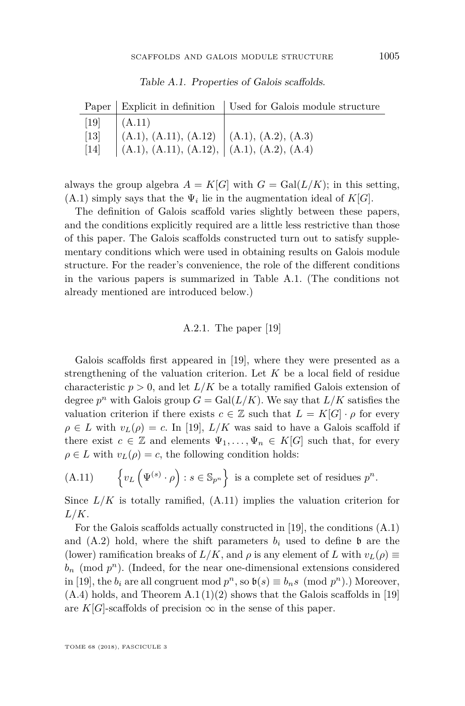|        |                                                                                         | Paper   Explicit in definition   Used for Galois module structure |
|--------|-----------------------------------------------------------------------------------------|-------------------------------------------------------------------|
|        | $[19] \quad (A.11)$                                                                     |                                                                   |
| $[13]$ | (A.1), (A.11), (A.12) (A.1), (A.2), (A.3)<br>(A.1), (A.11), (A.12), (A.1), (A.2), (A.4) |                                                                   |
| $[14]$ |                                                                                         |                                                                   |

<span id="page-41-1"></span>Table A.1. Properties of Galois scaffolds.

always the group algebra  $A = K[G]$  with  $G = \text{Gal}(L/K)$ ; in this setting,  $(A.1)$  simply says that the  $\Psi_i$  lie in the augmentation ideal of  $K[G]$ .

The definition of Galois scaffold varies slightly between these papers, and the conditions explicitly required are a little less restrictive than those of this paper. The Galois scaffolds constructed turn out to satisfy supplementary conditions which were used in obtaining results on Galois module structure. For the reader's convenience, the role of the different conditions in the various papers is summarized in Table [A.1.](#page-41-1) (The conditions not already mentioned are introduced below.)

#### A.2.1. The paper [\[19\]](#page-45-11)

Galois scaffolds first appeared in [\[19\]](#page-45-11), where they were presented as a strengthening of the valuation criterion. Let *K* be a local field of residue characteristic  $p > 0$ , and let  $L/K$  be a totally ramified Galois extension of degree  $p^n$  with Galois group  $G = \text{Gal}(L/K)$ . We say that  $L/K$  satisfies the valuation criterion if there exists  $c \in \mathbb{Z}$  such that  $L = K[G] \cdot \rho$  for every  $\rho \in L$  with  $v_L(\rho) = c$ . In [\[19\]](#page-45-11),  $L/K$  was said to have a Galois scaffold if there exist  $c \in \mathbb{Z}$  and elements  $\Psi_1, \ldots, \Psi_n \in K[G]$  such that, for every  $\rho \in L$  with  $v_L(\rho) = c$ , the following condition holds:

<span id="page-41-0"></span>(A.11) 
$$
\left\{v_L\left(\Psi^{(s)}\cdot\rho\right) : s \in \mathbb{S}_{p^n}\right\} \text{ is a complete set of residues } p^n.
$$

Since  $L/K$  is totally ramified,  $(A.11)$  implies the valuation criterion for *L/K*.

For the Galois scaffolds actually constructed in [\[19\]](#page-45-11), the conditions [\(A.1\)](#page-38-1) and  $(A.2)$  hold, where the shift parameters  $b_i$  used to define  $\mathfrak b$  are the (lower) ramification breaks of  $L/K$ , and  $\rho$  is any element of  $L$  with  $v_L(\rho) \equiv$  $b_n$  (mod  $p^n$ ). (Indeed, for the near one-dimensional extensions considered in [\[19\]](#page-45-11), the  $b_i$  are all congruent mod  $p^n$ , so  $\mathfrak{b}(s) \equiv b_n s \pmod{p^n}$ .) Moreover,  $(A.4)$  holds, and Theorem  $A.1(1)(2)$  $A.1(1)(2)$  $A.1(1)(2)$  shows that the Galois scaffolds in [\[19\]](#page-45-11) are  $K[G]$ -scaffolds of precision  $\infty$  in the sense of this paper.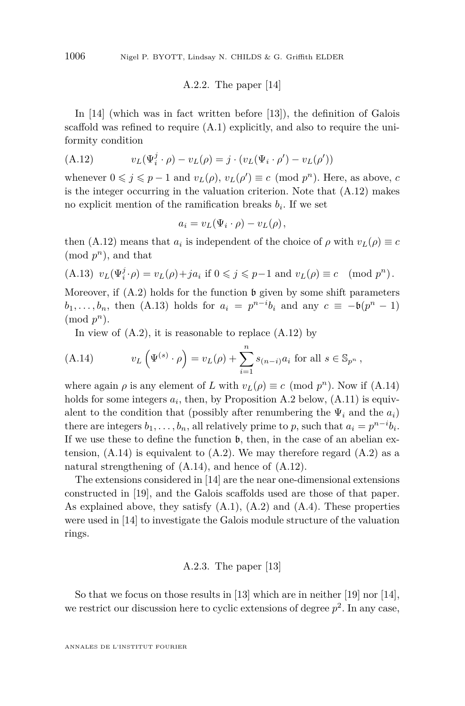A.2.2. The paper [\[14\]](#page-45-10)

In [\[14\]](#page-45-10) (which was in fact written before [\[13\]](#page-45-9)), the definition of Galois scaffold was refined to require [\(A.1\)](#page-38-1) explicitly, and also to require the uniformity condition

<span id="page-42-0"></span>(A.12) 
$$
v_L(\Psi_i^j \cdot \rho) - v_L(\rho) = j \cdot (v_L(\Psi_i \cdot \rho') - v_L(\rho'))
$$

whenever  $0 \leq j \leq p-1$  and  $v_L(\rho), v_L(\rho') \equiv c \pmod{p^n}$ . Here, as above, *c* is the integer occurring in the valuation criterion. Note that [\(A.12\)](#page-42-0) makes no explicit mention of the ramification breaks  $b_i$ . If we set

$$
a_i = v_L(\Psi_i \cdot \rho) - v_L(\rho),
$$

then [\(A.12\)](#page-42-0) means that  $a_i$  is independent of the choice of  $\rho$  with  $v_L(\rho) \equiv c$  $(mod p<sup>n</sup>)$ , and that

<span id="page-42-1"></span>(A.13) 
$$
v_L(\Psi_i^j \cdot \rho) = v_L(\rho) + ja_i
$$
 if  $0 \le j \le p-1$  and  $v_L(\rho) \equiv c \pmod{p^n}$ .

Moreover, if  $(A.2)$  holds for the function b given by some shift parameters *b*<sub>1</sub>*,..., b<sub>n</sub></sub>, then [\(A.13\)](#page-42-1) holds for*  $a_i = p^{n-i}b_i$  *and any*  $c \equiv -b(p^n - 1)$  $(mod p<sup>n</sup>)$ .

<span id="page-42-2"></span>In view of  $(A.2)$ , it is reasonable to replace  $(A.12)$  by

(A.14) 
$$
v_L(\Psi^{(s)} \cdot \rho) = v_L(\rho) + \sum_{i=1}^n s_{(n-i)} a_i \text{ for all } s \in \mathbb{S}_{p^n},
$$

where again  $\rho$  is any element of *L* with  $v_L(\rho) \equiv c \pmod{p^n}$ . Now if  $(A.14)$ holds for some integers  $a_i$ , then, by Proposition [A.2](#page-43-0) below,  $(A.11)$  is equivalent to the condition that (possibly after renumbering the  $\Psi_i$  and the  $a_i$ ) there are integers  $b_1, \ldots, b_n$ , all relatively prime to *p*, such that  $a_i = p^{n-i}b_i$ . If we use these to define the function b, then, in the case of an abelian extension,  $(A.14)$  is equivalent to  $(A.2)$ . We may therefore regard  $(A.2)$  as a natural strengthening of [\(A.14\)](#page-42-2), and hence of [\(A.12\)](#page-42-0).

The extensions considered in [\[14\]](#page-45-10) are the near one-dimensional extensions constructed in [\[19\]](#page-45-11), and the Galois scaffolds used are those of that paper. As explained above, they satisfy [\(A.1\)](#page-38-1), [\(A.2\)](#page-38-2) and [\(A.4\)](#page-38-3). These properties were used in [\[14\]](#page-45-10) to investigate the Galois module structure of the valuation rings.

#### A.2.3. The paper [\[13\]](#page-45-9)

So that we focus on those results in [\[13\]](#page-45-9) which are in neither [\[19\]](#page-45-11) nor [\[14\]](#page-45-10), we restrict our discussion here to cyclic extensions of degree  $p^2$ . In any case,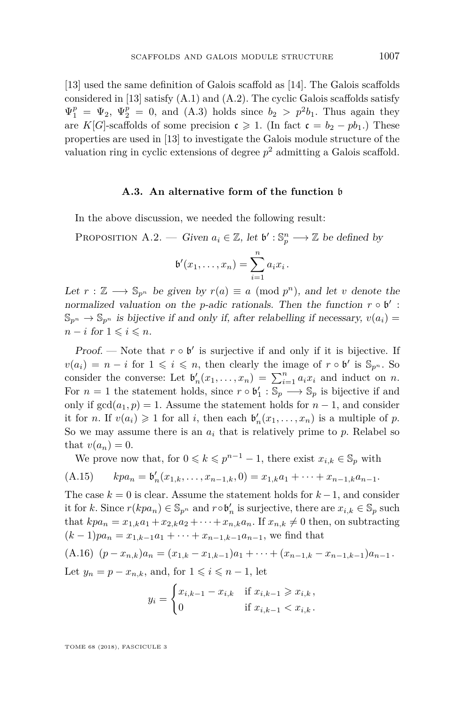[\[13\]](#page-45-9) used the same definition of Galois scaffold as [\[14\]](#page-45-10). The Galois scaffolds considered in [\[13\]](#page-45-9) satisfy [\(A.1\)](#page-38-1) and [\(A.2\)](#page-38-2). The cyclic Galois scaffolds satisfy  $\Psi_1^p = \Psi_2$ ,  $\Psi_2^p = 0$ , and [\(A.3\)](#page-38-0) holds since  $b_2 > p^2 b_1$ . Thus again they are *K*[*G*]-scaffolds of some precision  $c \ge 1$ . (In fact  $c = b_2 - pb_1$ .) These properties are used in [\[13\]](#page-45-9) to investigate the Galois module structure of the valuation ring in cyclic extensions of degree  $p^2$  admitting a Galois scaffold.

#### **A.3. An alternative form of the function** b

In the above discussion, we needed the following result:

<span id="page-43-0"></span>PROPOSITION A.2. — Given  $a_i \in \mathbb{Z}$ , let  $\mathfrak{b}' : \mathbb{S}_p^n \longrightarrow \mathbb{Z}$  be defined by

$$
\mathfrak{b}'(x_1,\ldots,x_n)=\sum_{i=1}^n a_i x_i.
$$

Let  $r : \mathbb{Z} \longrightarrow \mathbb{S}_{p^n}$  be given by  $r(a) \equiv a \pmod{p^n}$ , and let *v* denote the normalized valuation on the *p*-adic rationals. Then the function  $r \circ \mathfrak{b}'$ :  $\mathbb{S}_{p^n} \to \mathbb{S}_{p^n}$  is bijective if and only if, after relabelling if necessary,  $v(a_i)$  $n - i$  for  $1 \leq i \leq n$ .

Proof. — Note that  $r \circ \mathfrak{b}'$  is surjective if and only if it is bijective. If  $v(a_i) = n - i$  for  $1 \leq i \leq n$ , then clearly the image of  $r \circ \mathfrak{b}'$  is  $\mathbb{S}_{p^n}$ . So consider the converse: Let  $\mathfrak{b}'_n(x_1,\ldots,x_n) = \sum_{i=1}^n a_i x_i$  and induct on *n*. For  $n = 1$  the statement holds, since  $r \circ \mathfrak{b}'_1 : \mathbb{S}_p \longrightarrow \mathbb{S}_p$  is bijective if and only if  $gcd(a_1, p) = 1$ . Assume the statement holds for  $n - 1$ , and consider it for *n*. If  $v(a_i) \geq 1$  for all *i*, then each  $\mathfrak{b}'_n(x_1, \ldots, x_n)$  is a multiple of *p*. So we may assume there is an  $a_i$  that is relatively prime to  $p$ . Relabel so that  $v(a_n) = 0$ .

<span id="page-43-2"></span>We prove now that, for  $0 \leq k \leq p^{n-1} - 1$ , there exist  $x_{i,k} \in \mathbb{S}_p$  with

(A.15) 
$$
kpa_n = \mathfrak{b}'_n(x_{1,k},\ldots,x_{n-1,k},0) = x_{1,k}a_1 + \cdots + x_{n-1,k}a_{n-1}.
$$

The case  $k = 0$  is clear. Assume the statement holds for  $k - 1$ , and consider it for *k*. Since  $r(kpa_n) \in \mathbb{S}_{p^n}$  and  $r \circ \mathfrak{b}'_n$  is surjective, there are  $x_{i,k} \in \mathbb{S}_p$  such that  $kpa_n = x_{1,k}a_1 + x_{2,k}a_2 + \cdots + x_{n,k}a_n$ . If  $x_{n,k} \neq 0$  then, on subtracting  $(k-1)pa_n = x_{1,k-1}a_1 + \cdots + x_{n-1,k-1}a_{n-1}$ , we find that

<span id="page-43-1"></span>
$$
(A.16) \ (p-x_{n,k})a_n = (x_{1,k}-x_{1,k-1})a_1 + \cdots + (x_{n-1,k}-x_{n-1,k-1})a_{n-1}.
$$

Let  $y_n = p - x_{n,k}$ , and, for  $1 \leqslant i \leqslant n-1$ , let

$$
y_i = \begin{cases} x_{i,k-1} - x_{i,k} & \text{if } x_{i,k-1} \geq x_{i,k}, \\ 0 & \text{if } x_{i,k-1} < x_{i,k}. \end{cases}
$$

TOME 68 (2018), FASCICULE 3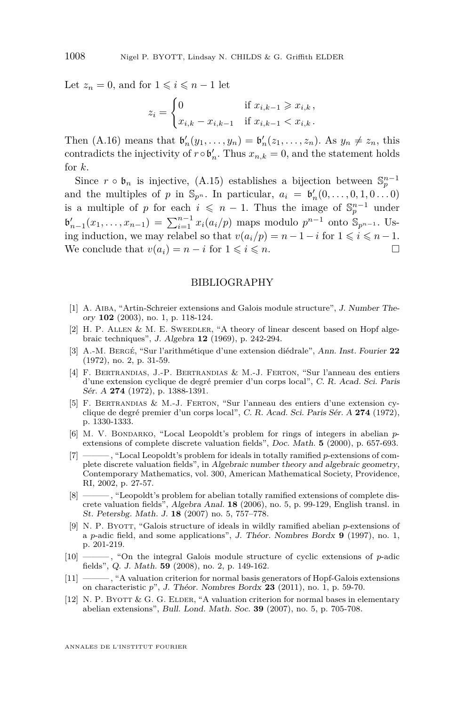Let  $z_n = 0$ , and for  $1 \leq i \leq n-1$  let

$$
z_i = \begin{cases} 0 & \text{if } x_{i,k-1} \geq x_{i,k}, \\ x_{i,k} - x_{i,k-1} & \text{if } x_{i,k-1} < x_{i,k}. \end{cases}
$$

Then  $(A.16)$  means that  $\mathfrak{b}'_n(y_1,\ldots,y_n) = \mathfrak{b}'_n(z_1,\ldots,z_n)$ . As  $y_n \neq z_n$ , this contradicts the injectivity of  $r \circ \mathfrak{b}'_n$ . Thus  $x_{n,k} = 0$ , and the statement holds for *k*.

Since  $r \circ \mathfrak{b}_n$  is injective, [\(A.15\)](#page-43-2) establishes a bijection between  $\mathbb{S}_p^{n-1}$ and the multiples of *p* in  $\mathbb{S}_{p^n}$ . In particular,  $a_i = \mathfrak{b}'_n(0, \ldots, 0, 1, 0 \ldots 0)$ is a multiple of *p* for each  $i \leq n-1$ . Thus the image of  $\mathbb{S}_{p}^{n-1}$  under  $\mathfrak{b}'_{n-1}(x_1,\ldots,x_{n-1}) = \sum_{i=1}^{n-1} x_i(a_i/p)$  maps modulo  $p^{n-1}$  onto  $\mathbb{S}_{p^{n-1}}$ . Using induction, we may relabel so that  $v(a_i/p) = n - 1 - i$  for  $1 \leq i \leq n - 1$ . We conclude that  $v(a_i) = n - i$  for  $1 \leq i \leq n$ .

#### BIBLIOGRAPHY

- <span id="page-44-0"></span>[1] A. Aiba, "Artin-Schreier extensions and Galois module structure", J. Number Theory **102** (2003), no. 1, p. 118-124.
- <span id="page-44-11"></span>[2] H. P. ALLEN & M. E. SWEEDLER, "A theory of linear descent based on Hopf algebraic techniques", J. Algebra **12** (1969), p. 242-294.
- <span id="page-44-1"></span>[3] A.-M. Bergé, "Sur l'arithmétique d'une extension diédrale", Ann. Inst. Fourier **22** (1972), no. 2, p. 31-59.
- <span id="page-44-9"></span>[4] F. Bertrandias, J.-P. Bertrandias & M.-J. Ferton, "Sur l'anneau des entiers d'une extension cyclique de degré premier d'un corps local", C. R. Acad. Sci. Paris Sér. A **274** (1972), p. 1388-1391.
- <span id="page-44-2"></span>[5] F. Bertrandias & M.-J. Ferton, "Sur l'anneau des entiers d'une extension cyclique de degré premier d'un corps local", C. R. Acad. Sci. Paris Sér. A **274** (1972), p. 1330-1333.
- <span id="page-44-7"></span>[6] M. V. Bondarko, "Local Leopoldt's problem for rings of integers in abelian *p*extensions of complete discrete valuation fields", Doc. Math. **5** (2000), p. 657-693.
- <span id="page-44-3"></span>[7] ——— , "Local Leopoldt's problem for ideals in totally ramified *p*-extensions of complete discrete valuation fields", in Algebraic number theory and algebraic geometry, Contemporary Mathematics, vol. 300, American Mathematical Society, Providence, RI, 2002, p. 27-57.
- <span id="page-44-8"></span>[8] ——— , "Leopoldt's problem for abelian totally ramified extensions of complete discrete valuation fields", Algebra Anal. **18** (2006), no. 5, p. 99-129, English transl. in St. Petersbg. Math. J. **18** (2007) no. 5, 757–778.
- <span id="page-44-10"></span>[9] N. P. Byott, "Galois structure of ideals in wildly ramified abelian *p*-extensions of a *p*-adic field, and some applications", J. Théor. Nombres Bordx **9** (1997), no. 1, p. 201-219.
- <span id="page-44-4"></span>[10] ——— , "On the integral Galois module structure of cyclic extensions of *p*-adic fields", Q. J. Math. **59** (2008), no. 2, p. 149-162.
- <span id="page-44-5"></span>[11] ——— , "A valuation criterion for normal basis generators of Hopf-Galois extensions on characteristic *p*", J. Théor. Nombres Bordx **23** (2011), no. 1, p. 59-70.
- <span id="page-44-6"></span>[12] N. P. BYOTT  $\&$  G. G. ELDER, "A valuation criterion for normal bases in elementary abelian extensions", Bull. Lond. Math. Soc. **39** (2007), no. 5, p. 705-708.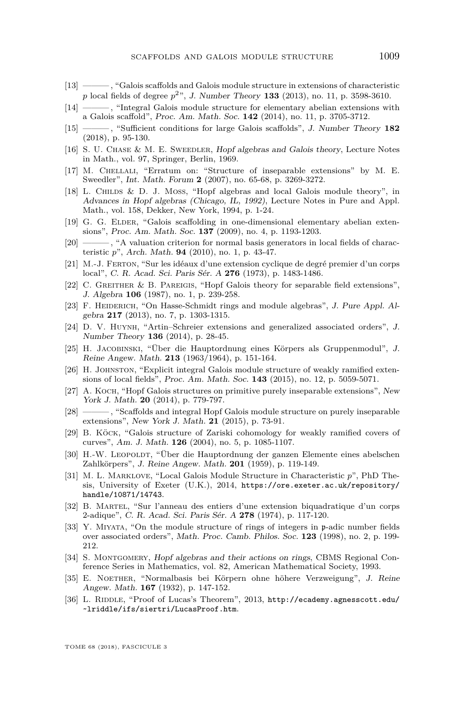- <span id="page-45-9"></span>[13] ——— , "Galois scaffolds and Galois module structure in extensions of characteristic *p* local fields of degree *p* <sup>2</sup>", J. Number Theory **133** (2013), no. 11, p. 3598-3610.
- <span id="page-45-10"></span>[14] ——— , "Integral Galois module structure for elementary abelian extensions with a Galois scaffold", Proc. Am. Math. Soc. **142** (2014), no. 11, p. 3705-3712.
- <span id="page-45-13"></span>[15] ——— , "Sufficient conditions for large Galois scaffolds", J. Number Theory **182** (2018), p. 95-130.
- <span id="page-45-19"></span>[16] S. U. CHASE & M. E. SWEEDLER, Hopf algebras and Galois theory, Lecture Notes in Math., vol. 97, Springer, Berlin, 1969.
- <span id="page-45-23"></span>[17] M. Chellali, "Erratum on: "Structure of inseparable extensions" by M. E. Sweedler", Int. Math. Forum **2** (2007), no. 65-68, p. 3269-3272.
- <span id="page-45-2"></span>[18] L. Childs & D. J. Moss, "Hopf algebras and local Galois module theory", in Advances in Hopf algebras (Chicago, IL, 1992), Lecture Notes in Pure and Appl. Math., vol. 158, Dekker, New York, 1994, p. 1-24.
- <span id="page-45-11"></span>[19] G. G. ELDER, "Galois scaffolding in one-dimensional elementary abelian extensions", Proc. Am. Math. Soc. **137** (2009), no. 4, p. 1193-1203.
- <span id="page-45-12"></span>[20] ——— , "A valuation criterion for normal basis generators in local fields of characteristic *p*", Arch. Math. **94** (2010), no. 1, p. 43-47.
- <span id="page-45-14"></span>[21] M.-J. Ferton, "Sur les idéaux d'une extension cyclique de degré premier d'un corps local", C. R. Acad. Sci. Paris Sér. A **276** (1973), p. 1483-1486.
- <span id="page-45-8"></span>[22] C. Greither & B. Pareigis, "Hopf Galois theory for separable field extensions", J. Algebra **106** (1987), no. 1, p. 239-258.
- <span id="page-45-20"></span>[23] F. HEIDERICH, "On Hasse-Schmidt rings and module algebras", J. Pure Appl. Algebra **217** (2013), no. 7, p. 1303-1315.
- <span id="page-45-15"></span>[24] D. V. Huynh, "Artin–Schreier extensions and generalized associated orders", J. Number Theory **136** (2014), p. 28-45.
- <span id="page-45-3"></span>[25] H. Jacobinski, "Über die Hauptordnung eines Körpers als Gruppenmodul", J. Reine Angew. Math. **213** (1963/1964), p. 151-164.
- <span id="page-45-17"></span>[26] H. Johnston, "Explicit integral Galois module structure of weakly ramified extensions of local fields", Proc. Am. Math. Soc. **143** (2015), no. 12, p. 5059-5071.
- <span id="page-45-6"></span>[27] A. Koch, "Hopf Galois structures on primitive purely inseparable extensions", New York J. Math. **20** (2014), p. 779-797.
- <span id="page-45-7"></span>[28] ——— , "Scaffolds and integral Hopf Galois module structure on purely inseparable extensions", New York J. Math. **21** (2015), p. 73-91.
- <span id="page-45-18"></span>[29] B. Köck, "Galois structure of Zariski cohomology for weakly ramified covers of curves", Am. J. Math. **126** (2004), no. 5, p. 1085-1107.
- <span id="page-45-1"></span>[30] H.-W. LEOPOLDT, "Über die Hauptordnung der ganzen Elemente eines abelschen Zahlkörpers", J. Reine Angew. Math. **201** (1959), p. 119-149.
- <span id="page-45-16"></span>[31] M. L. Marklove, "Local Galois Module Structure in Characteristic *p*", PhD Thesis, University of Exeter (U.K.), 2014, [https://ore.exeter.ac.uk/repository/](https://ore.exeter.ac.uk/repository/handle/10871/14743) [handle/10871/14743](https://ore.exeter.ac.uk/repository/handle/10871/14743).
- <span id="page-45-4"></span>[32] B. Martel, "Sur l'anneau des entiers d'une extension biquadratique d'un corps 2-adique", C. R. Acad. Sci. Paris Sér. A **278** (1974), p. 117-120.
- <span id="page-45-5"></span>[33] Y. Miyata, "On the module structure of rings of integers in p-adic number fields over associated orders", Math. Proc. Camb. Philos. Soc. **123** (1998), no. 2, p. 199- 212.
- <span id="page-45-21"></span>[34] S. MONTGOMERY, Hopf algebras and their actions on rings, CBMS Regional Conference Series in Mathematics, vol. 82, American Mathematical Society, 1993.
- <span id="page-45-0"></span>[35] E. Noether, "Normalbasis bei Körpern ohne höhere Verzweigung", J. Reine Angew. Math. **167** (1932), p. 147-152.
- <span id="page-45-22"></span>[36] L. RIDDLE, "Proof of Lucas's Theorem", 2013, [http://ecademy.agnesscott.edu/](http://ecademy.agnesscott.edu/~lriddle/ifs/siertri/LucasProof.htm) [~lriddle/ifs/siertri/LucasProof.htm](http://ecademy.agnesscott.edu/~lriddle/ifs/siertri/LucasProof.htm).